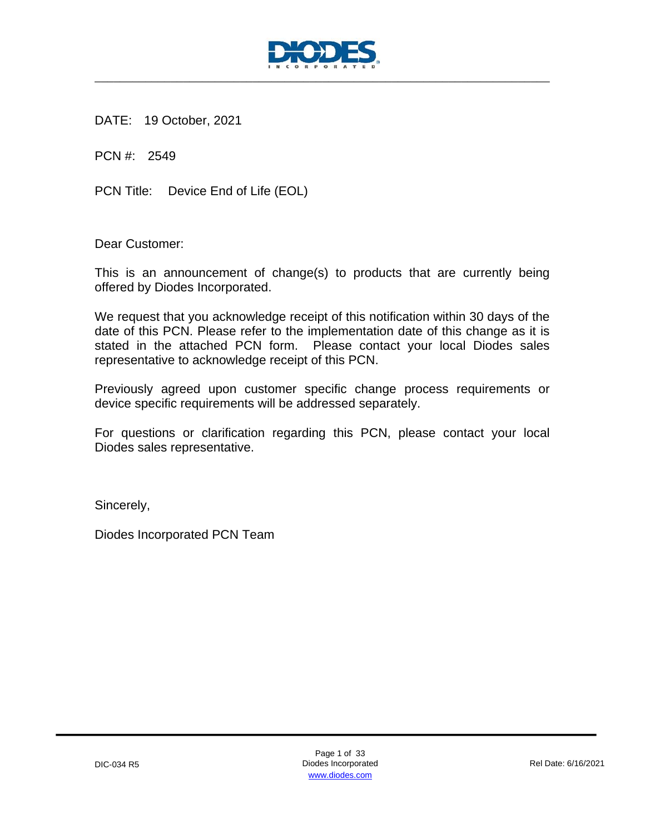

DATE: 19 October, 2021

PCN #: 2549

PCN Title: Device End of Life (EOL)

Dear Customer:

This is an announcement of change(s) to products that are currently being offered by Diodes Incorporated.

We request that you acknowledge receipt of this notification within 30 days of the date of this PCN. Please refer to the implementation date of this change as it is stated in the attached PCN form. Please contact your local Diodes sales representative to acknowledge receipt of this PCN.

Previously agreed upon customer specific change process requirements or device specific requirements will be addressed separately.

For questions or clarification regarding this PCN, please contact your local Diodes sales representative.

Sincerely,

Diodes Incorporated PCN Team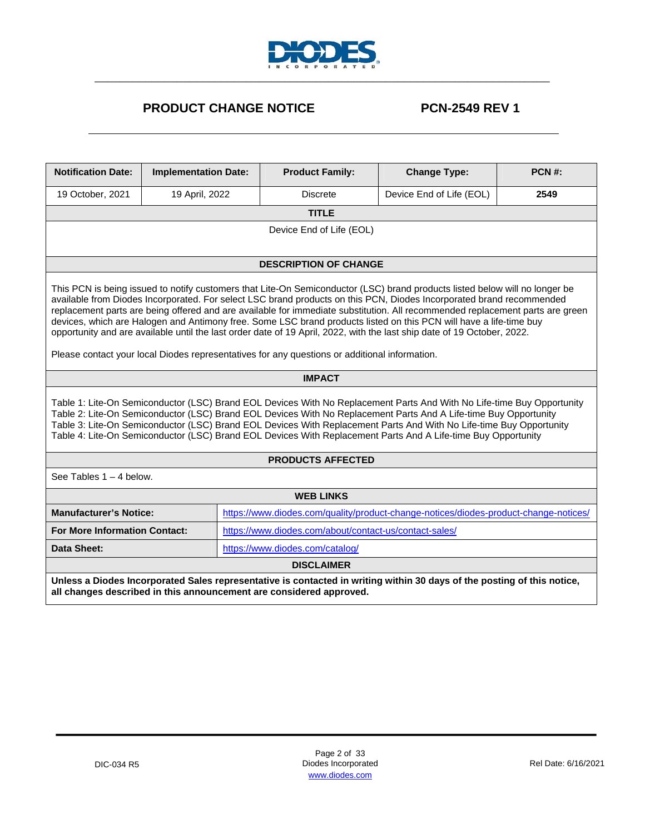

## **PRODUCT CHANGE NOTICE PCN-2549 REV 1**

| <b>Notification Date:</b>                                                                                                                                                                                                                                                                                                                                                                                                                                                                                                                                                                                                                                                                                                              | <b>Implementation Date:</b> |  | <b>Product Family:</b>                                              | <b>Change Type:</b>                                                                                                                                                                                                                                                                                                                                                                                                                                                                | <b>PCN#:</b> |  |  |  |  |
|----------------------------------------------------------------------------------------------------------------------------------------------------------------------------------------------------------------------------------------------------------------------------------------------------------------------------------------------------------------------------------------------------------------------------------------------------------------------------------------------------------------------------------------------------------------------------------------------------------------------------------------------------------------------------------------------------------------------------------------|-----------------------------|--|---------------------------------------------------------------------|------------------------------------------------------------------------------------------------------------------------------------------------------------------------------------------------------------------------------------------------------------------------------------------------------------------------------------------------------------------------------------------------------------------------------------------------------------------------------------|--------------|--|--|--|--|
| 19 October, 2021                                                                                                                                                                                                                                                                                                                                                                                                                                                                                                                                                                                                                                                                                                                       | 19 April, 2022              |  | <b>Discrete</b>                                                     | Device End of Life (EOL)                                                                                                                                                                                                                                                                                                                                                                                                                                                           | 2549         |  |  |  |  |
|                                                                                                                                                                                                                                                                                                                                                                                                                                                                                                                                                                                                                                                                                                                                        |                             |  | <b>TITLE</b>                                                        |                                                                                                                                                                                                                                                                                                                                                                                                                                                                                    |              |  |  |  |  |
|                                                                                                                                                                                                                                                                                                                                                                                                                                                                                                                                                                                                                                                                                                                                        | Device End of Life (EOL)    |  |                                                                     |                                                                                                                                                                                                                                                                                                                                                                                                                                                                                    |              |  |  |  |  |
|                                                                                                                                                                                                                                                                                                                                                                                                                                                                                                                                                                                                                                                                                                                                        |                             |  | <b>DESCRIPTION OF CHANGE</b>                                        |                                                                                                                                                                                                                                                                                                                                                                                                                                                                                    |              |  |  |  |  |
| This PCN is being issued to notify customers that Lite-On Semiconductor (LSC) brand products listed below will no longer be<br>available from Diodes Incorporated. For select LSC brand products on this PCN, Diodes Incorporated brand recommended<br>replacement parts are being offered and are available for immediate substitution. All recommended replacement parts are green<br>devices, which are Halogen and Antimony free. Some LSC brand products listed on this PCN will have a life-time buy<br>opportunity and are available until the last order date of 19 April, 2022, with the last ship date of 19 October, 2022.<br>Please contact your local Diodes representatives for any questions or additional information. |                             |  |                                                                     |                                                                                                                                                                                                                                                                                                                                                                                                                                                                                    |              |  |  |  |  |
|                                                                                                                                                                                                                                                                                                                                                                                                                                                                                                                                                                                                                                                                                                                                        |                             |  | <b>IMPACT</b>                                                       |                                                                                                                                                                                                                                                                                                                                                                                                                                                                                    |              |  |  |  |  |
|                                                                                                                                                                                                                                                                                                                                                                                                                                                                                                                                                                                                                                                                                                                                        |                             |  |                                                                     | Table 1: Lite-On Semiconductor (LSC) Brand EOL Devices With No Replacement Parts And With No Life-time Buy Opportunity<br>Table 2: Lite-On Semiconductor (LSC) Brand EOL Devices With No Replacement Parts And A Life-time Buy Opportunity<br>Table 3: Lite-On Semiconductor (LSC) Brand EOL Devices With Replacement Parts And With No Life-time Buy Opportunity<br>Table 4: Lite-On Semiconductor (LSC) Brand EOL Devices With Replacement Parts And A Life-time Buy Opportunity |              |  |  |  |  |
|                                                                                                                                                                                                                                                                                                                                                                                                                                                                                                                                                                                                                                                                                                                                        |                             |  | <b>PRODUCTS AFFECTED</b>                                            |                                                                                                                                                                                                                                                                                                                                                                                                                                                                                    |              |  |  |  |  |
| See Tables $1 - 4$ below.                                                                                                                                                                                                                                                                                                                                                                                                                                                                                                                                                                                                                                                                                                              |                             |  |                                                                     |                                                                                                                                                                                                                                                                                                                                                                                                                                                                                    |              |  |  |  |  |
|                                                                                                                                                                                                                                                                                                                                                                                                                                                                                                                                                                                                                                                                                                                                        |                             |  | <b>WEB LINKS</b>                                                    |                                                                                                                                                                                                                                                                                                                                                                                                                                                                                    |              |  |  |  |  |
| <b>Manufacturer's Notice:</b>                                                                                                                                                                                                                                                                                                                                                                                                                                                                                                                                                                                                                                                                                                          |                             |  |                                                                     | https://www.diodes.com/quality/product-change-notices/diodes-product-change-notices/                                                                                                                                                                                                                                                                                                                                                                                               |              |  |  |  |  |
| <b>For More Information Contact:</b>                                                                                                                                                                                                                                                                                                                                                                                                                                                                                                                                                                                                                                                                                                   |                             |  | https://www.diodes.com/about/contact-us/contact-sales/              |                                                                                                                                                                                                                                                                                                                                                                                                                                                                                    |              |  |  |  |  |
| Data Sheet:                                                                                                                                                                                                                                                                                                                                                                                                                                                                                                                                                                                                                                                                                                                            |                             |  | https://www.diodes.com/catalog/                                     |                                                                                                                                                                                                                                                                                                                                                                                                                                                                                    |              |  |  |  |  |
|                                                                                                                                                                                                                                                                                                                                                                                                                                                                                                                                                                                                                                                                                                                                        |                             |  | <b>DISCLAIMER</b>                                                   |                                                                                                                                                                                                                                                                                                                                                                                                                                                                                    |              |  |  |  |  |
|                                                                                                                                                                                                                                                                                                                                                                                                                                                                                                                                                                                                                                                                                                                                        |                             |  | all changes described in this announcement are considered approved. | Unless a Diodes Incorporated Sales representative is contacted in writing within 30 days of the posting of this notice,                                                                                                                                                                                                                                                                                                                                                            |              |  |  |  |  |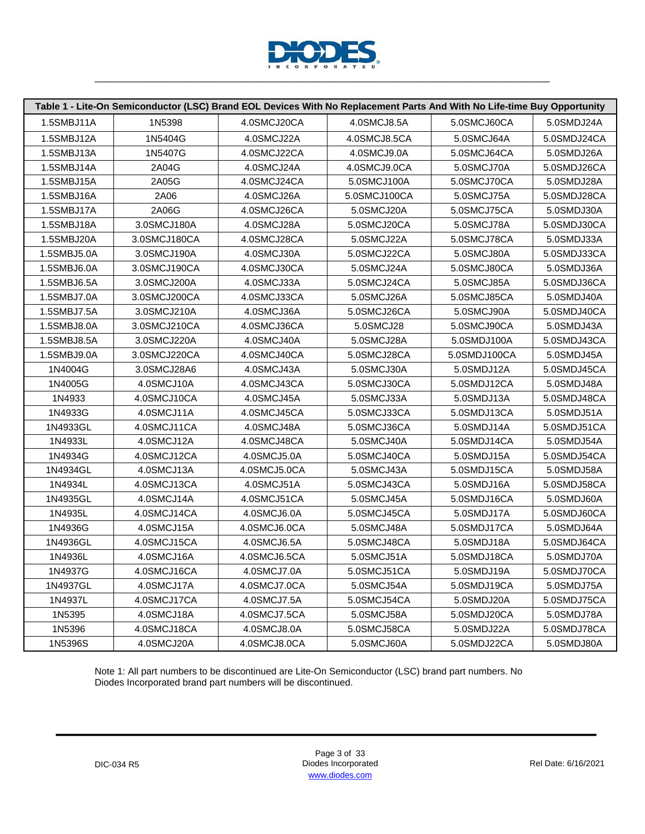

|             |              | Table 1 - Lite-On Semiconductor (LSC) Brand EOL Devices With No Replacement Parts And With No Life-time Buy Opportunity |              |              |             |
|-------------|--------------|-------------------------------------------------------------------------------------------------------------------------|--------------|--------------|-------------|
| 1.5SMBJ11A  | 1N5398       | 4.0SMCJ20CA                                                                                                             | 4.0SMCJ8.5A  | 5.0SMCJ60CA  | 5.0SMDJ24A  |
| 1.5SMBJ12A  | 1N5404G      | 4.0SMCJ22A                                                                                                              | 4.0SMCJ8.5CA | 5.0SMCJ64A   | 5.0SMDJ24CA |
| 1.5SMBJ13A  | 1N5407G      | 4.0SMCJ22CA                                                                                                             | 4.0SMCJ9.0A  | 5.0SMCJ64CA  | 5.0SMDJ26A  |
| 1.5SMBJ14A  | 2A04G        | 4.0SMCJ24A                                                                                                              | 4.0SMCJ9.0CA | 5.0SMCJ70A   | 5.0SMDJ26CA |
| 1.5SMBJ15A  | 2A05G        | 4.0SMCJ24CA                                                                                                             | 5.0SMCJ100A  | 5.0SMCJ70CA  | 5.0SMDJ28A  |
| 1.5SMBJ16A  | 2A06         | 4.0SMCJ26A                                                                                                              | 5.0SMCJ100CA | 5.0SMCJ75A   | 5.0SMDJ28CA |
| 1.5SMBJ17A  | 2A06G        | 4.0SMCJ26CA                                                                                                             | 5.0SMCJ20A   | 5.0SMCJ75CA  | 5.0SMDJ30A  |
| 1.5SMBJ18A  | 3.0SMCJ180A  | 4.0SMCJ28A                                                                                                              | 5.0SMCJ20CA  | 5.0SMCJ78A   | 5.0SMDJ30CA |
| 1.5SMBJ20A  | 3.0SMCJ180CA | 4.0SMCJ28CA                                                                                                             | 5.0SMCJ22A   | 5.0SMCJ78CA  | 5.0SMDJ33A  |
| 1.5SMBJ5.0A | 3.0SMCJ190A  | 4.0SMCJ30A                                                                                                              | 5.0SMCJ22CA  | 5.0SMCJ80A   | 5.0SMDJ33CA |
| 1.5SMBJ6.0A | 3.0SMCJ190CA | 4.0SMCJ30CA                                                                                                             | 5.0SMCJ24A   | 5.0SMCJ80CA  | 5.0SMDJ36A  |
| 1.5SMBJ6.5A | 3.0SMCJ200A  | 4.0SMCJ33A                                                                                                              | 5.0SMCJ24CA  | 5.0SMCJ85A   | 5.0SMDJ36CA |
| 1.5SMBJ7.0A | 3.0SMCJ200CA | 4.0SMCJ33CA                                                                                                             | 5.0SMCJ26A   | 5.0SMCJ85CA  | 5.0SMDJ40A  |
| 1.5SMBJ7.5A | 3.0SMCJ210A  | 4.0SMCJ36A                                                                                                              | 5.0SMCJ26CA  | 5.0SMCJ90A   | 5.0SMDJ40CA |
| 1.5SMBJ8.0A | 3.0SMCJ210CA | 4.0SMCJ36CA                                                                                                             | 5.0SMCJ28    | 5.0SMCJ90CA  | 5.0SMDJ43A  |
| 1.5SMBJ8.5A | 3.0SMCJ220A  | 4.0SMCJ40A                                                                                                              | 5.0SMCJ28A   | 5.0SMDJ100A  | 5.0SMDJ43CA |
| 1.5SMBJ9.0A | 3.0SMCJ220CA | 4.0SMCJ40CA                                                                                                             | 5.0SMCJ28CA  | 5.0SMDJ100CA | 5.0SMDJ45A  |
| 1N4004G     | 3.0SMCJ28A6  | 4.0SMCJ43A                                                                                                              | 5.0SMCJ30A   | 5.0SMDJ12A   | 5.0SMDJ45CA |
| 1N4005G     | 4.0SMCJ10A   | 4.0SMCJ43CA                                                                                                             | 5.0SMCJ30CA  | 5.0SMDJ12CA  | 5.0SMDJ48A  |
| 1N4933      | 4.0SMCJ10CA  | 4.0SMCJ45A                                                                                                              | 5.0SMCJ33A   | 5.0SMDJ13A   | 5.0SMDJ48CA |
| 1N4933G     | 4.0SMCJ11A   | 4.0SMCJ45CA                                                                                                             | 5.0SMCJ33CA  | 5.0SMDJ13CA  | 5.0SMDJ51A  |
| 1N4933GL    | 4.0SMCJ11CA  | 4.0SMCJ48A                                                                                                              | 5.0SMCJ36CA  | 5.0SMDJ14A   | 5.0SMDJ51CA |
| 1N4933L     | 4.0SMCJ12A   | 4.0SMCJ48CA                                                                                                             | 5.0SMCJ40A   | 5.0SMDJ14CA  | 5.0SMDJ54A  |
| 1N4934G     | 4.0SMCJ12CA  | 4.0SMCJ5.0A                                                                                                             | 5.0SMCJ40CA  | 5.0SMDJ15A   | 5.0SMDJ54CA |
| 1N4934GL    | 4.0SMCJ13A   | 4.0SMCJ5.0CA                                                                                                            | 5.0SMCJ43A   | 5.0SMDJ15CA  | 5.0SMDJ58A  |
| 1N4934L     | 4.0SMCJ13CA  | 4.0SMCJ51A                                                                                                              | 5.0SMCJ43CA  | 5.0SMDJ16A   | 5.0SMDJ58CA |
| 1N4935GL    | 4.0SMCJ14A   | 4.0SMCJ51CA                                                                                                             | 5.0SMCJ45A   | 5.0SMDJ16CA  | 5.0SMDJ60A  |
| 1N4935L     | 4.0SMCJ14CA  | 4.0SMCJ6.0A                                                                                                             | 5.0SMCJ45CA  | 5.0SMDJ17A   | 5.0SMDJ60CA |
| 1N4936G     | 4.0SMCJ15A   | 4.0SMCJ6.0CA                                                                                                            | 5.0SMCJ48A   | 5.0SMDJ17CA  | 5.0SMDJ64A  |
| 1N4936GL    | 4.0SMCJ15CA  | 4.0SMCJ6.5A                                                                                                             | 5.0SMCJ48CA  | 5.0SMDJ18A   | 5.0SMDJ64CA |
| 1N4936L     | 4.0SMCJ16A   | 4.0SMCJ6.5CA                                                                                                            | 5.0SMCJ51A   | 5.0SMDJ18CA  | 5.0SMDJ70A  |
| 1N4937G     | 4.0SMCJ16CA  | 4.0SMCJ7.0A                                                                                                             | 5.0SMCJ51CA  | 5.0SMDJ19A   | 5.0SMDJ70CA |
| 1N4937GL    | 4.0SMCJ17A   | 4.0SMCJ7.0CA                                                                                                            | 5.0SMCJ54A   | 5.0SMDJ19CA  | 5.0SMDJ75A  |
| 1N4937L     | 4.0SMCJ17CA  | 4.0SMCJ7.5A                                                                                                             | 5.0SMCJ54CA  | 5.0SMDJ20A   | 5.0SMDJ75CA |
| 1N5395      | 4.0SMCJ18A   | 4.0SMCJ7.5CA                                                                                                            | 5.0SMCJ58A   | 5.0SMDJ20CA  | 5.0SMDJ78A  |
| 1N5396      | 4.0SMCJ18CA  | 4.0SMCJ8.0A                                                                                                             | 5.0SMCJ58CA  | 5.0SMDJ22A   | 5.0SMDJ78CA |
| 1N5396S     | 4.0SMCJ20A   | 4.0SMCJ8.0CA                                                                                                            | 5.0SMCJ60A   | 5.0SMDJ22CA  | 5.0SMDJ80A  |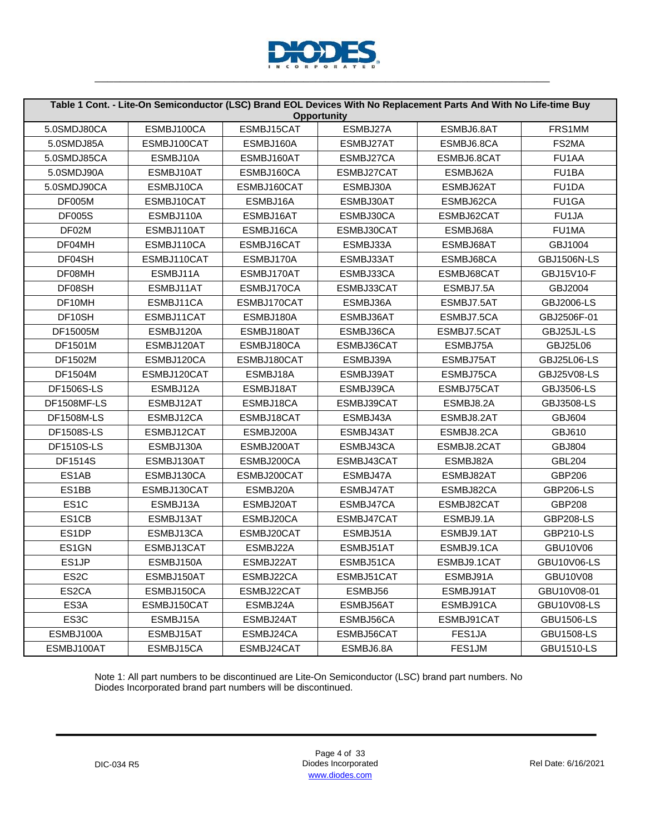

|                   |             |             | <b>Opportunity</b> | Table 1 Cont. - Lite-On Semiconductor (LSC) Brand EOL Devices With No Replacement Parts And With No Life-time Buy |                    |
|-------------------|-------------|-------------|--------------------|-------------------------------------------------------------------------------------------------------------------|--------------------|
| 5.0SMDJ80CA       | ESMBJ100CA  | ESMBJ15CAT  | ESMBJ27A           | ESMBJ6.8AT                                                                                                        | FRS1MM             |
| 5.0SMDJ85A        | ESMBJ100CAT | ESMBJ160A   | ESMBJ27AT          | ESMBJ6.8CA                                                                                                        | FS2MA              |
| 5.0SMDJ85CA       | ESMBJ10A    | ESMBJ160AT  | ESMBJ27CA          | ESMBJ6.8CAT                                                                                                       | FU1AA              |
| 5.0SMDJ90A        | ESMBJ10AT   | ESMBJ160CA  | ESMBJ27CAT         | ESMBJ62A                                                                                                          | FU <sub>1</sub> BA |
| 5.0SMDJ90CA       | ESMBJ10CA   | ESMBJ160CAT | ESMBJ30A           | ESMBJ62AT                                                                                                         | FU1DA              |
| <b>DF005M</b>     | ESMBJ10CAT  | ESMBJ16A    | ESMBJ30AT          | ESMBJ62CA                                                                                                         | FU1GA              |
| <b>DF005S</b>     | ESMBJ110A   | ESMBJ16AT   | ESMBJ30CA          | ESMBJ62CAT                                                                                                        | FU1JA              |
| DF02M             | ESMBJ110AT  | ESMBJ16CA   | ESMBJ30CAT         | ESMBJ68A                                                                                                          | FU1MA              |
| DF04MH            | ESMBJ110CA  | ESMBJ16CAT  | ESMBJ33A           | ESMBJ68AT                                                                                                         | GBJ1004            |
| DF04SH            | ESMBJ110CAT | ESMBJ170A   | ESMBJ33AT          | ESMBJ68CA                                                                                                         | <b>GBJ1506N-LS</b> |
| DF08MH            | ESMBJ11A    | ESMBJ170AT  | ESMBJ33CA          | ESMBJ68CAT                                                                                                        | GBJ15V10-F         |
| DF08SH            | ESMBJ11AT   | ESMBJ170CA  | ESMBJ33CAT         | ESMBJ7.5A                                                                                                         | GBJ2004            |
| DF10MH            | ESMBJ11CA   | ESMBJ170CAT | ESMBJ36A           | ESMBJ7.5AT                                                                                                        | GBJ2006-LS         |
| DF10SH            | ESMBJ11CAT  | ESMBJ180A   | ESMBJ36AT          | ESMBJ7.5CA                                                                                                        | GBJ2506F-01        |
| DF15005M          | ESMBJ120A   | ESMBJ180AT  | ESMBJ36CA          | ESMBJ7.5CAT                                                                                                       | GBJ25JL-LS         |
| DF1501M           | ESMBJ120AT  | ESMBJ180CA  | ESMBJ36CAT         | ESMBJ75A                                                                                                          | GBJ25L06           |
| DF1502M           | ESMBJ120CA  | ESMBJ180CAT | ESMBJ39A           | ESMBJ75AT                                                                                                         | GBJ25L06-LS        |
| DF1504M           | ESMBJ120CAT | ESMBJ18A    | ESMBJ39AT          | ESMBJ75CA                                                                                                         | GBJ25V08-LS        |
| <b>DF1506S-LS</b> | ESMBJ12A    | ESMBJ18AT   | ESMBJ39CA          | ESMBJ75CAT                                                                                                        | GBJ3506-LS         |
| DF1508MF-LS       | ESMBJ12AT   | ESMBJ18CA   | ESMBJ39CAT         | ESMBJ8.2A                                                                                                         | GBJ3508-LS         |
| <b>DF1508M-LS</b> | ESMBJ12CA   | ESMBJ18CAT  | ESMBJ43A           | ESMBJ8.2AT                                                                                                        | <b>GBJ604</b>      |
| <b>DF1508S-LS</b> | ESMBJ12CAT  | ESMBJ200A   | ESMBJ43AT          | ESMBJ8.2CA                                                                                                        | GBJ610             |
| <b>DF1510S-LS</b> | ESMBJ130A   | ESMBJ200AT  | ESMBJ43CA          | ESMBJ8.2CAT                                                                                                       | <b>GBJ804</b>      |
| DF1514S           | ESMBJ130AT  | ESMBJ200CA  | ESMBJ43CAT         | ESMBJ82A                                                                                                          | <b>GBL204</b>      |
| ES1AB             | ESMBJ130CA  | ESMBJ200CAT | ESMBJ47A           | ESMBJ82AT                                                                                                         | GBP206             |
| ES1BB             | ESMBJ130CAT | ESMBJ20A    | ESMBJ47AT          | ESMBJ82CA                                                                                                         | <b>GBP206-LS</b>   |
| ES <sub>1</sub> C | ESMBJ13A    | ESMBJ20AT   | ESMBJ47CA          | ESMBJ82CAT                                                                                                        | GBP208             |
| ES1CB             | ESMBJ13AT   | ESMBJ20CA   | ESMBJ47CAT         | ESMBJ9.1A                                                                                                         | <b>GBP208-LS</b>   |
| ES1DP             | ESMBJ13CA   | ESMBJ20CAT  | ESMBJ51A           | ESMBJ9.1AT                                                                                                        | <b>GBP210-LS</b>   |
| ES1GN             | ESMBJ13CAT  | ESMBJ22A    | ESMBJ51AT          | ESMBJ9.1CA                                                                                                        | GBU10V06           |
| ES1JP             | ESMBJ150A   | ESMBJ22AT   | ESMBJ51CA          | ESMBJ9.1CAT                                                                                                       | <b>GBU10V06-LS</b> |
| ES <sub>2</sub> C | ESMBJ150AT  | ESMBJ22CA   | ESMBJ51CAT         | ESMBJ91A                                                                                                          | GBU10V08           |
| ES2CA             | ESMBJ150CA  | ESMBJ22CAT  | ESMBJ56            | ESMBJ91AT                                                                                                         | GBU10V08-01        |
| ES3A              | ESMBJ150CAT | ESMBJ24A    | ESMBJ56AT          | ESMBJ91CA                                                                                                         | GBU10V08-LS        |
| ES3C              | ESMBJ15A    | ESMBJ24AT   | ESMBJ56CA          | ESMBJ91CAT                                                                                                        | <b>GBU1506-LS</b>  |
| ESMBJ100A         | ESMBJ15AT   | ESMBJ24CA   | ESMBJ56CAT         | FES1JA                                                                                                            | <b>GBU1508-LS</b>  |
| ESMBJ100AT        | ESMBJ15CA   | ESMBJ24CAT  | ESMBJ6.8A          | FES1JM                                                                                                            | <b>GBU1510-LS</b>  |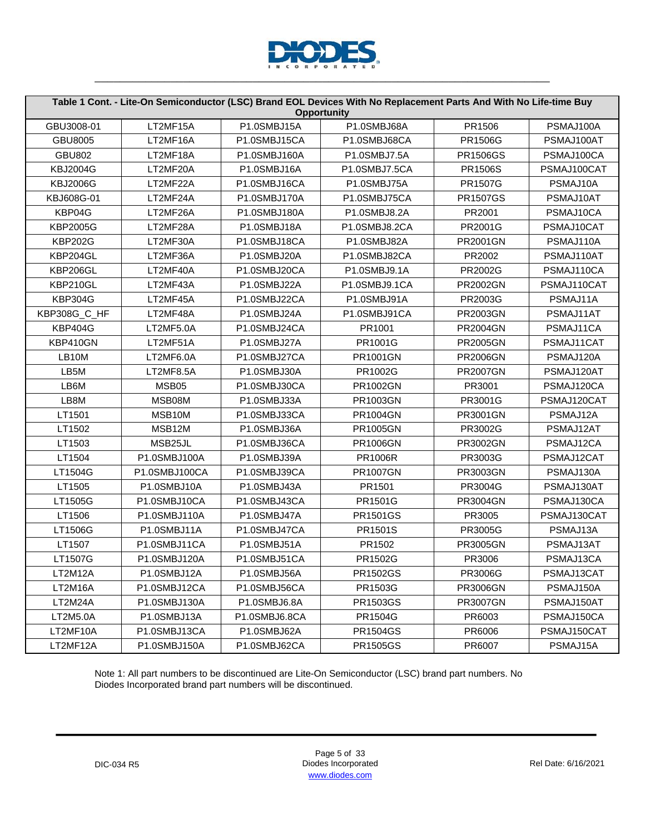

|                    |               |               | Table 1 Cont. - Lite-On Semiconductor (LSC) Brand EOL Devices With No Replacement Parts And With No Life-time Buy<br><b>Opportunity</b> |                 |             |
|--------------------|---------------|---------------|-----------------------------------------------------------------------------------------------------------------------------------------|-----------------|-------------|
| GBU3008-01         | LT2MF15A      | P1.0SMBJ15A   | P1.0SMBJ68A                                                                                                                             | PR1506          | PSMAJ100A   |
| GBU8005            | LT2MF16A      | P1.0SMBJ15CA  | P1.0SMBJ68CA                                                                                                                            | PR1506G         | PSMAJ100AT  |
| <b>GBU802</b>      | LT2MF18A      | P1.0SMBJ160A  | P1.0SMBJ7.5A                                                                                                                            | <b>PR1506GS</b> | PSMAJ100CA  |
| <b>KBJ2004G</b>    | LT2MF20A      | P1.0SMBJ16A   | P1.0SMBJ7.5CA                                                                                                                           | PR1506S         | PSMAJ100CAT |
| <b>KBJ2006G</b>    | LT2MF22A      | P1.0SMBJ16CA  | P1.0SMBJ75A                                                                                                                             | PR1507G         | PSMAJ10A    |
| KBJ608G-01         | LT2MF24A      | P1.0SMBJ170A  | P1.0SMBJ75CA                                                                                                                            | <b>PR1507GS</b> | PSMAJ10AT   |
| KBP04G             | LT2MF26A      | P1.0SMBJ180A  | P1.0SMBJ8.2A                                                                                                                            | PR2001          | PSMAJ10CA   |
| <b>KBP2005G</b>    | LT2MF28A      | P1.0SMBJ18A   | P1.0SMBJ8.2CA                                                                                                                           | PR2001G         | PSMAJ10CAT  |
| <b>KBP202G</b>     | LT2MF30A      | P1.0SMBJ18CA  | P1.0SMBJ82A                                                                                                                             | PR2001GN        | PSMAJ110A   |
| KBP204GL           | LT2MF36A      | P1.0SMBJ20A   | P1.0SMBJ82CA                                                                                                                            | PR2002          | PSMAJ110AT  |
| KBP206GL           | LT2MF40A      | P1.0SMBJ20CA  | P1.0SMBJ9.1A                                                                                                                            | PR2002G         | PSMAJ110CA  |
| KBP210GL           | LT2MF43A      | P1.0SMBJ22A   | P1.0SMBJ9.1CA                                                                                                                           | PR2002GN        | PSMAJ110CAT |
| <b>KBP304G</b>     | LT2MF45A      | P1.0SMBJ22CA  | P1.0SMBJ91A                                                                                                                             | PR2003G         | PSMAJ11A    |
| KBP308G_C_HF       | LT2MF48A      | P1.0SMBJ24A   | P1.0SMBJ91CA                                                                                                                            | PR2003GN        | PSMAJ11AT   |
| <b>KBP404G</b>     | LT2MF5.0A     | P1.0SMBJ24CA  | PR1001                                                                                                                                  | <b>PR2004GN</b> | PSMAJ11CA   |
| KBP410GN           | LT2MF51A      | P1.0SMBJ27A   | PR1001G                                                                                                                                 | <b>PR2005GN</b> | PSMAJ11CAT  |
| LB <sub>10</sub> M | LT2MF6.0A     | P1.0SMBJ27CA  | PR1001GN                                                                                                                                | <b>PR2006GN</b> | PSMAJ120A   |
| LB5M               | LT2MF8.5A     | P1.0SMBJ30A   | PR1002G                                                                                                                                 | <b>PR2007GN</b> | PSMAJ120AT  |
| LB6M               | MSB05         | P1.0SMBJ30CA  | PR1002GN                                                                                                                                | PR3001          | PSMAJ120CA  |
| LB8M               | MSB08M        | P1.0SMBJ33A   | PR1003GN                                                                                                                                | PR3001G         | PSMAJ120CAT |
| LT1501             | MSB10M        | P1.0SMBJ33CA  | PR1004GN                                                                                                                                | PR3001GN        | PSMAJ12A    |
| LT1502             | MSB12M        | P1.0SMBJ36A   | <b>PR1005GN</b>                                                                                                                         | PR3002G         | PSMAJ12AT   |
| LT1503             | MSB25JL       | P1.0SMBJ36CA  | PR1006GN                                                                                                                                | PR3002GN        | PSMAJ12CA   |
| LT1504             | P1.0SMBJ100A  | P1.0SMBJ39A   | PR1006R                                                                                                                                 | PR3003G         | PSMAJ12CAT  |
| LT1504G            | P1.0SMBJ100CA | P1.0SMBJ39CA  | <b>PR1007GN</b>                                                                                                                         | PR3003GN        | PSMAJ130A   |
| LT1505             | P1.0SMBJ10A   | P1.0SMBJ43A   | PR1501                                                                                                                                  | PR3004G         | PSMAJ130AT  |
| LT1505G            | P1.0SMBJ10CA  | P1.0SMBJ43CA  | PR1501G                                                                                                                                 | PR3004GN        | PSMAJ130CA  |
| LT1506             | P1.0SMBJ110A  | P1.0SMBJ47A   | PR1501GS                                                                                                                                | PR3005          | PSMAJ130CAT |
| LT1506G            | P1.0SMBJ11A   | P1.0SMBJ47CA  | PR1501S                                                                                                                                 | PR3005G         | PSMAJ13A    |
| LT1507             | P1.0SMBJ11CA  | P1.0SMBJ51A   | PR1502                                                                                                                                  | PR3005GN        | PSMAJ13AT   |
| LT1507G            | P1.0SMBJ120A  | P1.0SMBJ51CA  | PR1502G                                                                                                                                 | PR3006          | PSMAJ13CA   |
| LT2M12A            | P1.0SMBJ12A   | P1.0SMBJ56A   | PR1502GS                                                                                                                                | PR3006G         | PSMAJ13CAT  |
| LT2M16A            | P1.0SMBJ12CA  | P1.0SMBJ56CA  | PR1503G                                                                                                                                 | PR3006GN        | PSMAJ150A   |
| LT2M24A            | P1.0SMBJ130A  | P1.0SMBJ6.8A  | PR1503GS                                                                                                                                | <b>PR3007GN</b> | PSMAJ150AT  |
| LT2M5.0A           | P1.0SMBJ13A   | P1.0SMBJ6.8CA | PR1504G                                                                                                                                 | PR6003          | PSMAJ150CA  |
| LT2MF10A           | P1.0SMBJ13CA  | P1.0SMBJ62A   | PR1504GS                                                                                                                                | PR6006          | PSMAJ150CAT |
| LT2MF12A           | P1.0SMBJ150A  | P1.0SMBJ62CA  | PR1505GS                                                                                                                                | PR6007          | PSMAJ15A    |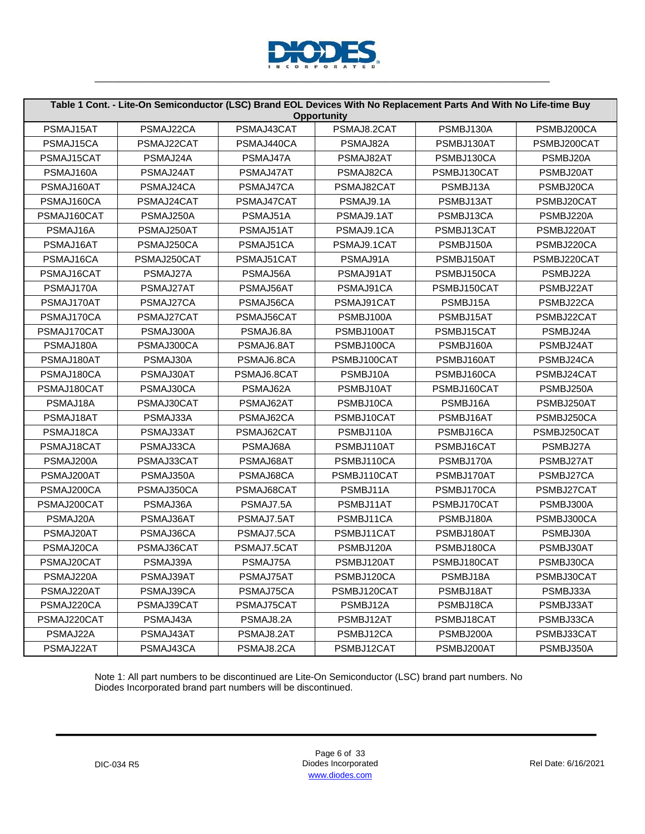

|             |             |             | <b>Opportunity</b> | Table 1 Cont. - Lite-On Semiconductor (LSC) Brand EOL Devices With No Replacement Parts And With No Life-time Buy |             |
|-------------|-------------|-------------|--------------------|-------------------------------------------------------------------------------------------------------------------|-------------|
| PSMAJ15AT   | PSMAJ22CA   | PSMAJ43CAT  | PSMAJ8.2CAT        | PSMBJ130A                                                                                                         | PSMBJ200CA  |
| PSMAJ15CA   | PSMAJ22CAT  | PSMAJ440CA  | PSMAJ82A           | PSMBJ130AT                                                                                                        | PSMBJ200CAT |
| PSMAJ15CAT  | PSMAJ24A    | PSMAJ47A    | PSMAJ82AT          | PSMBJ130CA                                                                                                        | PSMBJ20A    |
| PSMAJ160A   | PSMAJ24AT   | PSMAJ47AT   | PSMAJ82CA          | PSMBJ130CAT                                                                                                       | PSMBJ20AT   |
| PSMAJ160AT  | PSMAJ24CA   | PSMAJ47CA   | PSMAJ82CAT         | PSMBJ13A                                                                                                          | PSMBJ20CA   |
| PSMAJ160CA  | PSMAJ24CAT  | PSMAJ47CAT  | PSMAJ9.1A          | PSMBJ13AT                                                                                                         | PSMBJ20CAT  |
| PSMAJ160CAT | PSMAJ250A   | PSMAJ51A    | PSMAJ9.1AT         | PSMBJ13CA                                                                                                         | PSMBJ220A   |
| PSMAJ16A    | PSMAJ250AT  | PSMAJ51AT   | PSMAJ9.1CA         | PSMBJ13CAT                                                                                                        | PSMBJ220AT  |
| PSMAJ16AT   | PSMAJ250CA  | PSMAJ51CA   | PSMAJ9.1CAT        | PSMBJ150A                                                                                                         | PSMBJ220CA  |
| PSMAJ16CA   | PSMAJ250CAT | PSMAJ51CAT  | PSMAJ91A           | PSMBJ150AT                                                                                                        | PSMBJ220CAT |
| PSMAJ16CAT  | PSMAJ27A    | PSMAJ56A    | PSMAJ91AT          | PSMBJ150CA                                                                                                        | PSMBJ22A    |
| PSMAJ170A   | PSMAJ27AT   | PSMAJ56AT   | PSMAJ91CA          | PSMBJ150CAT                                                                                                       | PSMBJ22AT   |
| PSMAJ170AT  | PSMAJ27CA   | PSMAJ56CA   | PSMAJ91CAT         | PSMBJ15A                                                                                                          | PSMBJ22CA   |
| PSMAJ170CA  | PSMAJ27CAT  | PSMAJ56CAT  | PSMBJ100A          | PSMBJ15AT                                                                                                         | PSMBJ22CAT  |
| PSMAJ170CAT | PSMAJ300A   | PSMAJ6.8A   | PSMBJ100AT         | PSMBJ15CAT                                                                                                        | PSMBJ24A    |
| PSMAJ180A   | PSMAJ300CA  | PSMAJ6.8AT  | PSMBJ100CA         | PSMBJ160A                                                                                                         | PSMBJ24AT   |
| PSMAJ180AT  | PSMAJ30A    | PSMAJ6.8CA  | PSMBJ100CAT        | PSMBJ160AT                                                                                                        | PSMBJ24CA   |
| PSMAJ180CA  | PSMAJ30AT   | PSMAJ6.8CAT | PSMBJ10A           | PSMBJ160CA                                                                                                        | PSMBJ24CAT  |
| PSMAJ180CAT | PSMAJ30CA   | PSMAJ62A    | PSMBJ10AT          | PSMBJ160CAT                                                                                                       | PSMBJ250A   |
| PSMAJ18A    | PSMAJ30CAT  | PSMAJ62AT   | PSMBJ10CA          | PSMBJ16A                                                                                                          | PSMBJ250AT  |
| PSMAJ18AT   | PSMAJ33A    | PSMAJ62CA   | PSMBJ10CAT         | PSMBJ16AT                                                                                                         | PSMBJ250CA  |
| PSMAJ18CA   | PSMAJ33AT   | PSMAJ62CAT  | PSMBJ110A          | PSMBJ16CA                                                                                                         | PSMBJ250CAT |
| PSMAJ18CAT  | PSMAJ33CA   | PSMAJ68A    | PSMBJ110AT         | PSMBJ16CAT                                                                                                        | PSMBJ27A    |
| PSMAJ200A   | PSMAJ33CAT  | PSMAJ68AT   | PSMBJ110CA         | PSMBJ170A                                                                                                         | PSMBJ27AT   |
| PSMAJ200AT  | PSMAJ350A   | PSMAJ68CA   | PSMBJ110CAT        | PSMBJ170AT                                                                                                        | PSMBJ27CA   |
| PSMAJ200CA  | PSMAJ350CA  | PSMAJ68CAT  | PSMBJ11A           | PSMBJ170CA                                                                                                        | PSMBJ27CAT  |
| PSMAJ200CAT | PSMAJ36A    | PSMAJ7.5A   | PSMBJ11AT          | PSMBJ170CAT                                                                                                       | PSMBJ300A   |
| PSMAJ20A    | PSMAJ36AT   | PSMAJ7.5AT  | PSMBJ11CA          | PSMBJ180A                                                                                                         | PSMBJ300CA  |
| PSMAJ20AT   | PSMAJ36CA   | PSMAJ7.5CA  | PSMBJ11CAT         | PSMBJ180AT                                                                                                        | PSMBJ30A    |
| PSMAJ20CA   | PSMAJ36CAT  | PSMAJ7.5CAT | PSMBJ120A          | PSMBJ180CA                                                                                                        | PSMBJ30AT   |
| PSMAJ20CAT  | PSMAJ39A    | PSMAJ75A    | PSMBJ120AT         | PSMBJ180CAT                                                                                                       | PSMBJ30CA   |
| PSMAJ220A   | PSMAJ39AT   | PSMAJ75AT   | PSMBJ120CA         | PSMBJ18A                                                                                                          | PSMBJ30CAT  |
| PSMAJ220AT  | PSMAJ39CA   | PSMAJ75CA   | PSMBJ120CAT        | PSMBJ18AT                                                                                                         | PSMBJ33A    |
| PSMAJ220CA  | PSMAJ39CAT  | PSMAJ75CAT  | PSMBJ12A           | PSMBJ18CA                                                                                                         | PSMBJ33AT   |
| PSMAJ220CAT | PSMAJ43A    | PSMAJ8.2A   | PSMBJ12AT          | PSMBJ18CAT                                                                                                        | PSMBJ33CA   |
| PSMAJ22A    | PSMAJ43AT   | PSMAJ8.2AT  | PSMBJ12CA          | PSMBJ200A                                                                                                         | PSMBJ33CAT  |
| PSMAJ22AT   | PSMAJ43CA   | PSMAJ8.2CA  | PSMBJ12CAT         | PSMBJ200AT                                                                                                        | PSMBJ350A   |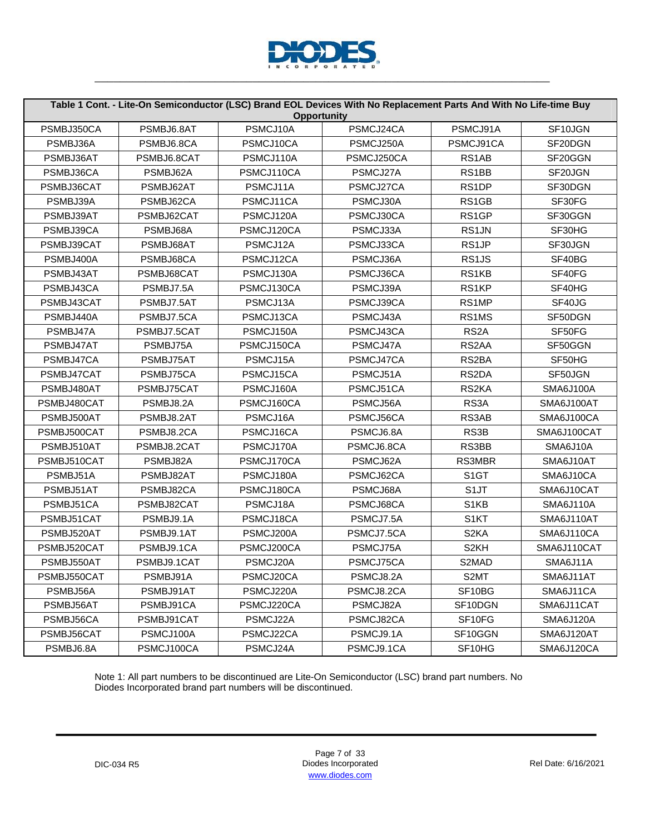

|             |             | <b>Opportunity</b> | Table 1 Cont. - Lite-On Semiconductor (LSC) Brand EOL Devices With No Replacement Parts And With No Life-time Buy |                                |                  |
|-------------|-------------|--------------------|-------------------------------------------------------------------------------------------------------------------|--------------------------------|------------------|
| PSMBJ350CA  | PSMBJ6.8AT  | PSMCJ10A           | PSMCJ24CA                                                                                                         | PSMCJ91A                       | SF10JGN          |
| PSMBJ36A    | PSMBJ6.8CA  | PSMCJ10CA          | PSMCJ250A                                                                                                         | PSMCJ91CA                      | SF20DGN          |
| PSMBJ36AT   | PSMBJ6.8CAT | PSMCJ110A          | PSMCJ250CA                                                                                                        | RS1AB                          | SF20GGN          |
| PSMBJ36CA   | PSMBJ62A    | PSMCJ110CA         | PSMCJ27A                                                                                                          | RS1BB                          | SF20JGN          |
| PSMBJ36CAT  | PSMBJ62AT   | PSMCJ11A           | PSMCJ27CA                                                                                                         | RS1DP                          | SF30DGN          |
| PSMBJ39A    | PSMBJ62CA   | PSMCJ11CA          | PSMCJ30A                                                                                                          | RS1GB                          | SF30FG           |
| PSMBJ39AT   | PSMBJ62CAT  | PSMCJ120A          | PSMCJ30CA                                                                                                         | RS1GP                          | SF30GGN          |
| PSMBJ39CA   | PSMBJ68A    | PSMCJ120CA         | PSMCJ33A                                                                                                          | RS1JN                          | SF30HG           |
| PSMBJ39CAT  | PSMBJ68AT   | PSMCJ12A           | PSMCJ33CA                                                                                                         | RS1JP                          | SF30JGN          |
| PSMBJ400A   | PSMBJ68CA   | PSMCJ12CA          | PSMCJ36A                                                                                                          | RS1JS                          | SF40BG           |
| PSMBJ43AT   | PSMBJ68CAT  | PSMCJ130A          | PSMCJ36CA                                                                                                         | RS1KB                          | SF40FG           |
| PSMBJ43CA   | PSMBJ7.5A   | PSMCJ130CA         | PSMCJ39A                                                                                                          | RS1KP                          | SF40HG           |
| PSMBJ43CAT  | PSMBJ7.5AT  | PSMCJ13A           | PSMCJ39CA                                                                                                         | RS1MP                          | SF40JG           |
| PSMBJ440A   | PSMBJ7.5CA  | PSMCJ13CA          | PSMCJ43A                                                                                                          | RS <sub>1</sub> M <sub>S</sub> | SF50DGN          |
| PSMBJ47A    | PSMBJ7.5CAT | PSMCJ150A          | PSMCJ43CA                                                                                                         | RS <sub>2</sub> A              | SF50FG           |
| PSMBJ47AT   | PSMBJ75A    | PSMCJ150CA         | PSMCJ47A                                                                                                          | RS2AA                          | SF50GGN          |
| PSMBJ47CA   | PSMBJ75AT   | PSMCJ15A           | PSMCJ47CA                                                                                                         | RS2BA                          | SF50HG           |
| PSMBJ47CAT  | PSMBJ75CA   | PSMCJ15CA          | PSMCJ51A                                                                                                          | RS2DA                          | SF50JGN          |
| PSMBJ480AT  | PSMBJ75CAT  | PSMCJ160A          | PSMCJ51CA                                                                                                         | RS2KA                          | SMA6J100A        |
| PSMBJ480CAT | PSMBJ8.2A   | PSMCJ160CA         | PSMCJ56A                                                                                                          | RS3A                           | SMA6J100AT       |
| PSMBJ500AT  | PSMBJ8.2AT  | PSMCJ16A           | PSMCJ56CA                                                                                                         | RS3AB                          | SMA6J100CA       |
| PSMBJ500CAT | PSMBJ8.2CA  | PSMCJ16CA          | PSMCJ6.8A                                                                                                         | RS3B                           | SMA6J100CAT      |
| PSMBJ510AT  | PSMBJ8.2CAT | PSMCJ170A          | PSMCJ6.8CA                                                                                                        | RS3BB                          | SMA6J10A         |
| PSMBJ510CAT | PSMBJ82A    | PSMCJ170CA         | PSMCJ62A                                                                                                          | RS3MBR                         | SMA6J10AT        |
| PSMBJ51A    | PSMBJ82AT   | PSMCJ180A          | PSMCJ62CA                                                                                                         | S <sub>1</sub> GT              | SMA6J10CA        |
| PSMBJ51AT   | PSMBJ82CA   | PSMCJ180CA         | PSMCJ68A                                                                                                          | S <sub>1</sub> JT              | SMA6J10CAT       |
| PSMBJ51CA   | PSMBJ82CAT  | PSMCJ18A           | PSMCJ68CA                                                                                                         | S1KB                           | <b>SMA6J110A</b> |
| PSMBJ51CAT  | PSMBJ9.1A   | PSMCJ18CA          | PSMCJ7.5A                                                                                                         | S <sub>1</sub> KT              | SMA6J110AT       |
| PSMBJ520AT  | PSMBJ9.1AT  | PSMCJ200A          | PSMCJ7.5CA                                                                                                        | S <sub>2</sub> KA              | SMA6J110CA       |
| PSMBJ520CAT | PSMBJ9.1CA  | PSMCJ200CA         | PSMCJ75A                                                                                                          | S <sub>2KH</sub>               | SMA6J110CAT      |
| PSMBJ550AT  | PSMBJ9.1CAT | PSMCJ20A           | PSMCJ75CA                                                                                                         | S2MAD                          | SMA6J11A         |
| PSMBJ550CAT | PSMBJ91A    | PSMCJ20CA          | PSMCJ8.2A                                                                                                         | S2MT                           | SMA6J11AT        |
| PSMBJ56A    | PSMBJ91AT   | PSMCJ220A          | PSMCJ8.2CA                                                                                                        | SF10BG                         | SMA6J11CA        |
| PSMBJ56AT   | PSMBJ91CA   | PSMCJ220CA         | PSMCJ82A                                                                                                          | SF10DGN                        | SMA6J11CAT       |
| PSMBJ56CA   | PSMBJ91CAT  | PSMCJ22A           | PSMCJ82CA                                                                                                         | SF10FG                         | SMA6J120A        |
| PSMBJ56CAT  | PSMCJ100A   | PSMCJ22CA          | PSMCJ9.1A                                                                                                         | SF10GGN                        | SMA6J120AT       |
| PSMBJ6.8A   | PSMCJ100CA  | PSMCJ24A           | PSMCJ9.1CA                                                                                                        | SF10HG                         | SMA6J120CA       |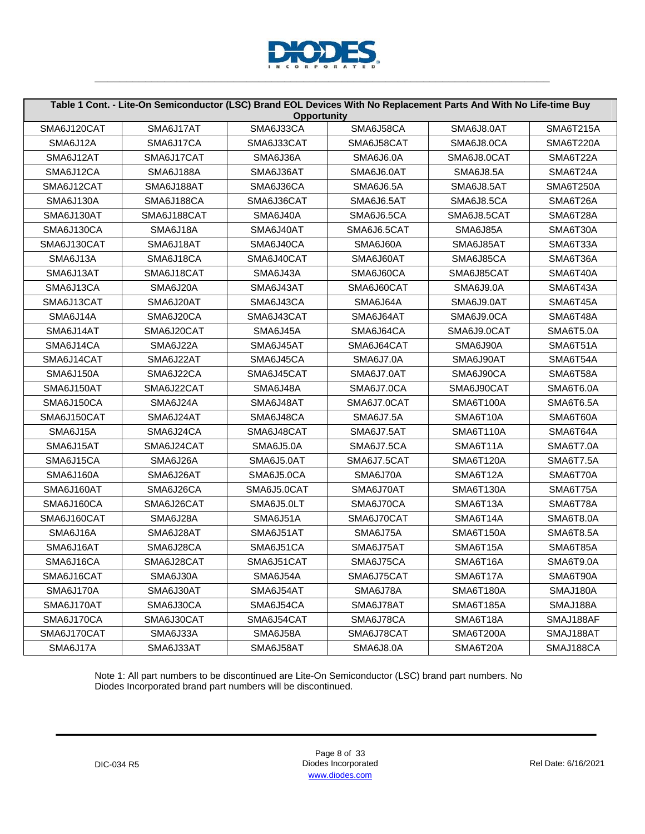

|                  | Table 1 Cont. - Lite-On Semiconductor (LSC) Brand EOL Devices With No Replacement Parts And With No Life-time Buy | <b>Opportunity</b> |                  |                  |                  |
|------------------|-------------------------------------------------------------------------------------------------------------------|--------------------|------------------|------------------|------------------|
| SMA6J120CAT      | SMA6J17AT                                                                                                         | SMA6J33CA          | SMA6J58CA        | SMA6J8.0AT       | <b>SMA6T215A</b> |
| SMA6J12A         | SMA6J17CA                                                                                                         | SMA6J33CAT         | SMA6J58CAT       | SMA6J8.0CA       | SMA6T220A        |
| SMA6J12AT        | SMA6J17CAT                                                                                                        | SMA6J36A           | <b>SMA6J6.0A</b> | SMA6J8.0CAT      | SMA6T22A         |
| SMA6J12CA        | SMA6J188A                                                                                                         | SMA6J36AT          | SMA6J6.0AT       | <b>SMA6J8.5A</b> | SMA6T24A         |
| SMA6J12CAT       | SMA6J188AT                                                                                                        | SMA6J36CA          | SMA6J6.5A        | SMA6J8.5AT       | SMA6T250A        |
| <b>SMA6J130A</b> | SMA6J188CA                                                                                                        | SMA6J36CAT         | SMA6J6.5AT       | SMA6J8.5CA       | SMA6T26A         |
| SMA6J130AT       | SMA6J188CAT                                                                                                       | SMA6J40A           | SMA6J6.5CA       | SMA6J8.5CAT      | SMA6T28A         |
| SMA6J130CA       | SMA6J18A                                                                                                          | SMA6J40AT          | SMA6J6.5CAT      | SMA6J85A         | SMA6T30A         |
| SMA6J130CAT      | SMA6J18AT                                                                                                         | SMA6J40CA          | SMA6J60A         | SMA6J85AT        | SMA6T33A         |
| SMA6J13A         | SMA6J18CA                                                                                                         | SMA6J40CAT         | SMA6J60AT        | SMA6J85CA        | SMA6T36A         |
| SMA6J13AT        | SMA6J18CAT                                                                                                        | SMA6J43A           | SMA6J60CA        | SMA6J85CAT       | SMA6T40A         |
| SMA6J13CA        | SMA6J20A                                                                                                          | SMA6J43AT          | SMA6J60CAT       | SMA6J9.0A        | SMA6T43A         |
| SMA6J13CAT       | SMA6J20AT                                                                                                         | SMA6J43CA          | SMA6J64A         | SMA6J9.0AT       | SMA6T45A         |
| SMA6J14A         | SMA6J20CA                                                                                                         | SMA6J43CAT         | SMA6J64AT        | SMA6J9.0CA       | SMA6T48A         |
| SMA6J14AT        | SMA6J20CAT                                                                                                        | SMA6J45A           | SMA6J64CA        | SMA6J9.0CAT      | SMA6T5.0A        |
| SMA6J14CA        | SMA6J22A                                                                                                          | SMA6J45AT          | SMA6J64CAT       | SMA6J90A         | SMA6T51A         |
| SMA6J14CAT       | SMA6J22AT                                                                                                         | SMA6J45CA          | <b>SMA6J7.0A</b> | SMA6J90AT        | SMA6T54A         |
| SMA6J150A        | SMA6J22CA                                                                                                         | SMA6J45CAT         | SMA6J7.0AT       | SMA6J90CA        | SMA6T58A         |
| SMA6J150AT       | SMA6J22CAT                                                                                                        | SMA6J48A           | SMA6J7.0CA       | SMA6J90CAT       | SMA6T6.0A        |
| SMA6J150CA       | SMA6J24A                                                                                                          | SMA6J48AT          | SMA6J7.0CAT      | <b>SMA6T100A</b> | SMA6T6.5A        |
| SMA6J150CAT      | SMA6J24AT                                                                                                         | SMA6J48CA          | <b>SMA6J7.5A</b> | SMA6T10A         | SMA6T60A         |
| SMA6J15A         | SMA6J24CA                                                                                                         | SMA6J48CAT         | SMA6J7.5AT       | SMA6T110A        | SMA6T64A         |
| SMA6J15AT        | SMA6J24CAT                                                                                                        | <b>SMA6J5.0A</b>   | SMA6J7.5CA       | SMA6T11A         | <b>SMA6T7.0A</b> |
| SMA6J15CA        | SMA6J26A                                                                                                          | SMA6J5.0AT         | SMA6J7.5CAT      | SMA6T120A        | <b>SMA6T7.5A</b> |
| SMA6J160A        | SMA6J26AT                                                                                                         | SMA6J5.0CA         | SMA6J70A         | SMA6T12A         | SMA6T70A         |
| SMA6J160AT       | SMA6J26CA                                                                                                         | SMA6J5.0CAT        | SMA6J70AT        | SMA6T130A        | SMA6T75A         |
| SMA6J160CA       | SMA6J26CAT                                                                                                        | SMA6J5.0LT         | SMA6J70CA        | SMA6T13A         | SMA6T78A         |
| SMA6J160CAT      | SMA6J28A                                                                                                          | SMA6J51A           | SMA6J70CAT       | SMA6T14A         | <b>SMA6T8.0A</b> |
| SMA6J16A         | SMA6J28AT                                                                                                         | SMA6J51AT          | SMA6J75A         | SMA6T150A        | SMA6T8.5A        |
| SMA6J16AT        | SMA6J28CA                                                                                                         | SMA6J51CA          | SMA6J75AT        | SMA6T15A         | SMA6T85A         |
| SMA6J16CA        | SMA6J28CAT                                                                                                        | SMA6J51CAT         | SMA6J75CA        | SMA6T16A         | SMA6T9.0A        |
| SMA6J16CAT       | SMA6J30A                                                                                                          | SMA6J54A           | SMA6J75CAT       | SMA6T17A         | SMA6T90A         |
| SMA6J170A        | SMA6J30AT                                                                                                         | SMA6J54AT          | SMA6J78A         | <b>SMA6T180A</b> | SMAJ180A         |
| SMA6J170AT       | SMA6J30CA                                                                                                         | SMA6J54CA          | SMA6J78AT        | <b>SMA6T185A</b> | SMAJ188A         |
| SMA6J170CA       | SMA6J30CAT                                                                                                        | SMA6J54CAT         | SMA6J78CA        | SMA6T18A         | SMAJ188AF        |
| SMA6J170CAT      | SMA6J33A                                                                                                          | SMA6J58A           | SMA6J78CAT       | SMA6T200A        | SMAJ188AT        |
| SMA6J17A         | SMA6J33AT                                                                                                         | SMA6J58AT          | <b>SMA6J8.0A</b> | SMA6T20A         | SMAJ188CA        |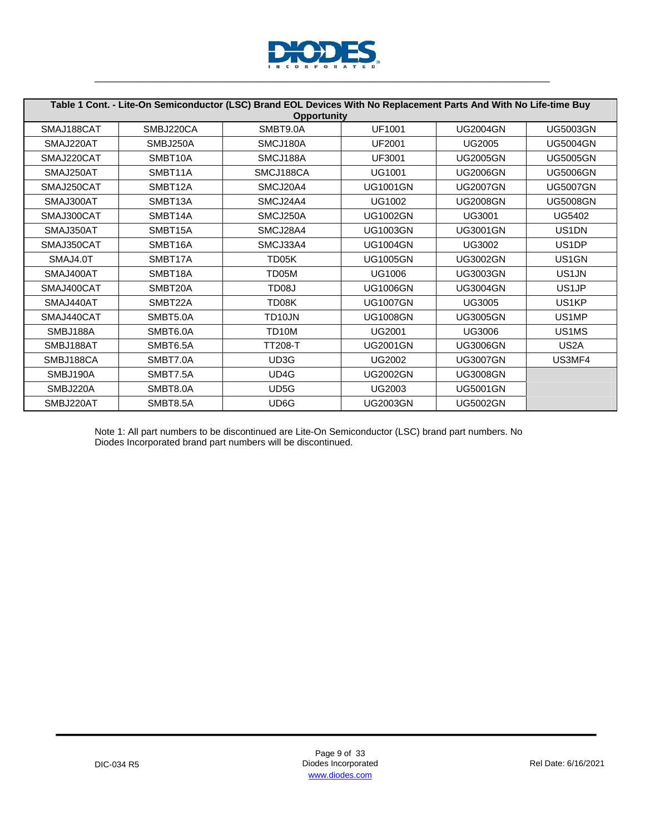

|            | Table 1 Cont. - Lite-On Semiconductor (LSC) Brand EOL Devices With No Replacement Parts And With No Life-time Buy |                     |                 |                 |                                |  |  |  |  |  |
|------------|-------------------------------------------------------------------------------------------------------------------|---------------------|-----------------|-----------------|--------------------------------|--|--|--|--|--|
|            | <b>Opportunity</b>                                                                                                |                     |                 |                 |                                |  |  |  |  |  |
| SMAJ188CAT | SMBJ220CA                                                                                                         | SMBT9.0A            | <b>UF1001</b>   | <b>UG2004GN</b> | <b>UG5003GN</b>                |  |  |  |  |  |
| SMAJ220AT  | SMBJ250A                                                                                                          | SMCJ180A            | UF2001          | <b>UG2005</b>   | <b>UG5004GN</b>                |  |  |  |  |  |
| SMAJ220CAT | SMBT <sub>10</sub> A                                                                                              | SMCJ188A            | UF3001          | <b>UG2005GN</b> | <b>UG5005GN</b>                |  |  |  |  |  |
| SMAJ250AT  | SMBT11A                                                                                                           | SMCJ188CA           | UG1001          | <b>UG2006GN</b> | <b>UG5006GN</b>                |  |  |  |  |  |
| SMAJ250CAT | SMBT12A                                                                                                           | SMCJ20A4            | <b>UG1001GN</b> | <b>UG2007GN</b> | <b>UG5007GN</b>                |  |  |  |  |  |
| SMAJ300AT  | SMBT <sub>13</sub> A                                                                                              | SMCJ24A4            | <b>UG1002</b>   | <b>UG2008GN</b> | <b>UG5008GN</b>                |  |  |  |  |  |
| SMAJ300CAT | SMBT14A                                                                                                           | SMCJ250A            | <b>UG1002GN</b> | <b>UG3001</b>   | <b>UG5402</b>                  |  |  |  |  |  |
| SMAJ350AT  | SMBT15A                                                                                                           | SMCJ28A4            | <b>UG1003GN</b> | <b>UG3001GN</b> | US1DN                          |  |  |  |  |  |
| SMAJ350CAT | SMBT16A                                                                                                           | SMCJ33A4            | <b>UG1004GN</b> | <b>UG3002</b>   | US <sub>1</sub> DP             |  |  |  |  |  |
| SMAJ4.0T   | SMBT17A                                                                                                           | TD <sub>05</sub> K  | <b>UG1005GN</b> | <b>UG3002GN</b> | US <sub>1</sub> GN             |  |  |  |  |  |
| SMAJ400AT  | SMBT18A                                                                                                           | TD05M               | <b>UG1006</b>   | <b>UG3003GN</b> | US <sub>1</sub> JN             |  |  |  |  |  |
| SMAJ400CAT | SMBT20A                                                                                                           | TD <sub>08</sub> J  | <b>UG1006GN</b> | <b>UG3004GN</b> | US <sub>1</sub> JP             |  |  |  |  |  |
| SMAJ440AT  | SMBT22A                                                                                                           | TD08K               | <b>UG1007GN</b> | <b>UG3005</b>   | US1KP                          |  |  |  |  |  |
| SMAJ440CAT | SMBT5.0A                                                                                                          | TD <sub>10</sub> JN | <b>UG1008GN</b> | <b>UG3005GN</b> | US <sub>1</sub> MP             |  |  |  |  |  |
| SMBJ188A   | SMBT6.0A                                                                                                          | TD <sub>10</sub> M  | <b>UG2001</b>   | <b>UG3006</b>   | US <sub>1</sub> M <sub>S</sub> |  |  |  |  |  |
| SMBJ188AT  | SMBT6.5A                                                                                                          | <b>TT208-T</b>      | <b>UG2001GN</b> | <b>UG3006GN</b> | US <sub>2</sub> A              |  |  |  |  |  |
| SMBJ188CA  | SMBT7.0A                                                                                                          | UD3G                | <b>UG2002</b>   | <b>UG3007GN</b> | US3MF4                         |  |  |  |  |  |
| SMBJ190A   | SMBT7.5A                                                                                                          | UD4G                | <b>UG2002GN</b> | <b>UG3008GN</b> |                                |  |  |  |  |  |
| SMBJ220A   | SMBT8.0A                                                                                                          | UD <sub>5</sub> G   | <b>UG2003</b>   | <b>UG5001GN</b> |                                |  |  |  |  |  |
| SMBJ220AT  | SMBT8.5A                                                                                                          | UD6G                | <b>UG2003GN</b> | <b>UG5002GN</b> |                                |  |  |  |  |  |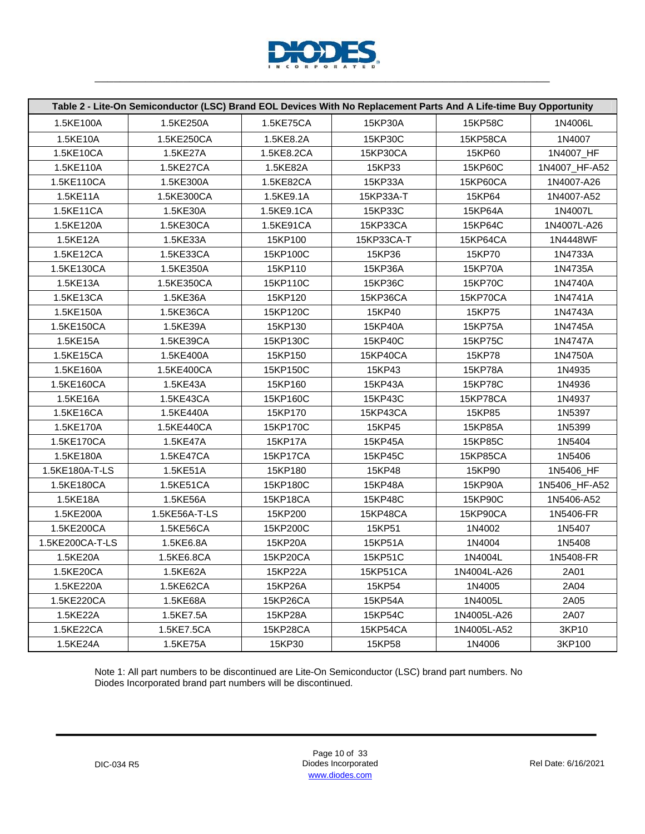

|                 | Table 2 - Lite-On Semiconductor (LSC) Brand EOL Devices With No Replacement Parts And A Life-time Buy Opportunity |            |            |             |               |
|-----------------|-------------------------------------------------------------------------------------------------------------------|------------|------------|-------------|---------------|
| 1.5KE100A       | 1.5KE250A                                                                                                         | 1.5KE75CA  | 15KP30A    | 15KP58C     | 1N4006L       |
| 1.5KE10A        | 1.5KE250CA                                                                                                        | 1.5KE8.2A  | 15KP30C    | 15KP58CA    | 1N4007        |
| 1.5KE10CA       | 1.5KE27A                                                                                                          | 1.5KE8.2CA | 15KP30CA   | 15KP60      | 1N4007_HF     |
| 1.5KE110A       | 1.5KE27CA                                                                                                         | 1.5KE82A   | 15KP33     | 15KP60C     | 1N4007_HF-A52 |
| 1.5KE110CA      | 1.5KE300A                                                                                                         | 1.5KE82CA  | 15KP33A    | 15KP60CA    | 1N4007-A26    |
| 1.5KE11A        | 1.5KE300CA                                                                                                        | 1.5KE9.1A  | 15KP33A-T  | 15KP64      | 1N4007-A52    |
| 1.5KE11CA       | 1.5KE30A                                                                                                          | 1.5KE9.1CA | 15KP33C    | 15KP64A     | 1N4007L       |
| 1.5KE120A       | 1.5KE30CA                                                                                                         | 1.5KE91CA  | 15KP33CA   | 15KP64C     | 1N4007L-A26   |
| 1.5KE12A        | 1.5KE33A                                                                                                          | 15KP100    | 15KP33CA-T | 15KP64CA    | 1N4448WF      |
| 1.5KE12CA       | 1.5KE33CA                                                                                                         | 15KP100C   | 15KP36     | 15KP70      | 1N4733A       |
| 1.5KE130CA      | 1.5KE350A                                                                                                         | 15KP110    | 15KP36A    | 15KP70A     | 1N4735A       |
| 1.5KE13A        | 1.5KE350CA                                                                                                        | 15KP110C   | 15KP36C    | 15KP70C     | 1N4740A       |
| 1.5KE13CA       | 1.5KE36A                                                                                                          | 15KP120    | 15KP36CA   | 15KP70CA    | 1N4741A       |
| 1.5KE150A       | 1.5KE36CA                                                                                                         | 15KP120C   | 15KP40     | 15KP75      | 1N4743A       |
| 1.5KE150CA      | 1.5KE39A                                                                                                          | 15KP130    | 15KP40A    | 15KP75A     | 1N4745A       |
| 1.5KE15A        | 1.5KE39CA                                                                                                         | 15KP130C   | 15KP40C    | 15KP75C     | 1N4747A       |
| 1.5KE15CA       | 1.5KE400A                                                                                                         | 15KP150    | 15KP40CA   | 15KP78      | 1N4750A       |
| 1.5KE160A       | 1.5KE400CA                                                                                                        | 15KP150C   | 15KP43     | 15KP78A     | 1N4935        |
| 1.5KE160CA      | 1.5KE43A                                                                                                          | 15KP160    | 15KP43A    | 15KP78C     | 1N4936        |
| 1.5KE16A        | 1.5KE43CA                                                                                                         | 15KP160C   | 15KP43C    | 15KP78CA    | 1N4937        |
| 1.5KE16CA       | 1.5KE440A                                                                                                         | 15KP170    | 15KP43CA   | 15KP85      | 1N5397        |
| 1.5KE170A       | 1.5KE440CA                                                                                                        | 15KP170C   | 15KP45     | 15KP85A     | 1N5399        |
| 1.5KE170CA      | 1.5KE47A                                                                                                          | 15KP17A    | 15KP45A    | 15KP85C     | 1N5404        |
| 1.5KE180A       | 1.5KE47CA                                                                                                         | 15KP17CA   | 15KP45C    | 15KP85CA    | 1N5406        |
| 1.5KE180A-T-LS  | 1.5KE51A                                                                                                          | 15KP180    | 15KP48     | 15KP90      | 1N5406_HF     |
| 1.5KE180CA      | 1.5KE51CA                                                                                                         | 15KP180C   | 15KP48A    | 15KP90A     | 1N5406_HF-A52 |
| 1.5KE18A        | 1.5KE56A                                                                                                          | 15KP18CA   | 15KP48C    | 15KP90C     | 1N5406-A52    |
| 1.5KE200A       | 1.5KE56A-T-LS                                                                                                     | 15KP200    | 15KP48CA   | 15KP90CA    | 1N5406-FR     |
| 1.5KE200CA      | 1.5KE56CA                                                                                                         | 15KP200C   | 15KP51     | 1N4002      | 1N5407        |
| 1.5KE200CA-T-LS | 1.5KE6.8A                                                                                                         | 15KP20A    | 15KP51A    | 1N4004      | 1N5408        |
| 1.5KE20A        | 1.5KE6.8CA                                                                                                        | 15KP20CA   | 15KP51C    | 1N4004L     | 1N5408-FR     |
| 1.5KE20CA       | 1.5KE62A                                                                                                          | 15KP22A    | 15KP51CA   | 1N4004L-A26 | 2A01          |
| 1.5KE220A       | 1.5KE62CA                                                                                                         | 15KP26A    | 15KP54     | 1N4005      | 2A04          |
| 1.5KE220CA      | 1.5KE68A                                                                                                          | 15KP26CA   | 15KP54A    | 1N4005L     | 2A05          |
| 1.5KE22A        | 1.5KE7.5A                                                                                                         | 15KP28A    | 15KP54C    | 1N4005L-A26 | 2A07          |
| 1.5KE22CA       | 1.5KE7.5CA                                                                                                        | 15KP28CA   | 15KP54CA   | 1N4005L-A52 | 3KP10         |
| 1.5KE24A        | 1.5KE75A                                                                                                          | 15KP30     | 15KP58     | 1N4006      | 3KP100        |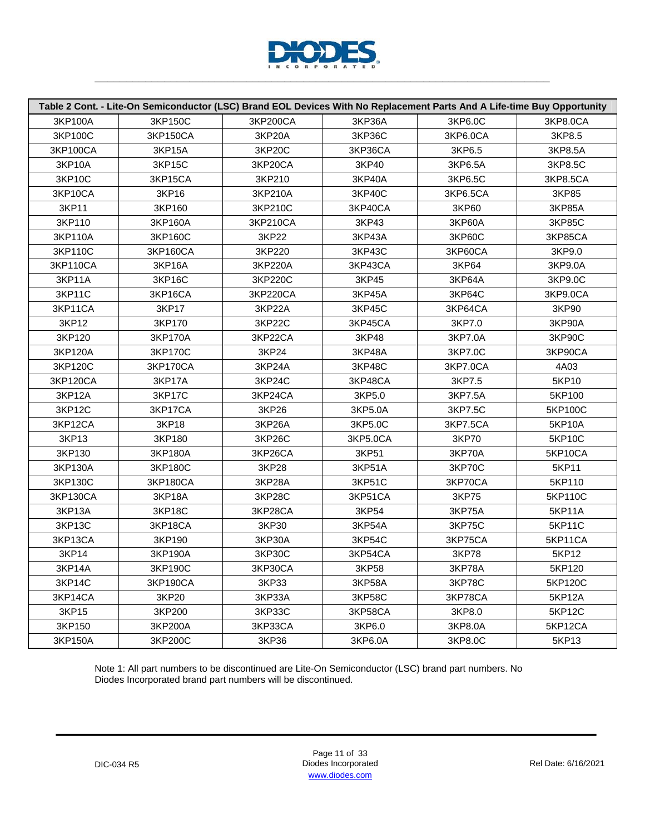

| Table 2 Cont. - Lite-On Semiconductor (LSC) Brand EOL Devices With No Replacement Parts And A Life-time Buy Opportunity |               |          |               |               |               |
|-------------------------------------------------------------------------------------------------------------------------|---------------|----------|---------------|---------------|---------------|
| 3KP100A                                                                                                                 | 3KP150C       | 3KP200CA | 3KP36A        | 3KP6.0C       | 3KP8.0CA      |
| 3KP100C                                                                                                                 | 3KP150CA      | 3KP20A   | <b>3KP36C</b> | 3KP6.0CA      | 3KP8.5        |
| 3KP100CA                                                                                                                | 3KP15A        | 3KP20C   | 3KP36CA       | 3KP6.5        | 3KP8.5A       |
| 3KP10A                                                                                                                  | 3KP15C        | 3KP20CA  | 3KP40         | 3KP6.5A       | 3KP8.5C       |
| 3KP10C                                                                                                                  | 3KP15CA       | 3KP210   | 3KP40A        | 3KP6.5C       | 3KP8.5CA      |
| 3KP10CA                                                                                                                 | 3KP16         | 3KP210A  | 3KP40C        | 3KP6.5CA      | 3KP85         |
| 3KP11                                                                                                                   | 3KP160        | 3KP210C  | 3KP40CA       | 3KP60         | 3KP85A        |
| 3KP110                                                                                                                  | 3KP160A       | 3KP210CA | 3KP43         | 3KP60A        | 3KP85C        |
| 3KP110A                                                                                                                 | 3KP160C       | 3KP22    | 3KP43A        | <b>3KP60C</b> | 3KP85CA       |
| 3KP110C                                                                                                                 | 3KP160CA      | 3KP220   | 3KP43C        | 3KP60CA       | 3KP9.0        |
| 3KP110CA                                                                                                                | 3KP16A        | 3KP220A  | 3KP43CA       | 3KP64         | 3KP9.0A       |
| 3KP11A                                                                                                                  | 3KP16C        | 3KP220C  | 3KP45         | 3KP64A        | 3KP9.0C       |
| 3KP11C                                                                                                                  | 3KP16CA       | 3KP220CA | 3KP45A        | 3KP64C        | 3KP9.0CA      |
| 3KP11CA                                                                                                                 | 3KP17         | 3KP22A   | 3KP45C        | 3KP64CA       | 3KP90         |
| 3KP12                                                                                                                   | 3KP170        | 3KP22C   | 3KP45CA       | 3KP7.0        | 3KP90A        |
| 3KP120                                                                                                                  | 3KP170A       | 3KP22CA  | 3KP48         | 3KP7.0A       | 3KP90C        |
| 3KP120A                                                                                                                 | 3KP170C       | 3KP24    | 3KP48A        | 3KP7.0C       | 3KP90CA       |
| 3KP120C                                                                                                                 | 3KP170CA      | 3KP24A   | <b>3KP48C</b> | 3KP7.0CA      | 4A03          |
| 3KP120CA                                                                                                                | 3KP17A        | 3KP24C   | 3KP48CA       | 3KP7.5        | 5KP10         |
| 3KP12A                                                                                                                  | <b>3KP17C</b> | 3KP24CA  | 3KP5.0        | 3KP7.5A       | 5KP100        |
| 3KP12C                                                                                                                  | 3KP17CA       | 3KP26    | 3KP5.0A       | 3KP7.5C       | 5KP100C       |
| 3KP12CA                                                                                                                 | 3KP18         | 3KP26A   | 3KP5.0C       | 3KP7.5CA      | 5KP10A        |
| 3KP13                                                                                                                   | 3KP180        | 3KP26C   | 3KP5.0CA      | 3KP70         | 5KP10C        |
| 3KP130                                                                                                                  | 3KP180A       | 3KP26CA  | 3KP51         | 3KP70A        | 5KP10CA       |
| 3KP130A                                                                                                                 | 3KP180C       | 3KP28    | 3KP51A        | <b>3KP70C</b> | 5KP11         |
| 3KP130C                                                                                                                 | 3KP180CA      | 3KP28A   | 3KP51C        | 3KP70CA       | 5KP110        |
| 3KP130CA                                                                                                                | 3KP18A        | 3KP28C   | 3KP51CA       | 3KP75         | 5KP110C       |
| 3KP13A                                                                                                                  | 3KP18C        | 3KP28CA  | 3KP54         | 3KP75A        | 5KP11A        |
| 3KP13C                                                                                                                  | 3KP18CA       | 3KP30    | 3KP54A        | 3KP75C        | 5KP11C        |
| 3KP13CA                                                                                                                 | 3KP190        | 3KP30A   | 3KP54C        | 3KP75CA       | 5KP11CA       |
| 3KP14                                                                                                                   | 3KP190A       | 3KP30C   | 3KP54CA       | 3KP78         | 5KP12         |
| 3KP14A                                                                                                                  | 3KP190C       | 3KP30CA  | 3KP58         | 3KP78A        | 5KP120        |
| 3KP14C                                                                                                                  | 3KP190CA      | 3KP33    | 3KP58A        | 3KP78C        | 5KP120C       |
| 3KP14CA                                                                                                                 | 3KP20         | 3KP33A   | 3KP58C        | 3KP78CA       | 5KP12A        |
| 3KP15                                                                                                                   | 3KP200        | 3KP33C   | 3KP58CA       | 3KP8.0        | <b>5KP12C</b> |
| 3KP150                                                                                                                  | 3KP200A       | 3KP33CA  | 3KP6.0        | 3KP8.0A       | 5KP12CA       |
| 3KP150A                                                                                                                 | 3KP200C       | 3KP36    | 3KP6.0A       | 3KP8.0C       | 5KP13         |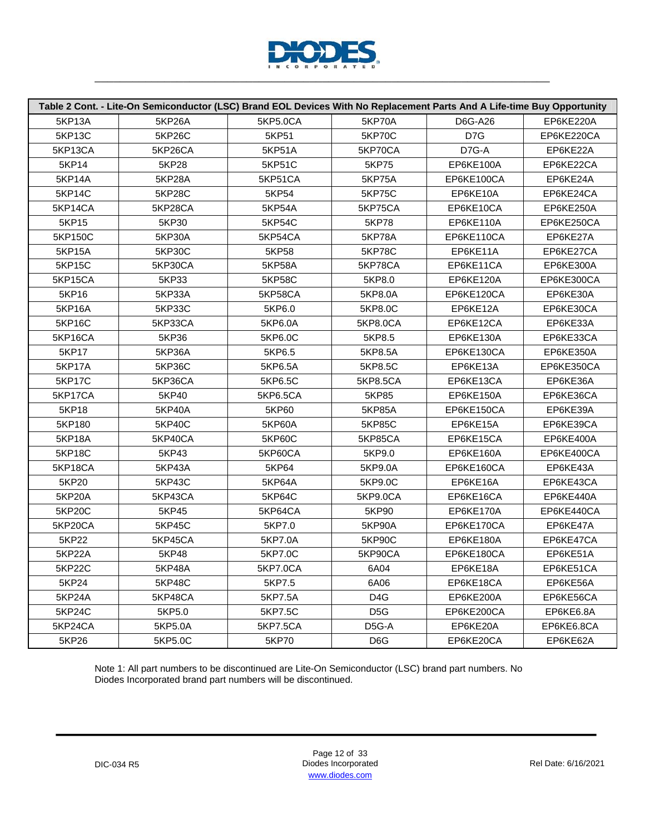

| Table 2 Cont. - Lite-On Semiconductor (LSC) Brand EOL Devices With No Replacement Parts And A Life-time Buy Opportunity |               |               |                  |            |            |
|-------------------------------------------------------------------------------------------------------------------------|---------------|---------------|------------------|------------|------------|
| 5KP13A                                                                                                                  | <b>5KP26A</b> | 5KP5.0CA      | <b>5KP70A</b>    | D6G-A26    | EP6KE220A  |
| 5KP13C                                                                                                                  | <b>5KP26C</b> | 5KP51         | <b>5KP70C</b>    | D7G        | EP6KE220CA |
| 5KP13CA                                                                                                                 | 5KP26CA       | 5KP51A        | 5KP70CA          | D7G-A      | EP6KE22A   |
| 5KP14                                                                                                                   | 5KP28         | 5KP51C        | 5KP75            | EP6KE100A  | EP6KE22CA  |
| 5KP14A                                                                                                                  | 5KP28A        | 5KP51CA       | <b>5KP75A</b>    | EP6KE100CA | EP6KE24A   |
| 5KP14C                                                                                                                  | <b>5KP28C</b> | 5KP54         | <b>5KP75C</b>    | EP6KE10A   | EP6KE24CA  |
| 5KP14CA                                                                                                                 | 5KP28CA       | <b>5KP54A</b> | 5KP75CA          | EP6KE10CA  | EP6KE250A  |
| 5KP15                                                                                                                   | 5KP30         | 5KP54C        | 5KP78            | EP6KE110A  | EP6KE250CA |
| 5KP150C                                                                                                                 | 5KP30A        | 5KP54CA       | 5KP78A           | EP6KE110CA | EP6KE27A   |
| 5KP15A                                                                                                                  | <b>5KP30C</b> | 5KP58         | <b>5KP78C</b>    | EP6KE11A   | EP6KE27CA  |
| <b>5KP15C</b>                                                                                                           | 5KP30CA       | <b>5KP58A</b> | 5KP78CA          | EP6KE11CA  | EP6KE300A  |
| 5KP15CA                                                                                                                 | 5KP33         | <b>5KP58C</b> | 5KP8.0           | EP6KE120A  | EP6KE300CA |
| 5KP16                                                                                                                   | 5KP33A        | 5KP58CA       | 5KP8.0A          | EP6KE120CA | EP6KE30A   |
| <b>5KP16A</b>                                                                                                           | 5KP33C        | 5KP6.0        | 5KP8.0C          | EP6KE12A   | EP6KE30CA  |
| 5KP16C                                                                                                                  | 5KP33CA       | 5KP6.0A       | 5KP8.0CA         | EP6KE12CA  | EP6KE33A   |
| 5KP16CA                                                                                                                 | 5KP36         | 5KP6.0C       | 5KP8.5           | EP6KE130A  | EP6KE33CA  |
| 5KP17                                                                                                                   | 5KP36A        | 5KP6.5        | 5KP8.5A          | EP6KE130CA | EP6KE350A  |
| <b>5KP17A</b>                                                                                                           | <b>5KP36C</b> | 5KP6.5A       | 5KP8.5C          | EP6KE13A   | EP6KE350CA |
| <b>5KP17C</b>                                                                                                           | 5KP36CA       | 5KP6.5C       | 5KP8.5CA         | EP6KE13CA  | EP6KE36A   |
| 5KP17CA                                                                                                                 | 5KP40         | 5KP6.5CA      | 5KP85            | EP6KE150A  | EP6KE36CA  |
| 5KP18                                                                                                                   | 5KP40A        | 5KP60         | 5KP85A           | EP6KE150CA | EP6KE39A   |
| 5KP180                                                                                                                  | <b>5KP40C</b> | 5KP60A        | 5KP85C           | EP6KE15A   | EP6KE39CA  |
| 5KP18A                                                                                                                  | 5KP40CA       | 5KP60C        | <b>5KP85CA</b>   | EP6KE15CA  | EP6KE400A  |
| <b>5KP18C</b>                                                                                                           | 5KP43         | 5KP60CA       | 5KP9.0           | EP6KE160A  | EP6KE400CA |
| 5KP18CA                                                                                                                 | 5KP43A        | 5KP64         | 5KP9.0A          | EP6KE160CA | EP6KE43A   |
| 5KP20                                                                                                                   | 5KP43C        | 5KP64A        | 5KP9.0C          | EP6KE16A   | EP6KE43CA  |
| 5KP20A                                                                                                                  | 5KP43CA       | 5KP64C        | 5KP9.0CA         | EP6KE16CA  | EP6KE440A  |
| <b>5KP20C</b>                                                                                                           | 5KP45         | 5KP64CA       | 5KP90            | EP6KE170A  | EP6KE440CA |
| 5KP20CA                                                                                                                 | 5KP45C        | 5KP7.0        | 5KP90A           | EP6KE170CA | EP6KE47A   |
| 5KP22                                                                                                                   | 5KP45CA       | 5KP7.0A       | 5KP90C           | EP6KE180A  | EP6KE47CA  |
| 5KP22A                                                                                                                  | 5KP48         | 5KP7.0C       | 5KP90CA          | EP6KE180CA | EP6KE51A   |
| 5KP22C                                                                                                                  | 5KP48A        | 5KP7.0CA      | 6A04             | EP6KE18A   | EP6KE51CA  |
| 5KP24                                                                                                                   | 5KP48C        | 5KP7.5        | 6A06             | EP6KE18CA  | EP6KE56A   |
| 5KP24A                                                                                                                  | 5KP48CA       | 5KP7.5A       | D <sub>4</sub> G | EP6KE200A  | EP6KE56CA  |
| 5KP24C                                                                                                                  | 5KP5.0        | 5KP7.5C       | D <sub>5</sub> G | EP6KE200CA | EP6KE6.8A  |
| 5KP24CA                                                                                                                 | 5KP5.0A       | 5KP7.5CA      | D5G-A            | EP6KE20A   | EP6KE6.8CA |
| 5KP26                                                                                                                   | 5KP5.0C       | 5KP70         | D6G              | EP6KE20CA  | EP6KE62A   |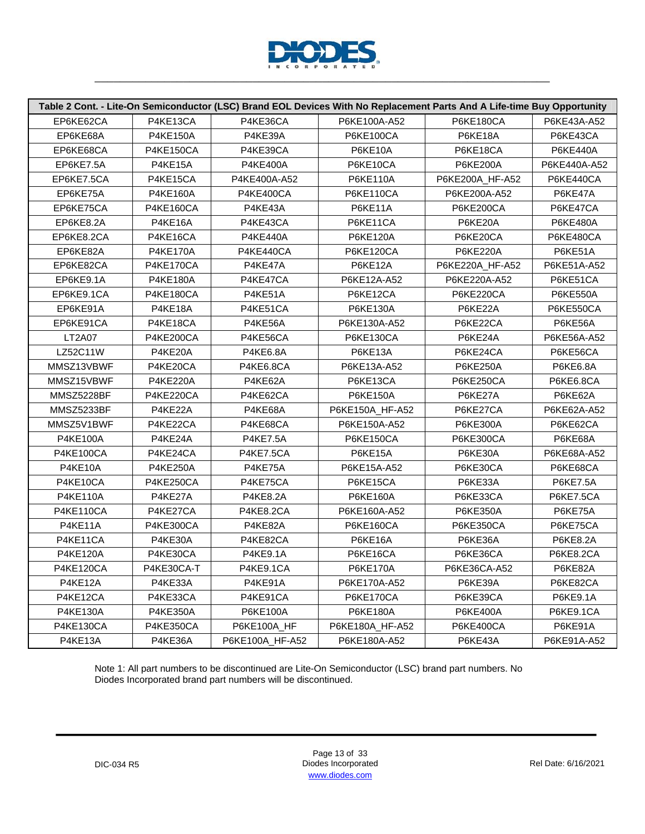

|                  |                  |                 | Table 2 Cont. - Lite-On Semiconductor (LSC) Brand EOL Devices With No Replacement Parts And A Life-time Buy Opportunity |                  |                  |
|------------------|------------------|-----------------|-------------------------------------------------------------------------------------------------------------------------|------------------|------------------|
| EP6KE62CA        | P4KE13CA         | P4KE36CA        | P6KE100A-A52                                                                                                            | <b>P6KE180CA</b> | P6KE43A-A52      |
| EP6KE68A         | <b>P4KE150A</b>  | P4KE39A         | <b>P6KE100CA</b>                                                                                                        | P6KE18A          | P6KE43CA         |
| EP6KE68CA        | <b>P4KE150CA</b> | P4KE39CA        | <b>P6KE10A</b>                                                                                                          | P6KE18CA         | <b>P6KE440A</b>  |
| EP6KE7.5A        | P4KE15A          | <b>P4KE400A</b> | P6KE10CA                                                                                                                | <b>P6KE200A</b>  | P6KE440A-A52     |
| EP6KE7.5CA       | P4KE15CA         | P4KE400A-A52    | P6KE110A                                                                                                                | P6KE200A_HF-A52  | P6KE440CA        |
| EP6KE75A         | <b>P4KE160A</b>  | P4KE400CA       | <b>P6KE110CA</b>                                                                                                        | P6KE200A-A52     | P6KE47A          |
| EP6KE75CA        | <b>P4KE160CA</b> | P4KE43A         | P6KE11A                                                                                                                 | <b>P6KE200CA</b> | P6KE47CA         |
| EP6KE8.2A        | P4KE16A          | P4KE43CA        | P6KE11CA                                                                                                                | P6KE20A          | <b>P6KE480A</b>  |
| EP6KE8.2CA       | P4KE16CA         | <b>P4KE440A</b> | <b>P6KE120A</b>                                                                                                         | P6KE20CA         | P6KE480CA        |
| EP6KE82A         | <b>P4KE170A</b>  | P4KE440CA       | P6KE120CA                                                                                                               | <b>P6KE220A</b>  | P6KE51A          |
| EP6KE82CA        | P4KE170CA        | P4KE47A         | P6KE12A                                                                                                                 | P6KE220A_HF-A52  | P6KE51A-A52      |
| EP6KE9.1A        | <b>P4KE180A</b>  | P4KE47CA        | P6KE12A-A52                                                                                                             | P6KE220A-A52     | P6KE51CA         |
| EP6KE9.1CA       | P4KE180CA        | P4KE51A         | P6KE12CA                                                                                                                | P6KE220CA        | <b>P6KE550A</b>  |
| EP6KE91A         | P4KE18A          | P4KE51CA        | P6KE130A                                                                                                                | P6KE22A          | <b>P6KE550CA</b> |
| EP6KE91CA        | P4KE18CA         | P4KE56A         | P6KE130A-A52                                                                                                            | P6KE22CA         | P6KE56A          |
| <b>LT2A07</b>    | P4KE200CA        | P4KE56CA        | <b>P6KE130CA</b>                                                                                                        | P6KE24A          | P6KE56A-A52      |
| LZ52C11W         | P4KE20A          | <b>P4KE6.8A</b> | P6KE13A                                                                                                                 | P6KE24CA         | P6KE56CA         |
| MMSZ13VBWF       | P4KE20CA         | P4KE6.8CA       | P6KE13A-A52                                                                                                             | <b>P6KE250A</b>  | <b>P6KE6.8A</b>  |
| MMSZ15VBWF       | <b>P4KE220A</b>  | P4KE62A         | P6KE13CA                                                                                                                | P6KE250CA        | P6KE6.8CA        |
| MMSZ5228BF       | P4KE220CA        | P4KE62CA        | P6KE150A                                                                                                                | P6KE27A          | P6KE62A          |
| MMSZ5233BF       | P4KE22A          | P4KE68A         | P6KE150A_HF-A52                                                                                                         | P6KE27CA         | P6KE62A-A52      |
| MMSZ5V1BWF       | P4KE22CA         | P4KE68CA        | P6KE150A-A52                                                                                                            | P6KE300A         | P6KE62CA         |
| <b>P4KE100A</b>  | P4KE24A          | <b>P4KE7.5A</b> | <b>P6KE150CA</b>                                                                                                        | P6KE300CA        | P6KE68A          |
| <b>P4KE100CA</b> | P4KE24CA         | P4KE7.5CA       | P6KE15A                                                                                                                 | P6KE30A          | P6KE68A-A52      |
| P4KE10A          | <b>P4KE250A</b>  | P4KE75A         | P6KE15A-A52                                                                                                             | P6KE30CA         | P6KE68CA         |
| P4KE10CA         | P4KE250CA        | P4KE75CA        | P6KE15CA                                                                                                                | P6KE33A          | <b>P6KE7.5A</b>  |
| P4KE110A         | P4KE27A          | <b>P4KE8.2A</b> | P6KE160A                                                                                                                | P6KE33CA         | P6KE7.5CA        |
| P4KE110CA        | P4KE27CA         | P4KE8.2CA       | P6KE160A-A52                                                                                                            | <b>P6KE350A</b>  | P6KE75A          |
| P4KE11A          | <b>P4KE300CA</b> | P4KE82A         | <b>P6KE160CA</b>                                                                                                        | P6KE350CA        | P6KE75CA         |
| P4KE11CA         | P4KE30A          | P4KE82CA        | P6KE16A                                                                                                                 | P6KE36A          | <b>P6KE8.2A</b>  |
| <b>P4KE120A</b>  | P4KE30CA         | P4KE9.1A        | P6KE16CA                                                                                                                | P6KE36CA         | <b>P6KE8.2CA</b> |
| P4KE120CA        | P4KE30CA-T       | P4KE9.1CA       | P6KE170A                                                                                                                | P6KE36CA-A52     | P6KE82A          |
| P4KE12A          | P4KE33A          | P4KE91A         | P6KE170A-A52                                                                                                            | P6KE39A          | P6KE82CA         |
| P4KE12CA         | P4KE33CA         | P4KE91CA        | <b>P6KE170CA</b>                                                                                                        | P6KE39CA         | P6KE9.1A         |
| P4KE130A         | <b>P4KE350A</b>  | P6KE100A        | <b>P6KE180A</b>                                                                                                         | P6KE400A         | P6KE9.1CA        |
| P4KE130CA        | P4KE350CA        | P6KE100A_HF     | P6KE180A_HF-A52                                                                                                         | P6KE400CA        | P6KE91A          |
| P4KE13A          | P4KE36A          | P6KE100A_HF-A52 | P6KE180A-A52                                                                                                            | P6KE43A          | P6KE91A-A52      |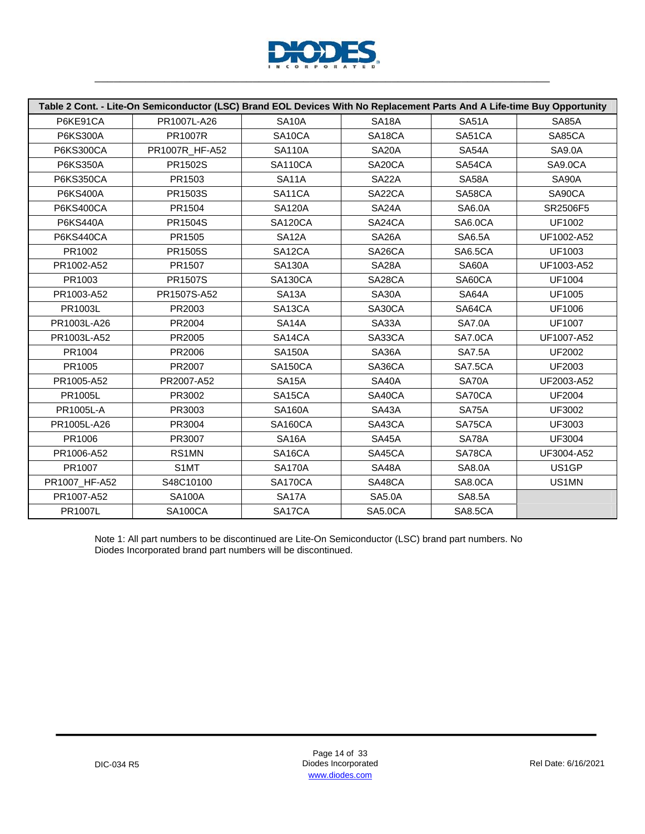

|                  | Table 2 Cont. - Lite-On Semiconductor (LSC) Brand EOL Devices With No Replacement Parts And A Life-time Buy Opportunity |                     |                     |                |               |
|------------------|-------------------------------------------------------------------------------------------------------------------------|---------------------|---------------------|----------------|---------------|
| P6KE91CA         | PR1007L-A26                                                                                                             | <b>SA10A</b>        | SA18A               | <b>SA51A</b>   | SA85A         |
| <b>P6KS300A</b>  | <b>PR1007R</b>                                                                                                          | SA10CA              | SA <sub>18</sub> CA | SA51CA         | SA85CA        |
| <b>P6KS300CA</b> | PR1007R_HF-A52                                                                                                          | <b>SA110A</b>       | SA <sub>20</sub> A  | SA54A          | <b>SA9.0A</b> |
| <b>P6KS350A</b>  | PR1502S                                                                                                                 | <b>SA110CA</b>      | SA20CA              | SA54CA         | SA9.0CA       |
| <b>P6KS350CA</b> | PR1503                                                                                                                  | <b>SA11A</b>        | SA22A               | SA58A          | SA90A         |
| P6KS400A         | PR1503S                                                                                                                 | SA11CA              | SA22CA              | SA58CA         | SA90CA        |
| <b>P6KS400CA</b> | PR1504                                                                                                                  | <b>SA120A</b>       | <b>SA24A</b>        | <b>SA6.0A</b>  | SR2506F5      |
| <b>P6KS440A</b>  | PR1504S                                                                                                                 | SA120CA             | SA24CA              | SA6.0CA        | UF1002        |
| <b>P6KS440CA</b> | PR1505                                                                                                                  | SA <sub>12</sub> A  | SA <sub>26</sub> A  | <b>SA6.5A</b>  | UF1002-A52    |
| PR1002           | PR1505S                                                                                                                 | SA12CA              | SA26CA              | <b>SA6.5CA</b> | UF1003        |
| PR1002-A52       | PR1507                                                                                                                  | <b>SA130A</b>       | SA28A               | SA60A          | UF1003-A52    |
| PR1003           | PR1507S                                                                                                                 | <b>SA130CA</b>      | SA28CA              | SA60CA         | <b>UF1004</b> |
| PR1003-A52       | PR1507S-A52                                                                                                             | SA <sub>13</sub> A  | SA30A               | SA64A          | <b>UF1005</b> |
| PR1003L          | PR2003                                                                                                                  | SA13CA              | SA30CA              | SA64CA         | <b>UF1006</b> |
| PR1003L-A26      | PR2004                                                                                                                  | SA <sub>14</sub> A  | SA33A               | <b>SA7.0A</b>  | <b>UF1007</b> |
| PR1003L-A52      | PR2005                                                                                                                  | SA14CA              | SA33CA              | SA7.0CA        | UF1007-A52    |
| PR1004           | PR2006                                                                                                                  | <b>SA150A</b>       | SA36A               | <b>SA7.5A</b>  | <b>UF2002</b> |
| PR1005           | PR2007                                                                                                                  | <b>SA150CA</b>      | SA36CA              | SA7.5CA        | UF2003        |
| PR1005-A52       | PR2007-A52                                                                                                              | SA <sub>15</sub> A  | <b>SA40A</b>        | SA70A          | UF2003-A52    |
| <b>PR1005L</b>   | PR3002                                                                                                                  | SA <sub>15</sub> CA | SA40CA              | SA70CA         | <b>UF2004</b> |
| <b>PR1005L-A</b> | PR3003                                                                                                                  | <b>SA160A</b>       | SA43A               | SA75A          | UF3002        |
| PR1005L-A26      | PR3004                                                                                                                  | <b>SA160CA</b>      | SA43CA              | SA75CA         | UF3003        |
| PR1006           | PR3007                                                                                                                  | SA16A               | SA45A               | SA78A          | <b>UF3004</b> |
| PR1006-A52       | RS1MN                                                                                                                   | SA <sub>16</sub> CA | SA45CA              | SA78CA         | UF3004-A52    |
| PR1007           | S1MT                                                                                                                    | <b>SA170A</b>       | SA48A               | <b>SA8.0A</b>  | US1GP         |
| PR1007_HF-A52    | S48C10100                                                                                                               | SA170CA             | SA48CA              | SA8.0CA        | US1MN         |
| PR1007-A52       | <b>SA100A</b>                                                                                                           | SA <sub>17</sub> A  | <b>SA5.0A</b>       | <b>SA8.5A</b>  |               |
| PR1007L          | <b>SA100CA</b>                                                                                                          | SA17CA              | SA5.0CA             | <b>SA8.5CA</b> |               |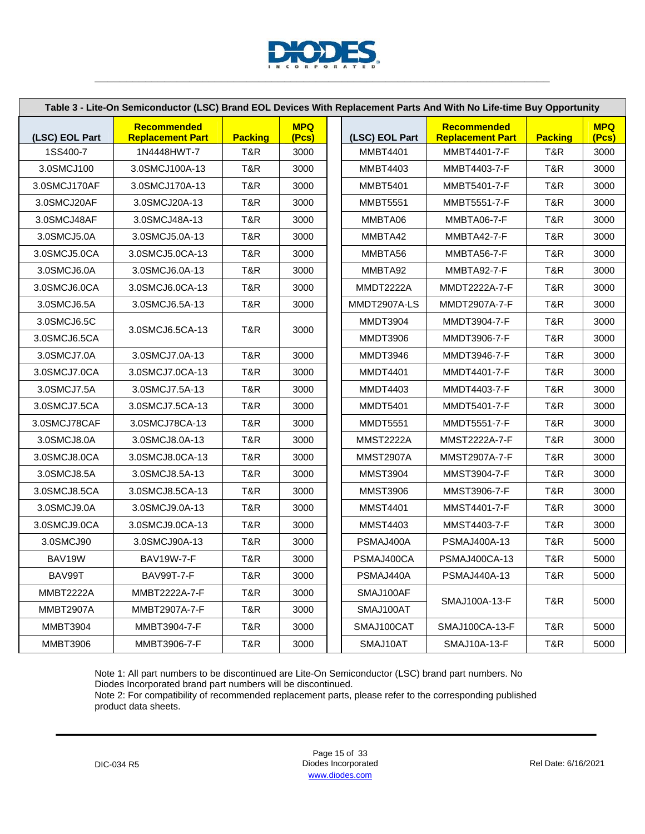

| Table 3 - Lite-On Semiconductor (LSC) Brand EOL Devices With Replacement Parts And With No Life-time Buy Opportunity |                                               |                |                     |  |                  |                                               |                |                     |  |  |
|----------------------------------------------------------------------------------------------------------------------|-----------------------------------------------|----------------|---------------------|--|------------------|-----------------------------------------------|----------------|---------------------|--|--|
| (LSC) EOL Part                                                                                                       | <b>Recommended</b><br><b>Replacement Part</b> | <b>Packing</b> | <b>MPQ</b><br>(Pcs) |  | (LSC) EOL Part   | <b>Recommended</b><br><b>Replacement Part</b> | <b>Packing</b> | <b>MPQ</b><br>(Pcs) |  |  |
| 1SS400-7                                                                                                             | 1N4448HWT-7                                   | T&R            | 3000                |  | <b>MMBT4401</b>  | MMBT4401-7-F                                  | T&R            | 3000                |  |  |
| 3.0SMCJ100                                                                                                           | 3.0SMCJ100A-13                                | T&R            | 3000                |  | <b>MMBT4403</b>  | MMBT4403-7-F                                  | T&R            | 3000                |  |  |
| 3.0SMCJ170AF                                                                                                         | 3.0SMCJ170A-13                                | T&R.           | 3000                |  | MMBT5401         | MMBT5401-7-F                                  | T&R            | 3000                |  |  |
| 3.0SMCJ20AF                                                                                                          | 3.0SMCJ20A-13                                 | T&R            | 3000                |  | <b>MMBT5551</b>  | MMBT5551-7-F                                  | T&R            | 3000                |  |  |
| 3.0SMCJ48AF                                                                                                          | 3.0SMCJ48A-13                                 | T&R            | 3000                |  | MMBTA06          | MMBTA06-7-F                                   | T&R            | 3000                |  |  |
| 3.0SMCJ5.0A                                                                                                          | 3.0SMCJ5.0A-13                                | T&R            | 3000                |  | MMBTA42          | MMBTA42-7-F                                   | T&R            | 3000                |  |  |
| 3.0SMCJ5.0CA                                                                                                         | 3.0SMCJ5.0CA-13                               | T&R            | 3000                |  | MMBTA56          | MMBTA56-7-F                                   | T&R            | 3000                |  |  |
| 3.0SMCJ6.0A                                                                                                          | 3.0SMCJ6.0A-13                                | T&R            | 3000                |  | MMBTA92          | MMBTA92-7-F                                   | T&R            | 3000                |  |  |
| 3.0SMCJ6.0CA                                                                                                         | 3.0SMCJ6.0CA-13                               | T&R            | 3000                |  | MMDT2222A        | MMDT2222A-7-F                                 | T&R            | 3000                |  |  |
| 3.0SMCJ6.5A                                                                                                          | 3.0SMCJ6.5A-13                                | T&R            | 3000                |  | MMDT2907A-LS     | MMDT2907A-7-F                                 | T&R            | 3000                |  |  |
| 3.0SMCJ6.5C                                                                                                          | 3.0SMCJ6.5CA-13                               | T&R            | 3000                |  | <b>MMDT3904</b>  | MMDT3904-7-F                                  | T&R            | 3000                |  |  |
| 3.0SMCJ6.5CA                                                                                                         |                                               |                |                     |  | <b>MMDT3906</b>  | MMDT3906-7-F                                  | T&R            | 3000                |  |  |
| 3.0SMCJ7.0A                                                                                                          | 3.0SMCJ7.0A-13                                | T&R            | 3000                |  | <b>MMDT3946</b>  | MMDT3946-7-F                                  | T&R            | 3000                |  |  |
| 3.0SMCJ7.0CA                                                                                                         | 3.0SMCJ7.0CA-13                               | T&R            | 3000                |  | <b>MMDT4401</b>  | MMDT4401-7-F                                  | T&R            | 3000                |  |  |
| 3.0SMCJ7.5A                                                                                                          | 3.0SMCJ7.5A-13                                | T&R            | 3000                |  | <b>MMDT4403</b>  | MMDT4403-7-F                                  | T&R            | 3000                |  |  |
| 3.0SMCJ7.5CA                                                                                                         | 3.0SMCJ7.5CA-13                               | T&R            | 3000                |  | <b>MMDT5401</b>  | MMDT5401-7-F                                  | T&R            | 3000                |  |  |
| 3.0SMCJ78CAF                                                                                                         | 3.0SMCJ78CA-13                                | T&R            | 3000                |  | <b>MMDT5551</b>  | MMDT5551-7-F                                  | T&R            | 3000                |  |  |
| 3.0SMCJ8.0A                                                                                                          | 3.0SMCJ8.0A-13                                | T&R            | 3000                |  | <b>MMST2222A</b> | MMST2222A-7-F                                 | T&R            | 3000                |  |  |
| 3.0SMCJ8.0CA                                                                                                         | 3.0SMCJ8.0CA-13                               | T&R            | 3000                |  | MMST2907A        | MMST2907A-7-F                                 | T&R.           | 3000                |  |  |
| 3.0SMCJ8.5A                                                                                                          | 3.0SMCJ8.5A-13                                | T&R            | 3000                |  | <b>MMST3904</b>  | MMST3904-7-F                                  | T&R            | 3000                |  |  |
| 3.0SMCJ8.5CA                                                                                                         | 3.0SMCJ8.5CA-13                               | T&R            | 3000                |  | <b>MMST3906</b>  | MMST3906-7-F                                  | T&R            | 3000                |  |  |
| 3.0SMCJ9.0A                                                                                                          | 3.0SMCJ9.0A-13                                | T&R.           | 3000                |  | <b>MMST4401</b>  | MMST4401-7-F                                  | T&R            | 3000                |  |  |
| 3.0SMCJ9.0CA                                                                                                         | 3.0SMCJ9.0CA-13                               | T&R            | 3000                |  | <b>MMST4403</b>  | MMST4403-7-F                                  | T&R            | 3000                |  |  |
| 3.0SMCJ90                                                                                                            | 3.0SMCJ90A-13                                 | T&R            | 3000                |  | PSMAJ400A        | PSMAJ400A-13                                  | T&R            | 5000                |  |  |
| BAV19W                                                                                                               | <b>BAV19W-7-F</b>                             | T&R            | 3000                |  | PSMAJ400CA       | PSMAJ400CA-13                                 | T&R            | 5000                |  |  |
| BAV99T                                                                                                               | <b>BAV99T-7-F</b>                             | T&R            | 3000                |  | PSMAJ440A        | PSMAJ440A-13                                  | T&R            | 5000                |  |  |
| MMBT2222A                                                                                                            | MMBT2222A-7-F                                 | T&R            | 3000                |  | SMAJ100AF        |                                               |                |                     |  |  |
| <b>MMBT2907A</b>                                                                                                     | MMBT2907A-7-F                                 | T&R            | 3000                |  | SMAJ100AT        | SMAJ100A-13-F                                 | T&R            | 5000                |  |  |
| <b>MMBT3904</b>                                                                                                      | MMBT3904-7-F                                  | T&R            | 3000                |  | SMAJ100CAT       | SMAJ100CA-13-F                                | T&R            | 5000                |  |  |
| <b>MMBT3906</b>                                                                                                      | MMBT3906-7-F                                  | T&R            | 3000                |  | SMAJ10AT         | SMAJ10A-13-F                                  | T&R            | 5000                |  |  |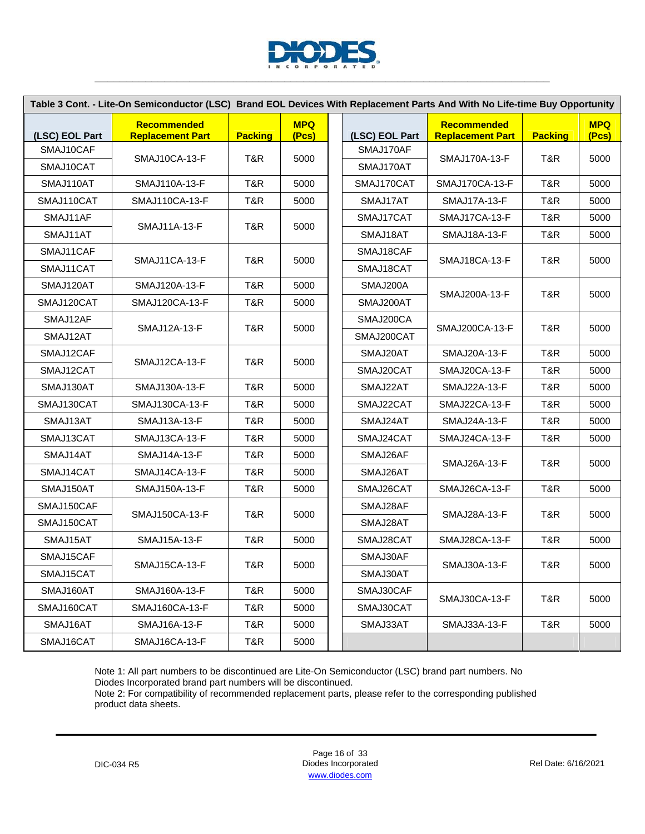

|                | Table 3 Cont. - Lite-On Semiconductor (LSC) Brand EOL Devices With Replacement Parts And With No Life-time Buy Opportunity |                |                     |                |                                        |                |                     |
|----------------|----------------------------------------------------------------------------------------------------------------------------|----------------|---------------------|----------------|----------------------------------------|----------------|---------------------|
| (LSC) EOL Part | <b>Recommended</b><br><b>Replacement Part</b>                                                                              | <b>Packing</b> | <b>MPQ</b><br>(Pcs) | (LSC) EOL Part | Recommended<br><b>Replacement Part</b> | <b>Packing</b> | <b>MPQ</b><br>(Pcs) |
| SMAJ10CAF      |                                                                                                                            |                |                     | SMAJ170AF      | SMAJ170A-13-F                          |                |                     |
| SMAJ10CAT      | SMAJ10CA-13-F                                                                                                              | T&R            | 5000                | SMAJ170AT      |                                        | T&R            | 5000                |
| SMAJ110AT      | SMAJ110A-13-F                                                                                                              | T&R            | 5000                | SMAJ170CAT     | SMAJ170CA-13-F                         | T&R            | 5000                |
| SMAJ110CAT     | SMAJ110CA-13-F                                                                                                             | T&R            | 5000                | SMAJ17AT       | <b>SMAJ17A-13-F</b>                    | T&R            | 5000                |
| SMAJ11AF       |                                                                                                                            |                |                     | SMAJ17CAT      | SMAJ17CA-13-F                          | T&R            | 5000                |
| SMAJ11AT       | SMAJ11A-13-F                                                                                                               | T&R            | 5000                | SMAJ18AT       | SMAJ18A-13-F                           | T&R            | 5000                |
| SMAJ11CAF      |                                                                                                                            |                |                     | SMAJ18CAF      |                                        |                |                     |
| SMAJ11CAT      | SMAJ11CA-13-F                                                                                                              | T&R            | 5000                | SMAJ18CAT      | SMAJ18CA-13-F                          | T&R            | 5000                |
| SMAJ120AT      | SMAJ120A-13-F                                                                                                              | T&R            | 5000                | SMAJ200A       |                                        |                |                     |
| SMAJ120CAT     | SMAJ120CA-13-F                                                                                                             | T&R            | 5000                | SMAJ200AT      | SMAJ200A-13-F                          | T&R            | 5000                |
| SMAJ12AF       |                                                                                                                            |                |                     | SMAJ200CA      |                                        |                |                     |
| SMAJ12AT       | SMAJ12A-13-F                                                                                                               | T&R            | 5000                | SMAJ200CAT     | SMAJ200CA-13-F                         | T&R            | 5000                |
| SMAJ12CAF      |                                                                                                                            |                |                     | SMAJ20AT       | <b>SMAJ20A-13-F</b>                    | T&R            | 5000                |
| SMAJ12CAT      | SMAJ12CA-13-F                                                                                                              | T&R            | 5000                | SMAJ20CAT      | SMAJ20CA-13-F                          | T&R            | 5000                |
| SMAJ130AT      | SMAJ130A-13-F                                                                                                              | T&R            | 5000                | SMAJ22AT       | SMAJ22A-13-F                           | T&R            | 5000                |
| SMAJ130CAT     | <b>SMAJ130CA-13-F</b>                                                                                                      | T&R            | 5000                | SMAJ22CAT      | SMAJ22CA-13-F                          | T&R            | 5000                |
| SMAJ13AT       | SMAJ13A-13-F                                                                                                               | T&R            | 5000                | SMAJ24AT       | SMAJ24A-13-F                           | T&R            | 5000                |
| SMAJ13CAT      | SMAJ13CA-13-F                                                                                                              | T&R            | 5000                | SMAJ24CAT      | SMAJ24CA-13-F                          | T&R            | 5000                |
| SMAJ14AT       | SMAJ14A-13-F                                                                                                               | T&R            | 5000                | SMAJ26AF       |                                        |                |                     |
| SMAJ14CAT      | SMAJ14CA-13-F                                                                                                              | T&R            | 5000                | SMAJ26AT       | SMAJ26A-13-F                           | T&R            | 5000                |
| SMAJ150AT      | SMAJ150A-13-F                                                                                                              | T&R            | 5000                | SMAJ26CAT      | SMAJ26CA-13-F                          | T&R            | 5000                |
| SMAJ150CAF     |                                                                                                                            |                |                     | SMAJ28AF       |                                        |                |                     |
| SMAJ150CAT     | SMAJ150CA-13-F                                                                                                             | T&R            | 5000                | SMAJ28AT       | SMAJ28A-13-F                           | T&R            | 5000                |
| SMAJ15AT       | SMAJ15A-13-F                                                                                                               | T&R            | 5000                | SMAJ28CAT      | SMAJ28CA-13-F                          | T&R            | 5000                |
| SMAJ15CAF      |                                                                                                                            |                |                     | SMAJ30AF       |                                        |                |                     |
| SMAJ15CAT      | SMAJ15CA-13-F                                                                                                              | T&R            | 5000                | SMAJ30AT       | SMAJ30A-13-F                           | T&R            | 5000                |
| SMAJ160AT      | SMAJ160A-13-F                                                                                                              | T&R            | 5000                | SMAJ30CAF      |                                        |                |                     |
| SMAJ160CAT     | SMAJ160CA-13-F                                                                                                             | T&R            | 5000                | SMAJ30CAT      | SMAJ30CA-13-F                          | T&R            | 5000                |
| SMAJ16AT       | SMAJ16A-13-F                                                                                                               | T&R            | 5000                | SMAJ33AT       | SMAJ33A-13-F                           | T&R            | 5000                |
| SMAJ16CAT      | SMAJ16CA-13-F                                                                                                              | T&R            | 5000                |                |                                        |                |                     |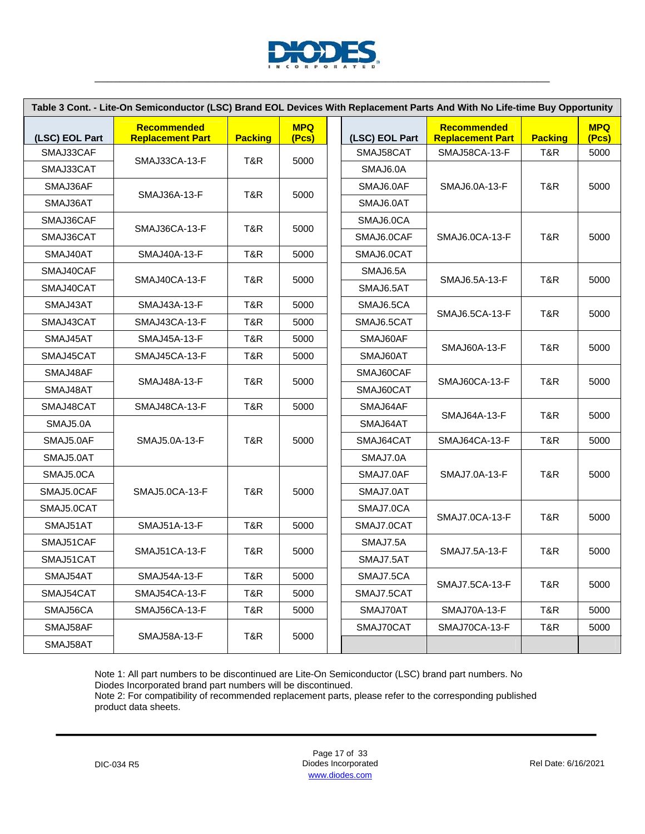

|                | Table 3 Cont. - Lite-On Semiconductor (LSC) Brand EOL Devices With Replacement Parts And With No Life-time Buy Opportunity |                |                     |                |                                               |                |                     |
|----------------|----------------------------------------------------------------------------------------------------------------------------|----------------|---------------------|----------------|-----------------------------------------------|----------------|---------------------|
| (LSC) EOL Part | <b>Recommended</b><br><b>Replacement Part</b>                                                                              | <b>Packing</b> | <b>MPQ</b><br>(Pcs) | (LSC) EOL Part | <b>Recommended</b><br><b>Replacement Part</b> | <b>Packing</b> | <b>MPQ</b><br>(Pcs) |
| SMAJ33CAF      | SMAJ33CA-13-F                                                                                                              | T&R            | 5000                | SMAJ58CAT      | SMAJ58CA-13-F                                 | T&R            | 5000                |
| SMAJ33CAT      |                                                                                                                            |                |                     | SMAJ6.0A       |                                               |                |                     |
| SMAJ36AF       | SMAJ36A-13-F                                                                                                               | T&R            | 5000                | SMAJ6.0AF      | SMAJ6.0A-13-F                                 | T&R            | 5000                |
| SMAJ36AT       |                                                                                                                            |                |                     | SMAJ6.0AT      |                                               |                |                     |
| SMAJ36CAF      |                                                                                                                            |                |                     | SMAJ6.0CA      |                                               |                |                     |
| SMAJ36CAT      | SMAJ36CA-13-F                                                                                                              | T&R            | 5000                | SMAJ6.0CAF     | SMAJ6.0CA-13-F                                | T&R            | 5000                |
| SMAJ40AT       | SMAJ40A-13-F                                                                                                               | T&R            | 5000                | SMAJ6.0CAT     |                                               |                |                     |
| SMAJ40CAF      |                                                                                                                            |                |                     | SMAJ6.5A       |                                               |                |                     |
| SMAJ40CAT      | SMAJ40CA-13-F                                                                                                              | T&R            | 5000                | SMAJ6.5AT      | SMAJ6.5A-13-F                                 | T&R            | 5000                |
| SMAJ43AT       | SMAJ43A-13-F                                                                                                               | T&R            | 5000                | SMAJ6.5CA      | SMAJ6.5CA-13-F                                |                |                     |
| SMAJ43CAT      | SMAJ43CA-13-F                                                                                                              | T&R            | 5000                | SMAJ6.5CAT     |                                               | T&R            | 5000                |
| SMAJ45AT       | SMAJ45A-13-F                                                                                                               | T&R            | 5000                | SMAJ60AF       | <b>SMAJ60A-13-F</b>                           |                | 5000                |
| SMAJ45CAT      | SMAJ45CA-13-F                                                                                                              | T&R            | 5000                | SMAJ60AT       |                                               | T&R            |                     |
| SMAJ48AF       | <b>SMAJ48A-13-F</b>                                                                                                        | T&R            | 5000                | SMAJ60CAF      | SMAJ60CA-13-F                                 | T&R            | 5000                |
| SMAJ48AT       |                                                                                                                            |                |                     | SMAJ60CAT      |                                               |                |                     |
| SMAJ48CAT      | SMAJ48CA-13-F                                                                                                              | T&R            | 5000                | SMAJ64AF       | SMAJ64A-13-F                                  | T&R            | 5000                |
| SMAJ5.0A       |                                                                                                                            |                |                     | SMAJ64AT       |                                               |                |                     |
| SMAJ5.0AF      | SMAJ5.0A-13-F                                                                                                              | T&R            | 5000                | SMAJ64CAT      | SMAJ64CA-13-F                                 | T&R            | 5000                |
| SMAJ5.0AT      |                                                                                                                            |                |                     | SMAJ7.0A       |                                               |                |                     |
| SMAJ5.0CA      |                                                                                                                            |                |                     | SMAJ7.0AF      | SMAJ7.0A-13-F                                 | T&R            | 5000                |
| SMAJ5.0CAF     | SMAJ5.0CA-13-F                                                                                                             | T&R            | 5000                | SMAJ7.0AT      |                                               |                |                     |
| SMAJ5.0CAT     |                                                                                                                            |                |                     | SMAJ7.0CA      |                                               | T&R            |                     |
| SMAJ51AT       | SMAJ51A-13-F                                                                                                               | T&R            | 5000                | SMAJ7.0CAT     | SMAJ7.0CA-13-F                                |                | 5000                |
| SMAJ51CAF      |                                                                                                                            |                |                     | SMAJ7.5A       |                                               |                |                     |
| SMAJ51CAT      | SMAJ51CA-13-F                                                                                                              | T&R            | 5000                | SMAJ7.5AT      | SMAJ7.5A-13-F                                 | T&R            | 5000                |
| SMAJ54AT       | SMAJ54A-13-F                                                                                                               | T&R            | 5000                | SMAJ7.5CA      | SMAJ7.5CA-13-F                                |                |                     |
| SMAJ54CAT      | SMAJ54CA-13-F                                                                                                              | T&R            | 5000                | SMAJ7.5CAT     |                                               | T&R            | 5000                |
| SMAJ56CA       | <b>SMAJ56CA-13-F</b>                                                                                                       | T&R            | 5000                | SMAJ70AT       | <b>SMAJ70A-13-F</b>                           | T&R            | 5000                |
| SMAJ58AF       |                                                                                                                            |                |                     | SMAJ70CAT      | SMAJ70CA-13-F                                 | T&R            | 5000                |
| SMAJ58AT       | SMAJ58A-13-F                                                                                                               | T&R            | 5000                |                |                                               |                |                     |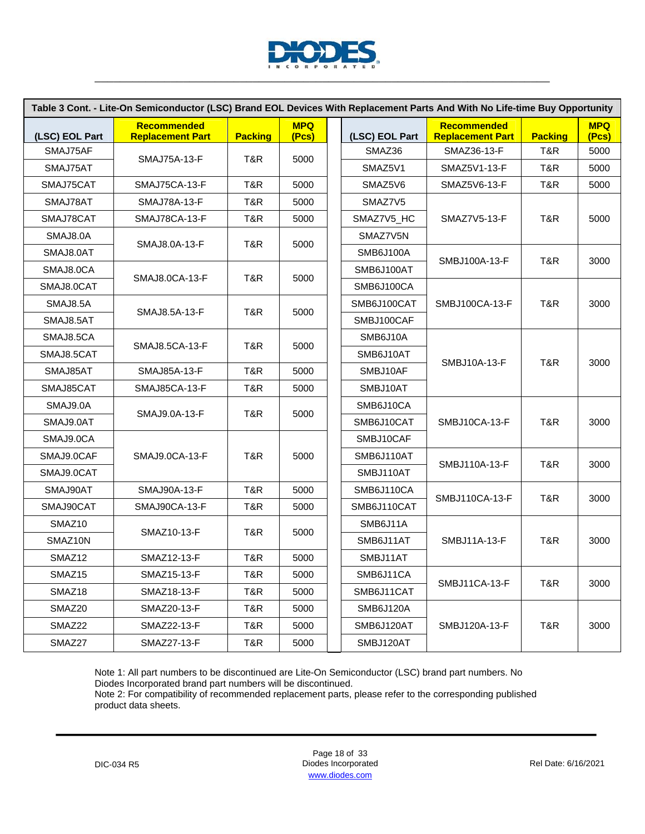

|                     | Table 3 Cont. - Lite-On Semiconductor (LSC) Brand EOL Devices With Replacement Parts And With No Life-time Buy Opportunity |                |                     |                  |                                               |                |                     |
|---------------------|----------------------------------------------------------------------------------------------------------------------------|----------------|---------------------|------------------|-----------------------------------------------|----------------|---------------------|
| (LSC) EOL Part      | <b>Recommended</b><br><b>Replacement Part</b>                                                                              | <b>Packing</b> | <b>MPQ</b><br>(Pcs) | (LSC) EOL Part   | <b>Recommended</b><br><b>Replacement Part</b> | <b>Packing</b> | <b>MPQ</b><br>(Pcs) |
| SMAJ75AF            | <b>SMAJ75A-13-F</b>                                                                                                        | T&R            | 5000                | SMAZ36           | SMAZ36-13-F                                   | T&R            | 5000                |
| SMAJ75AT            |                                                                                                                            |                |                     | SMAZ5V1          | SMAZ5V1-13-F                                  | T&R            | 5000                |
| SMAJ75CAT           | SMAJ75CA-13-F                                                                                                              | T&R            | 5000                | SMAZ5V6          | SMAZ5V6-13-F                                  | T&R            | 5000                |
| SMAJ78AT            | SMAJ78A-13-F                                                                                                               | T&R            | 5000                | SMAZ7V5          |                                               |                |                     |
| SMAJ78CAT           | SMAJ78CA-13-F                                                                                                              | T&R            | 5000                | SMAZ7V5_HC       | SMAZ7V5-13-F                                  | T&R            | 5000                |
| SMAJ8.0A            |                                                                                                                            | T&R            | 5000                | SMAZ7V5N         |                                               |                |                     |
| SMAJ8.0AT           | SMAJ8.0A-13-F                                                                                                              |                |                     | <b>SMB6J100A</b> |                                               |                |                     |
| SMAJ8.0CA           |                                                                                                                            |                |                     | SMB6J100AT       | SMBJ100A-13-F                                 | T&R            | 3000                |
| SMAJ8.0CAT          | SMAJ8.0CA-13-F                                                                                                             | T&R            | 5000                | SMB6J100CA       |                                               |                |                     |
| SMAJ8.5A            |                                                                                                                            |                |                     | SMB6J100CAT      | SMBJ100CA-13-F                                | T&R            | 3000                |
| SMAJ8.5AT           | SMAJ8.5A-13-F                                                                                                              | T&R            | 5000                | SMBJ100CAF       |                                               |                |                     |
| SMAJ8.5CA           |                                                                                                                            |                |                     | SMB6J10A         |                                               |                |                     |
| SMAJ8.5CAT          | SMAJ8.5CA-13-F                                                                                                             | T&R            | 5000                | SMB6J10AT        |                                               |                |                     |
| SMAJ85AT            | SMAJ85A-13-F                                                                                                               | T&R            | 5000                | SMBJ10AF         | SMBJ10A-13-F                                  | T&R            | 3000                |
| SMAJ85CAT           | SMAJ85CA-13-F                                                                                                              | T&R            | 5000                | SMBJ10AT         |                                               |                |                     |
| SMAJ9.0A            |                                                                                                                            |                |                     | SMB6J10CA        |                                               |                |                     |
| SMAJ9.0AT           | SMAJ9.0A-13-F                                                                                                              | T&R            | 5000                | SMB6J10CAT       | SMBJ10CA-13-F                                 | T&R            | 3000                |
| SMAJ9.0CA           |                                                                                                                            |                |                     | SMBJ10CAF        |                                               |                |                     |
| SMAJ9.0CAF          | SMAJ9.0CA-13-F                                                                                                             | T&R            | 5000                | SMB6J110AT       |                                               |                |                     |
| SMAJ9.0CAT          |                                                                                                                            |                |                     | SMBJ110AT        | SMBJ110A-13-F                                 | T&R            | 3000                |
| SMAJ90AT            | <b>SMAJ90A-13-F</b>                                                                                                        | T&R            | 5000                | SMB6J110CA       |                                               |                |                     |
| SMAJ90CAT           | SMAJ90CA-13-F                                                                                                              | T&R            | 5000                | SMB6J110CAT      | SMBJ110CA-13-F                                | T&R            | 3000                |
| SMAZ <sub>10</sub>  |                                                                                                                            |                |                     | SMB6J11A         |                                               |                |                     |
| SMAZ <sub>10N</sub> | SMAZ10-13-F                                                                                                                | T&R            | 5000                | SMB6J11AT        | <b>SMBJ11A-13-F</b>                           | T&R            | 3000                |
| SMAZ12              | SMAZ12-13-F                                                                                                                | T&R            | 5000                | SMBJ11AT         |                                               |                |                     |
| SMAZ15              | SMAZ15-13-F                                                                                                                | T&R            | 5000                | SMB6J11CA        |                                               |                |                     |
| SMAZ18              | SMAZ18-13-F                                                                                                                | T&R            | 5000                | SMB6J11CAT       | <b>SMBJ11CA-13-F</b>                          | T&R            | 3000                |
| SMAZ <sub>20</sub>  | SMAZ20-13-F                                                                                                                | T&R.           | 5000                | <b>SMB6J120A</b> |                                               |                |                     |
| SMAZ22              | SMAZ22-13-F                                                                                                                | T&R            | 5000                | SMB6J120AT       | SMBJ120A-13-F                                 | T&R            | 3000                |
| SMAZ27              | SMAZ27-13-F                                                                                                                | T&R            | 5000                | SMBJ120AT        |                                               |                |                     |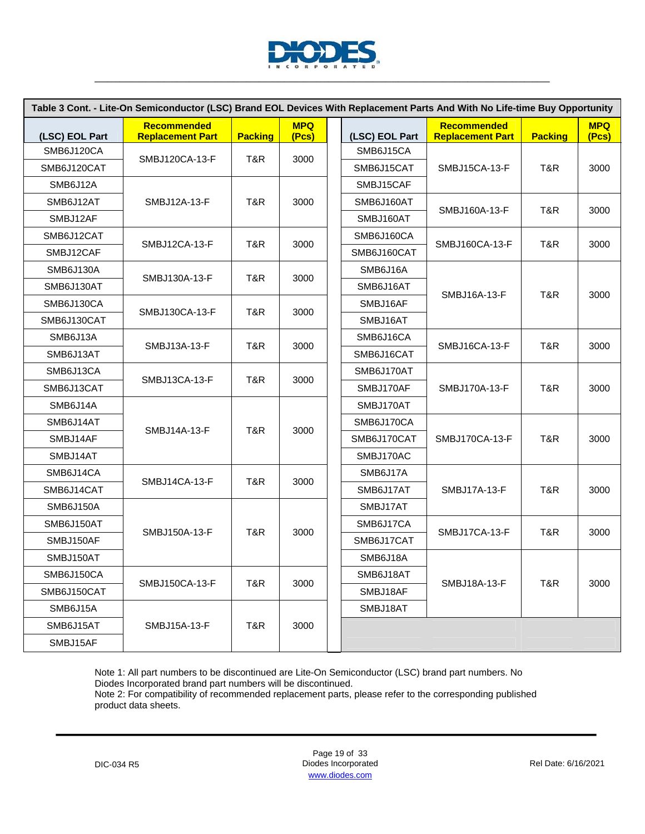

|                  | Table 3 Cont. - Lite-On Semiconductor (LSC) Brand EOL Devices With Replacement Parts And With No Life-time Buy Opportunity |                |                     |                |                                               |                |                     |
|------------------|----------------------------------------------------------------------------------------------------------------------------|----------------|---------------------|----------------|-----------------------------------------------|----------------|---------------------|
| (LSC) EOL Part   | <b>Recommended</b><br><b>Replacement Part</b>                                                                              | <b>Packing</b> | <b>MPQ</b><br>(Pcs) | (LSC) EOL Part | <b>Recommended</b><br><b>Replacement Part</b> | <b>Packing</b> | <b>MPQ</b><br>(Pcs) |
| SMB6J120CA       | SMBJ120CA-13-F                                                                                                             | T&R            | 3000                | SMB6J15CA      |                                               |                |                     |
| SMB6J120CAT      |                                                                                                                            |                |                     | SMB6J15CAT     | SMBJ15CA-13-F                                 | T&R            | 3000                |
| SMB6J12A         |                                                                                                                            |                |                     | SMBJ15CAF      |                                               |                |                     |
| SMB6J12AT        | SMBJ12A-13-F                                                                                                               | T&R            | 3000                | SMB6J160AT     | SMBJ160A-13-F                                 | T&R            | 3000                |
| SMBJ12AF         |                                                                                                                            |                |                     | SMBJ160AT      |                                               |                |                     |
| SMB6J12CAT       |                                                                                                                            |                |                     | SMB6J160CA     |                                               |                |                     |
| SMBJ12CAF        | SMBJ12CA-13-F                                                                                                              | T&R            | 3000                | SMB6J160CAT    | SMBJ160CA-13-F                                | T&R            | 3000                |
| <b>SMB6J130A</b> |                                                                                                                            | T&R            | 3000                | SMB6J16A       |                                               |                |                     |
| SMB6J130AT       | SMBJ130A-13-F                                                                                                              |                |                     | SMB6J16AT      |                                               | T&R            | 3000                |
| SMB6J130CA       |                                                                                                                            |                |                     | SMBJ16AF       | SMBJ16A-13-F                                  |                |                     |
| SMB6J130CAT      | SMBJ130CA-13-F                                                                                                             | T&R            | 3000                | SMBJ16AT       |                                               |                |                     |
| SMB6J13A         |                                                                                                                            | T&R            |                     | SMB6J16CA      | SMBJ16CA-13-F                                 |                | 3000                |
| SMB6J13AT        | SMBJ13A-13-F                                                                                                               |                | 3000                | SMB6J16CAT     |                                               | T&R            |                     |
| SMB6J13CA        | SMBJ13CA-13-F                                                                                                              | T&R            | 3000                | SMB6J170AT     |                                               |                |                     |
| SMB6J13CAT       |                                                                                                                            |                |                     | SMBJ170AF      | SMBJ170A-13-F                                 | T&R            | 3000                |
| SMB6J14A         |                                                                                                                            |                |                     | SMBJ170AT      |                                               |                |                     |
| SMB6J14AT        | SMBJ14A-13-F                                                                                                               | T&R            | 3000                | SMB6J170CA     |                                               | T&R            | 3000                |
| SMBJ14AF         |                                                                                                                            |                |                     | SMB6J170CAT    | SMBJ170CA-13-F                                |                |                     |
| SMBJ14AT         |                                                                                                                            |                |                     | SMBJ170AC      |                                               |                |                     |
| SMB6J14CA        | SMBJ14CA-13-F                                                                                                              | T&R            | 3000                | SMB6J17A       |                                               |                |                     |
| SMB6J14CAT       |                                                                                                                            |                |                     | SMB6J17AT      | <b>SMBJ17A-13-F</b>                           | T&R            | 3000                |
| SMB6J150A        |                                                                                                                            |                |                     | SMBJ17AT       |                                               |                |                     |
| SMB6J150AT       |                                                                                                                            |                |                     | SMB6J17CA      |                                               | T&R            |                     |
| SMBJ150AF        | SMBJ150A-13-F                                                                                                              | T&R            | 3000                | SMB6J17CAT     | SMBJ17CA-13-F                                 |                | 3000                |
| SMBJ150AT        |                                                                                                                            |                |                     | SMB6J18A       |                                               |                |                     |
| SMB6J150CA       |                                                                                                                            |                |                     | SMB6J18AT      |                                               |                |                     |
| SMB6J150CAT      | SMBJ150CA-13-F                                                                                                             | T&R            | 3000                | SMBJ18AF       | SMBJ18A-13-F                                  | T&R            | 3000                |
| SMB6J15A         |                                                                                                                            |                |                     | SMBJ18AT       |                                               |                |                     |
| SMB6J15AT        | SMBJ15A-13-F                                                                                                               | T&R            | 3000                |                |                                               |                |                     |
| SMBJ15AF         |                                                                                                                            |                |                     |                |                                               |                |                     |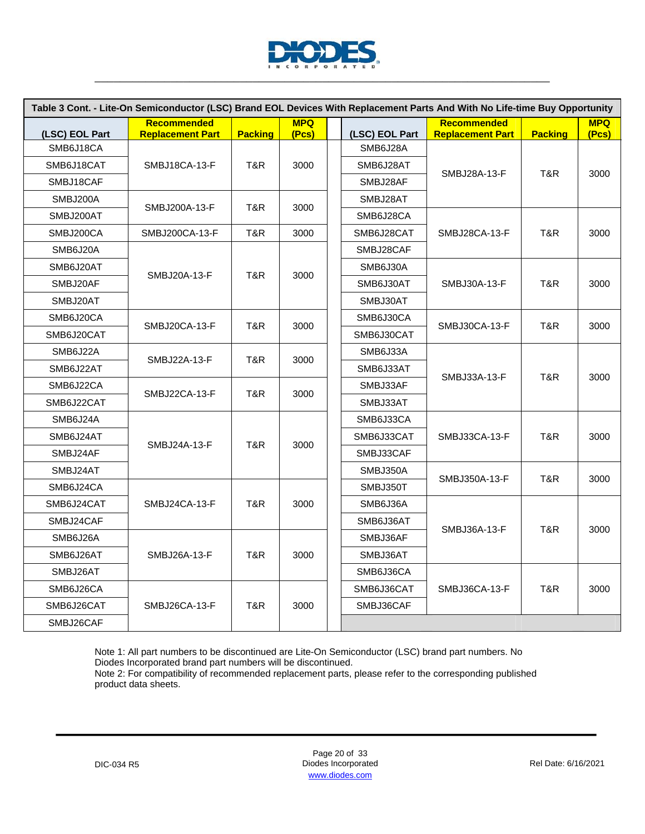

|                             | Table 3 Cont. - Lite-On Semiconductor (LSC) Brand EOL Devices With Replacement Parts And With No Life-time Buy Opportunity |                |            |                            |                         |                |            |
|-----------------------------|----------------------------------------------------------------------------------------------------------------------------|----------------|------------|----------------------------|-------------------------|----------------|------------|
|                             | <b>Recommended</b>                                                                                                         |                | <b>MPQ</b> |                            | <b>Recommended</b>      |                | <b>MPQ</b> |
| (LSC) EOL Part<br>SMB6J18CA | <b>Replacement Part</b>                                                                                                    | <b>Packing</b> | (Pcs)      | (LSC) EOL Part<br>SMB6J28A | <b>Replacement Part</b> | <b>Packing</b> | (Pcs)      |
| SMB6J18CAT                  | SMBJ18CA-13-F                                                                                                              | T&R            | 3000       | SMB6J28AT                  |                         |                |            |
| SMBJ18CAF                   |                                                                                                                            |                |            | SMBJ28AF                   | SMBJ28A-13-F            | T&R            | 3000       |
|                             |                                                                                                                            |                |            |                            |                         |                |            |
| SMBJ200A                    | SMBJ200A-13-F                                                                                                              | T&R            | 3000       | SMBJ28AT                   |                         |                |            |
| SMBJ200AT                   |                                                                                                                            |                |            | SMB6J28CA                  |                         |                |            |
| SMBJ200CA                   | SMBJ200CA-13-F                                                                                                             | T&R            | 3000       | SMB6J28CAT                 | SMBJ28CA-13-F           | T&R            | 3000       |
| SMB6J20A                    |                                                                                                                            |                |            | SMBJ28CAF                  |                         |                |            |
| SMB6J20AT                   | SMBJ20A-13-F                                                                                                               | T&R            | 3000       | SMB6J30A                   |                         |                |            |
| SMBJ20AF                    |                                                                                                                            |                |            | SMB6J30AT                  | SMBJ30A-13-F            | T&R            | 3000       |
| SMBJ20AT                    |                                                                                                                            |                |            | SMBJ30AT                   |                         |                |            |
| SMB6J20CA                   | SMBJ20CA-13-F                                                                                                              | T&R            | 3000       | SMB6J30CA                  | SMBJ30CA-13-F           | T&R            | 3000       |
| SMB6J20CAT                  |                                                                                                                            |                |            | SMB6J30CAT                 |                         |                |            |
| SMB6J22A                    |                                                                                                                            |                |            | SMB6J33A                   | SMBJ33A-13-F            |                |            |
| SMB6J22AT                   | SMBJ22A-13-F                                                                                                               | T&R            | 3000       | SMB6J33AT                  |                         |                |            |
| SMB6J22CA                   |                                                                                                                            |                |            | SMBJ33AF                   |                         | T&R            | 3000       |
| SMB6J22CAT                  | SMBJ22CA-13-F                                                                                                              | T&R            | 3000       | SMBJ33AT                   |                         |                |            |
| SMB6J24A                    |                                                                                                                            |                |            | SMB6J33CA                  |                         | T&R            | 3000       |
| SMB6J24AT                   |                                                                                                                            | T&R            |            | SMB6J33CAT                 | SMBJ33CA-13-F           |                |            |
| SMBJ24AF                    | SMBJ24A-13-F                                                                                                               |                | 3000       | SMBJ33CAF                  |                         |                |            |
| SMBJ24AT                    |                                                                                                                            |                |            | SMBJ350A                   |                         |                |            |
| SMB6J24CA                   |                                                                                                                            |                |            | SMBJ350T                   | SMBJ350A-13-F           | T&R            | 3000       |
| SMB6J24CAT                  | SMBJ24CA-13-F                                                                                                              | T&R            | 3000       | SMB6J36A                   |                         |                |            |
| SMBJ24CAF                   |                                                                                                                            |                |            | SMB6J36AT                  |                         |                |            |
| SMB6J26A                    |                                                                                                                            |                |            | SMBJ36AF                   | SMBJ36A-13-F            | T&R            | 3000       |
| SMB6J26AT                   | SMBJ26A-13-F                                                                                                               | T&R            | 3000       | SMBJ36AT                   |                         |                |            |
| SMBJ26AT                    |                                                                                                                            |                |            | SMB6J36CA                  |                         |                |            |
| SMB6J26CA                   |                                                                                                                            |                |            | SMB6J36CAT                 | SMBJ36CA-13-F           | T&R            | 3000       |
| SMB6J26CAT                  | SMBJ26CA-13-F                                                                                                              | T&R            | 3000       | SMBJ36CAF                  |                         |                |            |
| SMBJ26CAF                   |                                                                                                                            |                |            |                            |                         |                |            |

Note 2: For compatibility of recommended replacement parts, please refer to the corresponding published product data sheets.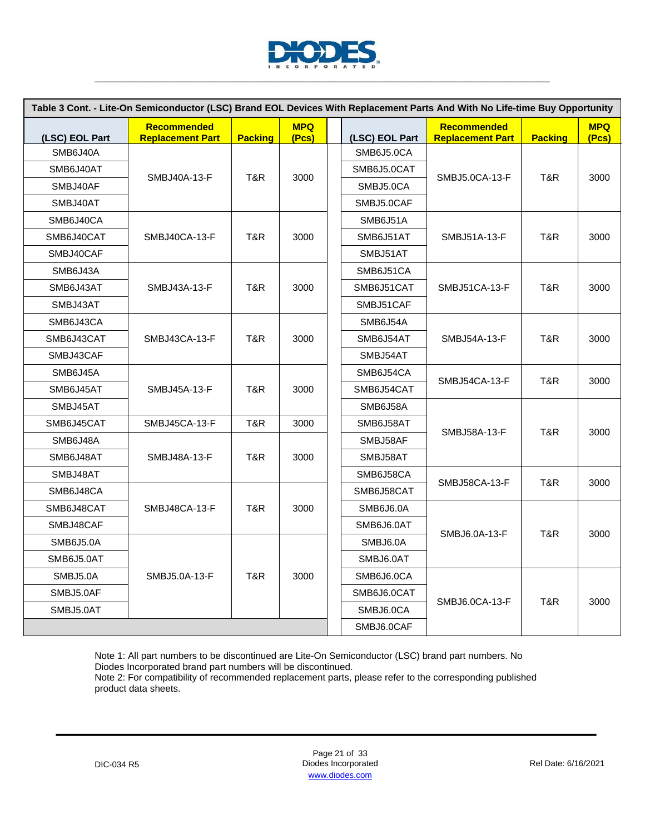

|                  | Table 3 Cont. - Lite-On Semiconductor (LSC) Brand EOL Devices With Replacement Parts And With No Life-time Buy Opportunity |                |                     |  |                |                                               |                |                     |
|------------------|----------------------------------------------------------------------------------------------------------------------------|----------------|---------------------|--|----------------|-----------------------------------------------|----------------|---------------------|
| (LSC) EOL Part   | <b>Recommended</b><br><b>Replacement Part</b>                                                                              | <b>Packing</b> | <b>MPQ</b><br>(Pcs) |  | (LSC) EOL Part | <b>Recommended</b><br><b>Replacement Part</b> | <b>Packing</b> | <b>MPQ</b><br>(Pcs) |
| SMB6J40A         |                                                                                                                            |                |                     |  | SMB6J5.0CA     |                                               |                |                     |
| SMB6J40AT        |                                                                                                                            |                |                     |  | SMB6J5.0CAT    |                                               |                |                     |
| SMBJ40AF         | SMBJ40A-13-F                                                                                                               | T&R            | 3000                |  | SMBJ5.0CA      | SMBJ5.0CA-13-F                                | T&R            | 3000                |
| SMBJ40AT         |                                                                                                                            |                |                     |  | SMBJ5.0CAF     |                                               |                |                     |
| SMB6J40CA        |                                                                                                                            |                |                     |  | SMB6J51A       |                                               |                |                     |
| SMB6J40CAT       | SMBJ40CA-13-F                                                                                                              | T&R            | 3000                |  | SMB6J51AT      | SMBJ51A-13-F                                  | T&R            | 3000                |
| SMBJ40CAF        |                                                                                                                            |                |                     |  | SMBJ51AT       |                                               |                |                     |
| SMB6J43A         |                                                                                                                            |                |                     |  | SMB6J51CA      |                                               |                |                     |
| SMB6J43AT        | SMBJ43A-13-F                                                                                                               | T&R            | 3000                |  | SMB6J51CAT     | <b>SMBJ51CA-13-F</b>                          | T&R            | 3000                |
| SMBJ43AT         |                                                                                                                            |                |                     |  | SMBJ51CAF      |                                               |                |                     |
| SMB6J43CA        |                                                                                                                            |                |                     |  | SMB6J54A       |                                               |                |                     |
| SMB6J43CAT       | SMBJ43CA-13-F                                                                                                              | T&R            | 3000                |  | SMB6J54AT      | SMBJ54A-13-F                                  | T&R            | 3000                |
| SMBJ43CAF        |                                                                                                                            |                |                     |  | SMBJ54AT       |                                               |                |                     |
| SMB6J45A         |                                                                                                                            |                |                     |  | SMB6J54CA      |                                               | T&R            | 3000                |
| SMB6J45AT        | SMBJ45A-13-F                                                                                                               | T&R            | 3000                |  | SMB6J54CAT     | SMBJ54CA-13-F                                 |                |                     |
| SMBJ45AT         |                                                                                                                            |                |                     |  | SMB6J58A       |                                               |                |                     |
| SMB6J45CAT       | SMBJ45CA-13-F                                                                                                              | T&R            | 3000                |  | SMB6J58AT      |                                               | T&R            | 3000                |
| SMB6J48A         |                                                                                                                            |                |                     |  | SMBJ58AF       | SMBJ58A-13-F                                  |                |                     |
| SMB6J48AT        | SMBJ48A-13-F                                                                                                               | T&R            | 3000                |  | SMBJ58AT       |                                               |                |                     |
| SMBJ48AT         |                                                                                                                            |                |                     |  | SMB6J58CA      |                                               |                |                     |
| SMB6J48CA        |                                                                                                                            |                |                     |  | SMB6J58CAT     | SMBJ58CA-13-F                                 | T&R            | 3000                |
| SMB6J48CAT       | SMBJ48CA-13-F                                                                                                              | T&R            | 3000                |  | SMB6J6.0A      |                                               |                |                     |
| SMBJ48CAF        |                                                                                                                            |                |                     |  | SMB6J6.0AT     | SMBJ6.0A-13-F                                 | T&R            | 3000                |
| <b>SMB6J5.0A</b> |                                                                                                                            |                |                     |  | SMBJ6.0A       |                                               |                |                     |
| SMB6J5.0AT       |                                                                                                                            |                |                     |  | SMBJ6.0AT      |                                               |                |                     |
| SMBJ5.0A         | SMBJ5.0A-13-F                                                                                                              | T&R            | 3000                |  | SMB6J6.0CA     |                                               |                |                     |
| SMBJ5.0AF        |                                                                                                                            |                |                     |  | SMB6J6.0CAT    |                                               |                |                     |
| SMBJ5.0AT        |                                                                                                                            |                |                     |  | SMBJ6.0CA      | SMBJ6.0CA-13-F                                | T&R            | 3000                |
|                  |                                                                                                                            |                |                     |  | SMBJ6.0CAF     |                                               |                |                     |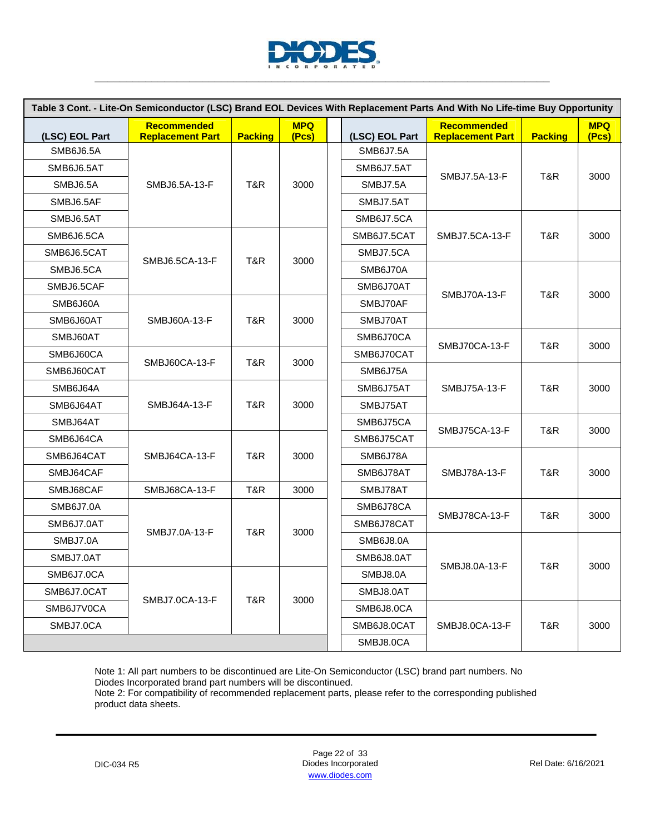

|                | Table 3 Cont. - Lite-On Semiconductor (LSC) Brand EOL Devices With Replacement Parts And With No Life-time Buy Opportunity |                |                     |            |                  |                                        |                |                     |
|----------------|----------------------------------------------------------------------------------------------------------------------------|----------------|---------------------|------------|------------------|----------------------------------------|----------------|---------------------|
| (LSC) EOL Part | <b>Recommended</b><br><b>Replacement Part</b>                                                                              | <b>Packing</b> | <b>MPQ</b><br>(Pcs) |            | (LSC) EOL Part   | Recommended<br><b>Replacement Part</b> | <b>Packing</b> | <b>MPQ</b><br>(Pcs) |
| SMB6J6.5A      |                                                                                                                            |                |                     |            | <b>SMB6J7.5A</b> |                                        |                |                     |
| SMB6J6.5AT     |                                                                                                                            |                |                     |            | SMB6J7.5AT       |                                        | T&R            |                     |
| SMBJ6.5A       | SMBJ6.5A-13-F                                                                                                              | T&R            | 3000                |            | SMBJ7.5A         | SMBJ7.5A-13-F                          |                | 3000                |
| SMBJ6.5AF      |                                                                                                                            |                |                     |            | SMBJ7.5AT        |                                        |                |                     |
| SMBJ6.5AT      |                                                                                                                            |                |                     |            | SMB6J7.5CA       |                                        |                |                     |
| SMB6J6.5CA     |                                                                                                                            |                |                     |            | SMB6J7.5CAT      | SMBJ7.5CA-13-F                         | T&R            | 3000                |
| SMB6J6.5CAT    |                                                                                                                            |                |                     |            | SMBJ7.5CA        |                                        |                |                     |
| SMBJ6.5CA      | SMBJ6.5CA-13-F                                                                                                             | T&R            | 3000                |            | SMB6J70A         |                                        |                |                     |
| SMBJ6.5CAF     |                                                                                                                            |                |                     |            | SMB6J70AT        | SMBJ70A-13-F                           |                |                     |
| SMB6J60A       |                                                                                                                            |                |                     |            | SMBJ70AF         |                                        | T&R            | 3000                |
| SMB6J60AT      | SMBJ60A-13-F                                                                                                               | T&R            | 3000                |            | SMBJ70AT         |                                        |                |                     |
| SMBJ60AT       |                                                                                                                            |                |                     |            | SMB6J70CA        |                                        |                |                     |
| SMB6J60CA      |                                                                                                                            |                |                     |            | SMB6J70CAT       | SMBJ70CA-13-F                          | T&R            | 3000                |
| SMB6J60CAT     | SMBJ60CA-13-F                                                                                                              | T&R            | 3000                |            | SMB6J75A         | SMBJ75A-13-F<br>SMBJ75CA-13-F          | T&R<br>T&R     |                     |
| SMB6J64A       |                                                                                                                            |                |                     |            | SMB6J75AT        |                                        |                | 3000<br>3000        |
| SMB6J64AT      | SMBJ64A-13-F                                                                                                               | T&R            | 3000                |            | SMBJ75AT         |                                        |                |                     |
| SMBJ64AT       |                                                                                                                            |                |                     |            | SMB6J75CA        |                                        |                |                     |
| SMB6J64CA      |                                                                                                                            |                |                     |            | SMB6J75CAT       |                                        |                |                     |
| SMB6J64CAT     | SMBJ64CA-13-F                                                                                                              | T&R            | 3000                |            | SMB6J78A         |                                        |                |                     |
| SMBJ64CAF      |                                                                                                                            |                |                     |            | SMB6J78AT        | SMBJ78A-13-F                           | T&R            | 3000                |
| SMBJ68CAF      | <b>SMBJ68CA-13-F</b>                                                                                                       | T&R            | 3000                |            | SMBJ78AT         |                                        |                |                     |
| SMB6J7.0A      |                                                                                                                            |                |                     |            | SMB6J78CA        |                                        |                |                     |
| SMB6J7.0AT     |                                                                                                                            |                |                     |            | SMB6J78CAT       | SMBJ78CA-13-F                          | T&R            | 3000                |
| SMBJ7.0A       | SMBJ7.0A-13-F                                                                                                              | T&R            | 3000                |            | SMB6J8.0A        |                                        |                |                     |
| SMBJ7.0AT      |                                                                                                                            |                |                     |            | SMB6J8.0AT       |                                        |                |                     |
| SMB6J7.0CA     |                                                                                                                            |                |                     |            | SMBJ8.0A         | SMBJ8.0A-13-F                          | T&R            | 3000                |
| SMB6J7.0CAT    |                                                                                                                            |                |                     |            | SMBJ8.0AT        |                                        |                |                     |
| SMB6J7V0CA     | SMBJ7.0CA-13-F                                                                                                             | T&R            | 3000                | SMB6J8.0CA |                  |                                        |                |                     |
| SMBJ7.0CA      |                                                                                                                            |                |                     |            | SMB6J8.0CAT      | SMBJ8.0CA-13-F                         | T&R            | 3000                |
|                |                                                                                                                            |                |                     |            | SMBJ8.0CA        |                                        |                |                     |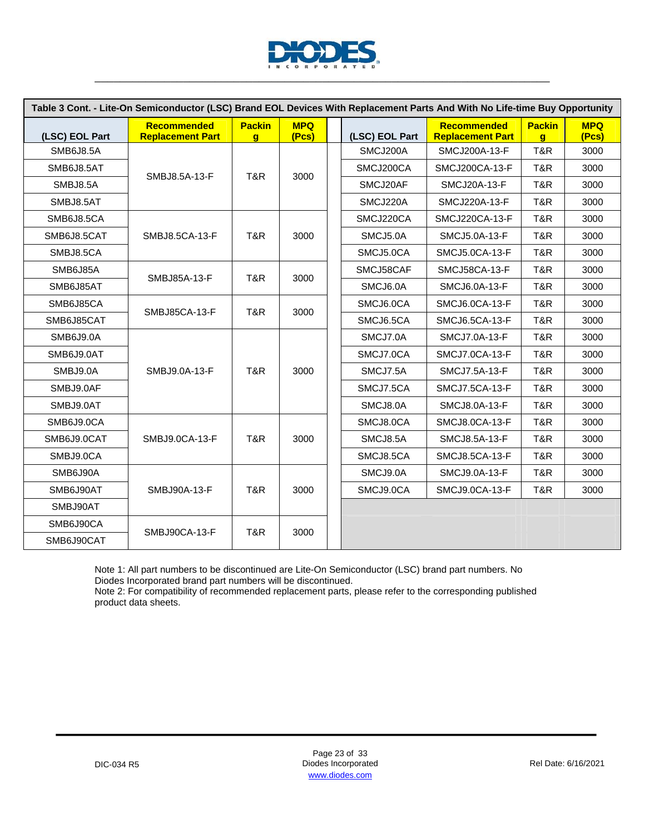

|                  | Table 3 Cont. - Lite-On Semiconductor (LSC) Brand EOL Devices With Replacement Parts And With No Life-time Buy Opportunity |                                 |                     |                |                                               |                               |                     |
|------------------|----------------------------------------------------------------------------------------------------------------------------|---------------------------------|---------------------|----------------|-----------------------------------------------|-------------------------------|---------------------|
| (LSC) EOL Part   | <b>Recommended</b><br><b>Replacement Part</b>                                                                              | <b>Packin</b><br>$\overline{q}$ | <b>MPQ</b><br>(Pcs) | (LSC) EOL Part | <b>Recommended</b><br><b>Replacement Part</b> | <b>Packin</b><br>$\mathbf{q}$ | <b>MPQ</b><br>(Pcs) |
| <b>SMB6J8.5A</b> |                                                                                                                            |                                 |                     | SMCJ200A       | SMCJ200A-13-F                                 | T&R                           | 3000                |
| SMB6J8.5AT       |                                                                                                                            |                                 |                     | SMCJ200CA      | SMCJ200CA-13-F                                | T&R                           | 3000                |
| SMBJ8.5A         | SMBJ8.5A-13-F                                                                                                              | T&R                             | 3000                | SMCJ20AF       | <b>SMCJ20A-13-F</b>                           | T&R                           | 3000                |
| SMBJ8.5AT        |                                                                                                                            |                                 |                     | SMCJ220A       | SMCJ220A-13-F                                 | T&R                           | 3000                |
| SMB6J8.5CA       |                                                                                                                            |                                 |                     | SMCJ220CA      | SMCJ220CA-13-F                                | T&R                           | 3000                |
| SMB6J8.5CAT      | SMBJ8.5CA-13-F                                                                                                             | T&R                             | 3000                | SMCJ5.0A       | SMCJ5.0A-13-F                                 | T&R                           | 3000                |
| SMBJ8.5CA        |                                                                                                                            |                                 |                     | SMCJ5.0CA      | SMCJ5.0CA-13-F                                | T&R                           | 3000                |
| SMB6J85A         |                                                                                                                            |                                 |                     | SMCJ58CAF      | SMCJ58CA-13-F                                 | T&R                           | 3000                |
| SMB6J85AT        | SMBJ85A-13-F                                                                                                               | T&R                             | 3000                | SMCJ6.0A       | SMCJ6.0A-13-F                                 | T&R                           | 3000                |
| SMB6J85CA        |                                                                                                                            |                                 |                     | SMCJ6.0CA      | SMCJ6.0CA-13-F                                | T&R                           | 3000                |
| SMB6J85CAT       | SMBJ85CA-13-F                                                                                                              | T&R                             | 3000                | SMCJ6.5CA      | SMCJ6.5CA-13-F                                | T&R                           | 3000                |
| SMB6J9.0A        |                                                                                                                            |                                 |                     | SMCJ7.0A       | SMCJ7.0A-13-F                                 | T&R                           | 3000                |
| SMB6J9.0AT       |                                                                                                                            |                                 |                     | SMCJ7.0CA      | SMCJ7.0CA-13-F                                | T&R                           | 3000                |
| SMBJ9.0A         | SMBJ9.0A-13-F                                                                                                              | T&R                             | 3000                | SMCJ7.5A       | SMCJ7.5A-13-F                                 | T&R                           | 3000                |
| SMBJ9.0AF        |                                                                                                                            |                                 |                     | SMCJ7.5CA      | <b>SMCJ7.5CA-13-F</b>                         | T&R                           | 3000                |
| SMBJ9.0AT        |                                                                                                                            |                                 |                     | SMCJ8.0A       | SMCJ8.0A-13-F                                 | T&R                           | 3000                |
| SMB6J9.0CA       |                                                                                                                            |                                 |                     | SMCJ8.0CA      | <b>SMCJ8.0CA-13-F</b>                         | T&R                           | 3000                |
| SMB6J9.0CAT      | SMBJ9.0CA-13-F                                                                                                             | T&R                             | 3000                | SMCJ8.5A       | SMCJ8.5A-13-F                                 | T&R                           | 3000                |
| SMBJ9.0CA        |                                                                                                                            |                                 |                     | SMCJ8.5CA      | SMCJ8.5CA-13-F                                | T&R                           | 3000                |
| SMB6J90A         |                                                                                                                            |                                 |                     | SMCJ9.0A       | SMCJ9.0A-13-F                                 | T&R                           | 3000                |
| SMB6J90AT        | SMBJ90A-13-F                                                                                                               | T&R                             | 3000                | SMCJ9.0CA      | SMCJ9.0CA-13-F                                | T&R                           | 3000                |
| SMBJ90AT         |                                                                                                                            |                                 |                     |                |                                               |                               |                     |
| SMB6J90CA        |                                                                                                                            |                                 |                     |                |                                               |                               |                     |
| SMB6J90CAT       | SMBJ90CA-13-F                                                                                                              | T&R                             | 3000                |                |                                               |                               |                     |

product data sheets.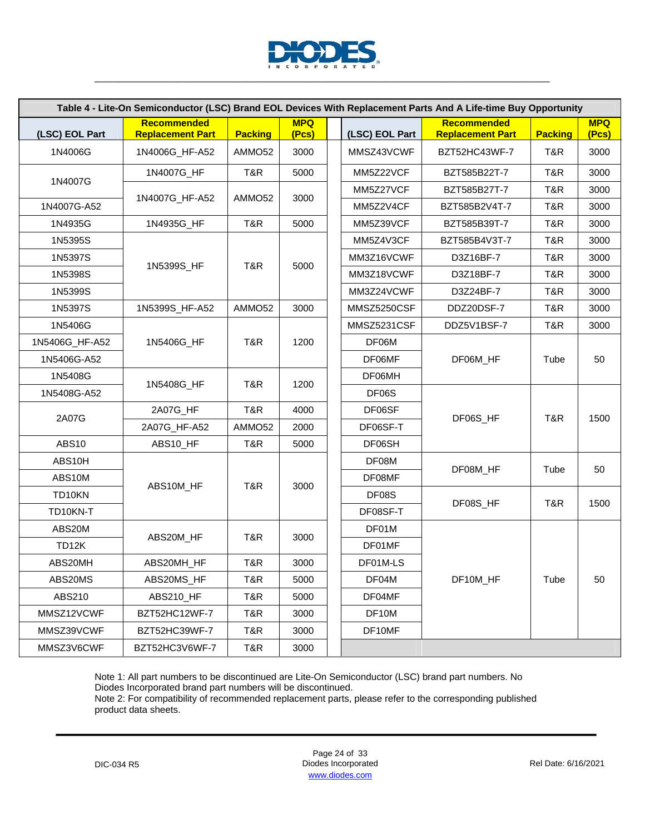

|                |                                        |                    |                     |                    | Table 4 - Lite-On Semiconductor (LSC) Brand EOL Devices With Replacement Parts And A Life-time Buy Opportunity |                |                     |
|----------------|----------------------------------------|--------------------|---------------------|--------------------|----------------------------------------------------------------------------------------------------------------|----------------|---------------------|
| (LSC) EOL Part | Recommended<br><b>Replacement Part</b> | <b>Packing</b>     | <b>MPQ</b><br>(Pcs) | (LSC) EOL Part     | Recommended<br><b>Replacement Part</b>                                                                         | <b>Packing</b> | <b>MPQ</b><br>(Pcs) |
| 1N4006G        | 1N4006G_HF-A52                         | AMMO52             | 3000                | MMSZ43VCWF         | BZT52HC43WF-7                                                                                                  | T&R            | 3000                |
|                | 1N4007G_HF                             | T&R                | 5000                | MM5Z22VCF          | BZT585B22T-7                                                                                                   | T&R            | 3000                |
| 1N4007G        |                                        |                    |                     | MM5Z27VCF          | BZT585B27T-7                                                                                                   | T&R            | 3000                |
| 1N4007G-A52    | 1N4007G_HF-A52                         | AMMO <sub>52</sub> | 3000                | MM5Z2V4CF          | BZT585B2V4T-7                                                                                                  | T&R            | 3000                |
| 1N4935G        | 1N4935G_HF                             | T&R                | 5000                | MM5Z39VCF          | BZT585B39T-7                                                                                                   | T&R            | 3000                |
| 1N5395S        |                                        |                    |                     | MM5Z4V3CF          | BZT585B4V3T-7                                                                                                  | T&R            | 3000                |
| 1N5397S        |                                        |                    |                     | MM3Z16VCWF         | D3Z16BF-7                                                                                                      | T&R            | 3000                |
| 1N5398S        | 1N5399S_HF                             | T&R                | 5000                | MM3Z18VCWF         | D3Z18BF-7                                                                                                      | T&R            | 3000                |
| 1N5399S        |                                        |                    |                     | MM3Z24VCWF         | D3Z24BF-7                                                                                                      | T&R            | 3000                |
| 1N5397S        | 1N5399S_HF-A52                         | AMMO52             | 3000                | MMSZ5250CSF        | DDZ20DSF-7                                                                                                     | T&R            | 3000                |
| 1N5406G        |                                        |                    |                     | MMSZ5231CSF        | DDZ5V1BSF-7                                                                                                    | T&R            | 3000                |
| 1N5406G_HF-A52 | 1N5406G_HF                             | T&R                | 1200                | DF06M              |                                                                                                                |                |                     |
| 1N5406G-A52    |                                        |                    |                     | DF06MF             | DF06M_HF                                                                                                       | Tube           | 50                  |
| 1N5408G        |                                        |                    |                     | DF06MH             |                                                                                                                |                |                     |
| 1N5408G-A52    | 1N5408G_HF                             | T&R                | 1200                | DF <sub>06</sub> S |                                                                                                                |                |                     |
|                | 2A07G_HF                               | T&R                | 4000                | DF06SF             |                                                                                                                |                |                     |
| 2A07G          | 2A07G_HF-A52                           | AMMO52             | 2000                | DF06SF-T           | DF06S_HF                                                                                                       | T&R            | 1500                |
| <b>ABS10</b>   | ABS10_HF                               | T&R                | 5000                | DF06SH             |                                                                                                                |                |                     |
| ABS10H         |                                        |                    |                     | DF08M              |                                                                                                                |                |                     |
| ABS10M         |                                        | T&R                |                     | DF08MF             | DF08M_HF                                                                                                       | Tube           | 50                  |
| TD10KN         | ABS10M_HF                              |                    | 3000                | DF08S              |                                                                                                                | T&R            |                     |
| TD10KN-T       |                                        |                    |                     | DF08SF-T           | DF08S_HF                                                                                                       |                | 1500                |
| ABS20M         |                                        |                    |                     | DF01M              |                                                                                                                |                |                     |
| TD12K          | ABS20M_HF                              | T&R                | 3000                | DF01MF             |                                                                                                                |                |                     |
| ABS20MH        | ABS20MH HF                             | T&R                | 3000                | DF01M-LS           |                                                                                                                |                |                     |
| ABS20MS        | ABS20MS_HF                             | T&R                | 5000                | DF04M              | DF10M_HF                                                                                                       | Tube           | 50                  |
| ABS210         | ABS210_HF                              | T&R                | 5000                | DF04MF             |                                                                                                                |                |                     |
| MMSZ12VCWF     | BZT52HC12WF-7                          | T&R                | 3000                | DF10M              |                                                                                                                |                |                     |
| MMSZ39VCWF     | BZT52HC39WF-7                          | T&R                | 3000                | DF10MF             |                                                                                                                |                |                     |
| MMSZ3V6CWF     | BZT52HC3V6WF-7                         | T&R                | 3000                |                    |                                                                                                                |                |                     |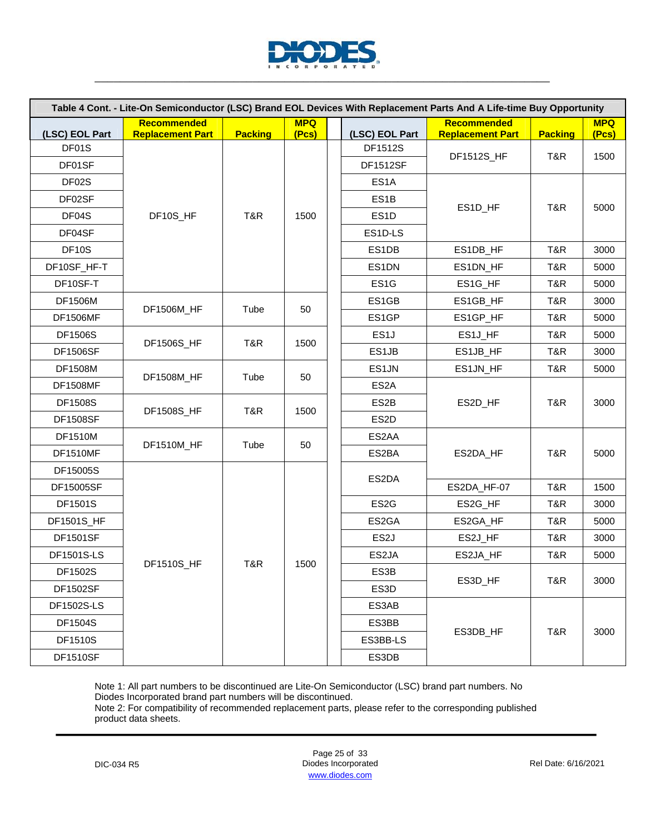

| Table 4 Cont. - Lite-On Semiconductor (LSC) Brand EOL Devices With Replacement Parts And A Life-time Buy Opportunity |                         |                |            |  |                           |                         |                |            |  |  |
|----------------------------------------------------------------------------------------------------------------------|-------------------------|----------------|------------|--|---------------------------|-------------------------|----------------|------------|--|--|
|                                                                                                                      | <b>Recommended</b>      |                | <b>MPQ</b> |  |                           | <b>Recommended</b>      |                | <b>MPQ</b> |  |  |
| (LSC) EOL Part<br>DF01S                                                                                              | <b>Replacement Part</b> | <b>Packing</b> | (Pcs)      |  | (LSC) EOL Part<br>DF1512S | <b>Replacement Part</b> | <b>Packing</b> | (Pcs)      |  |  |
| DF01SF                                                                                                               |                         |                |            |  | <b>DF1512SF</b>           | DF1512S_HF              | T&R            | 1500       |  |  |
| DF02S                                                                                                                |                         |                |            |  | ES <sub>1</sub> A         |                         |                |            |  |  |
| DF02SF                                                                                                               |                         |                |            |  | ES <sub>1</sub> B         |                         |                |            |  |  |
|                                                                                                                      |                         |                |            |  |                           | ES1D_HF                 | T&R            | 5000       |  |  |
| DF04S                                                                                                                | DF10S_HF                | T&R            | 1500       |  | ES <sub>1</sub> D         |                         |                |            |  |  |
| DF04SF                                                                                                               |                         |                |            |  | ES1D-LS                   |                         |                |            |  |  |
| DF <sub>10</sub> S                                                                                                   |                         |                |            |  | ES1DB                     | ES1DB_HF                | T&R            | 3000       |  |  |
| DF10SF_HF-T                                                                                                          |                         |                |            |  | ES1DN                     | ES1DN_HF                | T&R            | 5000       |  |  |
| DF10SF-T                                                                                                             |                         |                |            |  | ES <sub>1</sub> G         | ES1G_HF                 | T&R            | 5000       |  |  |
| <b>DF1506M</b>                                                                                                       | DF1506M_HF              | Tube           | 50         |  | ES1GB                     | ES1GB_HF                | T&R            | 3000       |  |  |
| <b>DF1506MF</b>                                                                                                      |                         |                |            |  | ES1GP                     | ES1GP_HF                | T&R            | 5000       |  |  |
| <b>DF1506S</b>                                                                                                       | DF1506S_HF              | T&R            | 1500       |  | ES <sub>1</sub>           | ES1J_HF                 | T&R            | 5000       |  |  |
| <b>DF1506SF</b>                                                                                                      |                         |                |            |  | ES1JB                     | ES1JB_HF                | T&R            | 3000       |  |  |
| <b>DF1508M</b>                                                                                                       | DF1508M_HF              | Tube           | 50         |  | ES1JN                     | ES1JN_HF                | T&R            | 5000       |  |  |
| <b>DF1508MF</b>                                                                                                      |                         |                |            |  | ES <sub>2</sub> A         |                         |                |            |  |  |
| <b>DF1508S</b>                                                                                                       | DF1508S_HF              | T&R            | 1500       |  | ES <sub>2</sub> B         | ES2D_HF                 | T&R            | 3000       |  |  |
| <b>DF1508SF</b>                                                                                                      |                         |                |            |  | ES <sub>2</sub> D         |                         |                |            |  |  |
| <b>DF1510M</b>                                                                                                       | DF1510M_HF              | Tube           | 50         |  | ES2AA                     |                         |                |            |  |  |
| <b>DF1510MF</b>                                                                                                      |                         |                |            |  | ES2BA                     | ES2DA_HF                | T&R            | 5000       |  |  |
| DF15005S                                                                                                             |                         |                |            |  | ES2DA                     |                         |                |            |  |  |
| DF15005SF                                                                                                            |                         |                |            |  |                           | ES2DA_HF-07             | T&R            | 1500       |  |  |
| DF1501S                                                                                                              |                         |                |            |  | ES <sub>2</sub> G         | ES2G_HF                 | T&R            | 3000       |  |  |
| DF1501S_HF                                                                                                           |                         |                |            |  | ES2GA                     | ES2GA_HF                | T&R            | 5000       |  |  |
| <b>DF1501SF</b>                                                                                                      |                         |                |            |  | ES <sub>2</sub> J         | ES2J_HF                 | T&R            | 3000       |  |  |
| DF1501S-LS                                                                                                           |                         |                |            |  | ES2JA                     | ES2JA_HF                | T&R            | 5000       |  |  |
| DF1502S                                                                                                              | DF1510S_HF              | T&R            | 1500       |  | ES3B                      |                         |                |            |  |  |
| <b>DF1502SF</b>                                                                                                      |                         |                |            |  | ES3D                      | ES3D_HF                 | T&R            | 3000       |  |  |
| DF1502S-LS                                                                                                           |                         |                |            |  | ES3AB                     |                         |                |            |  |  |
| DF1504S                                                                                                              |                         |                |            |  | ES3BB                     |                         | T&R            | 3000       |  |  |
| <b>DF1510S</b>                                                                                                       |                         |                |            |  | ES3BB-LS                  | ES3DB_HF                |                |            |  |  |
| <b>DF1510SF</b>                                                                                                      |                         |                |            |  | ES3DB                     |                         |                |            |  |  |

Note 2: For compatibility of recommended replacement parts, please refer to the corresponding published product data sheets.

Page 25 of 33 DIC-034 R5 Diodes Incorporated Rel Date: 6/16/2021 www.diodes.com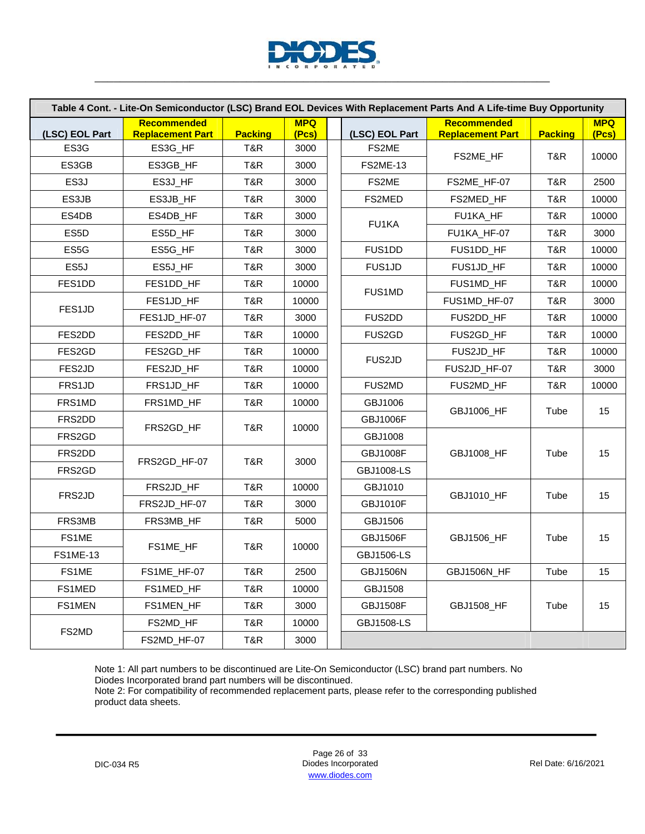

| Table 4 Cont. - Lite-On Semiconductor (LSC) Brand EOL Devices With Replacement Parts And A Life-time Buy Opportunity |                                               |                |                     |  |                   |                                        |                |                     |
|----------------------------------------------------------------------------------------------------------------------|-----------------------------------------------|----------------|---------------------|--|-------------------|----------------------------------------|----------------|---------------------|
| (LSC) EOL Part                                                                                                       | <b>Recommended</b><br><b>Replacement Part</b> | <b>Packing</b> | <b>MPQ</b><br>(Pcs) |  | (LSC) EOL Part    | Recommended<br><b>Replacement Part</b> | <b>Packing</b> | <b>MPQ</b><br>(Pcs) |
| ES3G                                                                                                                 | ES3G_HF                                       | T&R            | 3000                |  | FS2ME             |                                        |                | 10000               |
| ES3GB                                                                                                                | ES3GB_HF                                      | T&R            | 3000                |  | <b>FS2ME-13</b>   | FS2ME_HF                               | T&R            |                     |
| ES <sub>3</sub> J                                                                                                    | ES3J_HF                                       | T&R            | 3000                |  | FS2ME             | FS2ME_HF-07                            | T&R            | 2500                |
| ES3JB                                                                                                                | ES3JB_HF                                      | T&R            | 3000                |  | FS2MED            | FS2MED_HF                              | T&R            | 10000               |
| ES4DB                                                                                                                | ES4DB_HF                                      | T&R            | 3000                |  | FU1KA             | FU1KA_HF                               | T&R            | 10000               |
| ES <sub>5</sub> D                                                                                                    | ES5D_HF                                       | T&R            | 3000                |  |                   | FU1KA_HF-07                            | T&R            | 3000                |
| ES5G                                                                                                                 | ES5G_HF                                       | T&R            | 3000                |  | FUS1DD            | FUS1DD_HF                              | T&R            | 10000               |
| ES5J                                                                                                                 | ES5J_HF                                       | T&R            | 3000                |  | FUS1JD            | FUS1JD_HF                              | T&R            | 10000               |
| FES1DD                                                                                                               | FES1DD_HF                                     | T&R            | 10000               |  |                   | FUS1MD_HF                              | T&R            | 10000               |
|                                                                                                                      | FES1JD_HF                                     | T&R            | 10000               |  | <b>FUS1MD</b>     | FUS1MD_HF-07                           | T&R            | 3000                |
| FES1JD                                                                                                               | FES1JD_HF-07                                  | T&R            | 3000                |  | FUS2DD            | FUS2DD_HF                              | T&R            | 10000               |
| FES2DD                                                                                                               | FES2DD_HF                                     | T&R            | 10000               |  | FUS2GD            | FUS2GD_HF                              | T&R            | 10000               |
| FES2GD                                                                                                               | FES2GD_HF                                     | T&R            | 10000               |  |                   | FUS2JD_HF                              | T&R            | 10000               |
| FES2JD                                                                                                               | FES2JD_HF                                     | T&R            | 10000               |  | FUS2JD            | FUS2JD_HF-07                           | T&R            | 3000                |
| FRS1JD                                                                                                               | FRS1JD_HF                                     | T&R            | 10000               |  | FUS2MD            | FUS2MD_HF                              | T&R            | 10000               |
| FRS1MD                                                                                                               | FRS1MD_HF                                     | T&R            | 10000               |  | GBJ1006           | GBJ1006_HF                             | Tube           | 15                  |
| FRS2DD                                                                                                               | FRS2GD_HF                                     | T&R            | 10000               |  | <b>GBJ1006F</b>   |                                        |                |                     |
| FRS2GD                                                                                                               |                                               |                |                     |  | GBJ1008           |                                        |                |                     |
| FRS2DD                                                                                                               | FRS2GD_HF-07                                  | T&R            | 3000                |  | <b>GBJ1008F</b>   | GBJ1008_HF                             | Tube           | 15                  |
| FRS2GD                                                                                                               |                                               |                |                     |  | <b>GBJ1008-LS</b> |                                        |                |                     |
| FRS2JD                                                                                                               | FRS2JD_HF                                     | T&R            | 10000               |  | GBJ1010           | GBJ1010_HF                             | Tube           |                     |
|                                                                                                                      | FRS2JD_HF-07                                  | T&R            | 3000                |  | <b>GBJ1010F</b>   |                                        |                | 15                  |
| FRS3MB                                                                                                               | FRS3MB_HF                                     | T&R            | 5000                |  | GBJ1506           |                                        |                |                     |
| FS1ME                                                                                                                | FS1ME_HF                                      | T&R            | 10000               |  | <b>GBJ1506F</b>   | GBJ1506_HF                             | Tube           | 15                  |
| <b>FS1ME-13</b>                                                                                                      |                                               |                |                     |  | GBJ1506-LS        |                                        |                |                     |
| FS1ME                                                                                                                | FS1ME_HF-07                                   | T&R            | 2500                |  | <b>GBJ1506N</b>   | GBJ1506N_HF                            | Tube           | 15                  |
| FS1MED                                                                                                               | FS1MED_HF                                     | T&R            | 10000               |  | GBJ1508           |                                        |                |                     |
| FS1MEN                                                                                                               | FS1MEN_HF                                     | T&R            | 3000                |  | <b>GBJ1508F</b>   | GBJ1508_HF                             | Tube           | 15                  |
|                                                                                                                      | FS2MD_HF                                      | T&R            | 10000               |  | GBJ1508-LS        |                                        |                |                     |
| FS2MD                                                                                                                | FS2MD_HF-07                                   | T&R            | 3000                |  |                   |                                        |                |                     |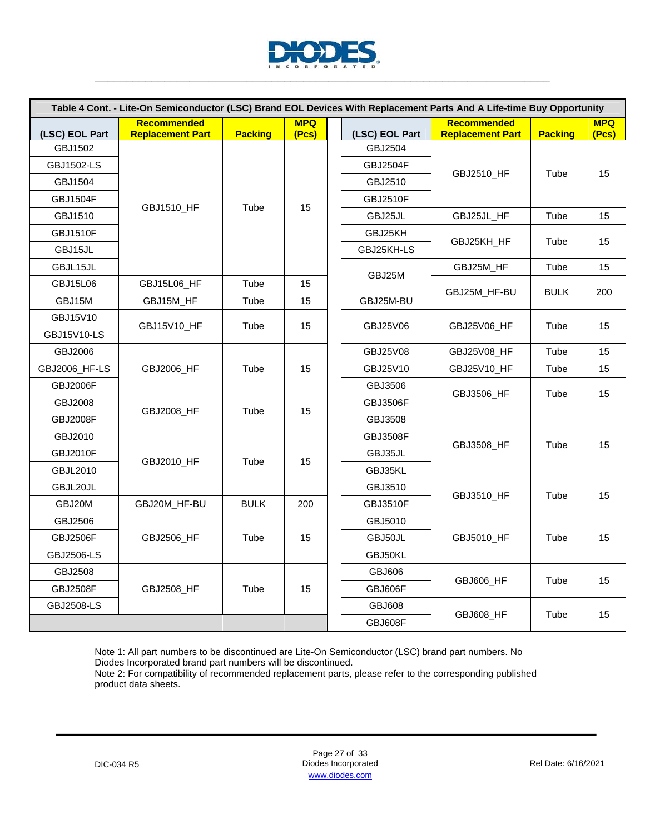

| Table 4 Cont. - Lite-On Semiconductor (LSC) Brand EOL Devices With Replacement Parts And A Life-time Buy Opportunity |                         |                |            |  |                           |                         |                |            |         |         |            |      |    |
|----------------------------------------------------------------------------------------------------------------------|-------------------------|----------------|------------|--|---------------------------|-------------------------|----------------|------------|---------|---------|------------|------|----|
|                                                                                                                      | <b>Recommended</b>      |                | <b>MPQ</b> |  |                           | <b>Recommended</b>      |                | <b>MPQ</b> |         |         |            |      |    |
| (LSC) EOL Part<br>GBJ1502                                                                                            | <b>Replacement Part</b> | <b>Packing</b> | (Pcs)      |  | (LSC) EOL Part<br>GBJ2504 | <b>Replacement Part</b> | <b>Packing</b> | (Pcs)      |         |         |            |      |    |
| GBJ1502-LS                                                                                                           |                         |                |            |  | <b>GBJ2504F</b>           |                         |                |            |         |         |            |      |    |
| GBJ1504                                                                                                              |                         |                |            |  | GBJ2510                   | GBJ2510_HF              | Tube           | 15         |         |         |            |      |    |
| <b>GBJ1504F</b>                                                                                                      |                         |                |            |  | <b>GBJ2510F</b>           |                         |                |            |         |         |            |      |    |
| GBJ1510                                                                                                              | GBJ1510_HF              | Tube           | 15         |  | GBJ25JL                   | GBJ25JL_HF              | Tube           | 15         |         |         |            |      |    |
| <b>GBJ1510F</b>                                                                                                      |                         |                |            |  | GBJ25KH                   |                         |                |            |         |         |            |      |    |
| GBJ15JL                                                                                                              |                         |                |            |  | GBJ25KH-LS                | GBJ25KH_HF              | Tube           | 15         |         |         |            |      |    |
| GBJL15JL                                                                                                             |                         |                |            |  |                           | GBJ25M_HF               | Tube           | 15         |         |         |            |      |    |
| <b>GBJ15L06</b>                                                                                                      | GBJ15L06_HF             | Tube           | 15         |  | GBJ25M                    |                         |                |            |         |         |            |      |    |
| GBJ15M                                                                                                               | GBJ15M_HF               | Tube           | 15         |  | GBJ25M-BU                 | GBJ25M HF-BU            | <b>BULK</b>    | 200        |         |         |            |      |    |
| GBJ15V10                                                                                                             |                         |                | 15         |  |                           | GBJ25V06 HF             | Tube           | 15         |         |         |            |      |    |
| <b>GBJ15V10-LS</b>                                                                                                   | GBJ15V10_HF             | Tube           |            |  | GBJ25V06                  |                         |                |            |         |         |            |      |    |
| GBJ2006                                                                                                              |                         |                |            |  | GBJ25V08                  | GBJ25V08_HF             | Tube           | 15         |         |         |            |      |    |
| GBJ2006_HF-LS                                                                                                        | GBJ2006_HF              | Tube           | 15         |  | GBJ25V10                  | GBJ25V10 HF             | Tube           | 15         |         |         |            |      |    |
| <b>GBJ2006F</b>                                                                                                      |                         |                |            |  | GBJ3506                   |                         |                |            |         |         |            |      |    |
| GBJ2008                                                                                                              |                         |                |            |  | <b>GBJ3506F</b>           | <b>GBJ3506 HF</b>       | Tube           | 15         |         |         |            |      |    |
| <b>GBJ2008F</b>                                                                                                      | GBJ2008_HF              | Tube           | 15         |  | GBJ3508                   |                         |                |            |         |         |            |      |    |
| GBJ2010                                                                                                              |                         |                | 15         |  | <b>GBJ3508F</b>           |                         |                |            |         |         |            |      |    |
| <b>GBJ2010F</b>                                                                                                      |                         |                |            |  |                           |                         |                |            |         | GBJ35JL | GBJ3508_HF | Tube | 15 |
| <b>GBJL2010</b>                                                                                                      | GBJ2010_HF              | Tube           |            |  |                           |                         |                |            | GBJ35KL |         |            |      |    |
| GBJL20JL                                                                                                             |                         |                |            |  | GBJ3510                   |                         |                |            |         |         |            |      |    |
| GBJ20M                                                                                                               | GBJ20M_HF-BU            | <b>BULK</b>    | 200        |  | <b>GBJ3510F</b>           | GBJ3510 HF              | Tube           | 15         |         |         |            |      |    |
| GBJ2506                                                                                                              |                         |                |            |  | GBJ5010                   |                         |                |            |         |         |            |      |    |
| <b>GBJ2506F</b>                                                                                                      | GBJ2506_HF              | Tube           | 15         |  | GBJ50JL                   | GBJ5010_HF              | Tube           | 15         |         |         |            |      |    |
| <b>GBJ2506-LS</b>                                                                                                    |                         |                |            |  | GBJ50KL                   |                         |                |            |         |         |            |      |    |
| GBJ2508                                                                                                              |                         |                |            |  | GBJ606                    |                         |                |            |         |         |            |      |    |
| <b>GBJ2508F</b>                                                                                                      | <b>GBJ2508 HF</b>       | Tube           | 15         |  | GBJ606F                   | GBJ606 HF               | Tube           | 15         |         |         |            |      |    |
| <b>GBJ2508-LS</b>                                                                                                    |                         |                |            |  | <b>GBJ608</b>             |                         |                |            |         |         |            |      |    |
|                                                                                                                      |                         |                |            |  | GBJ608F                   | GBJ608_HF               | Tube           | 15         |         |         |            |      |    |

Note 2: For compatibility of recommended replacement parts, please refer to the corresponding published product data sheets.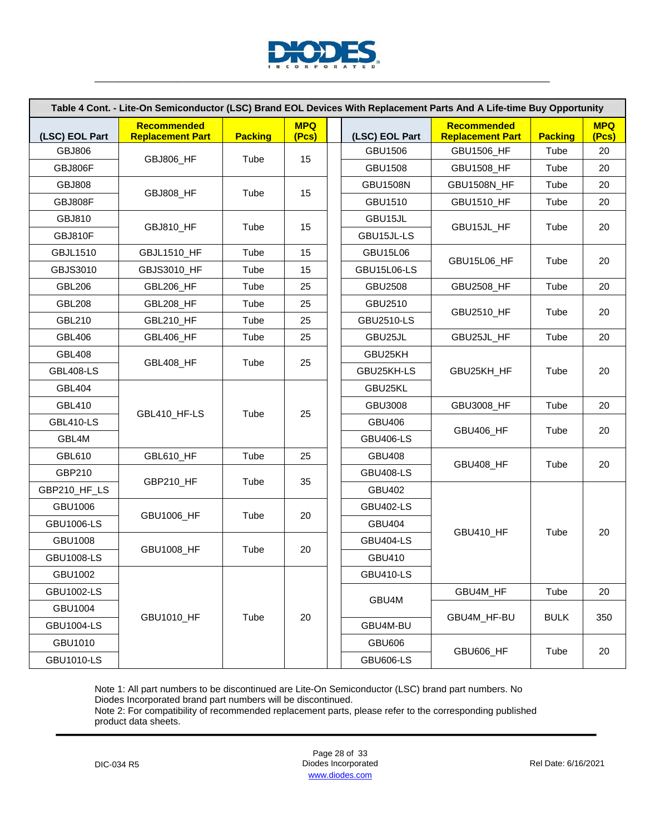

| Table 4 Cont. - Lite-On Semiconductor (LSC) Brand EOL Devices With Replacement Parts And A Life-time Buy Opportunity |                                               |                |                     |  |                    |                                        |                |                     |
|----------------------------------------------------------------------------------------------------------------------|-----------------------------------------------|----------------|---------------------|--|--------------------|----------------------------------------|----------------|---------------------|
| (LSC) EOL Part                                                                                                       | <b>Recommended</b><br><b>Replacement Part</b> | <b>Packing</b> | <b>MPQ</b><br>(Pcs) |  | (LSC) EOL Part     | Recommended<br><b>Replacement Part</b> | <b>Packing</b> | <b>MPQ</b><br>(Pcs) |
| <b>GBJ806</b>                                                                                                        |                                               |                |                     |  | GBU1506            | <b>GBU1506 HF</b>                      | Tube           | 20                  |
| GBJ806F                                                                                                              | GBJ806_HF                                     | Tube           | 15                  |  | <b>GBU1508</b>     | GBU1508_HF                             | Tube           | 20                  |
| <b>GBJ808</b>                                                                                                        |                                               |                |                     |  | <b>GBU1508N</b>    | <b>GBU1508N_HF</b>                     | Tube           | 20                  |
| GBJ808F                                                                                                              | GBJ808_HF                                     | Tube           | 15                  |  | GBU1510            | GBU1510_HF                             | Tube           | 20                  |
| GBJ810                                                                                                               |                                               |                |                     |  | GBU15JL            |                                        |                |                     |
| GBJ810F                                                                                                              | GBJ810_HF                                     | Tube           | 15                  |  | GBU15JL-LS         | GBU15JL_HF                             | Tube           | 20                  |
| <b>GBJL1510</b>                                                                                                      | GBJL1510_HF                                   | Tube           | 15                  |  | <b>GBU15L06</b>    |                                        |                |                     |
| GBJS3010                                                                                                             | GBJS3010_HF                                   | Tube           | 15                  |  | <b>GBU15L06-LS</b> | GBU15L06_HF                            | Tube           | 20                  |
| <b>GBL206</b>                                                                                                        | GBL206_HF                                     | Tube           | 25                  |  | <b>GBU2508</b>     | GBU2508_HF                             | Tube           | 20                  |
| <b>GBL208</b>                                                                                                        | GBL208_HF                                     | Tube           | 25                  |  | GBU2510            |                                        |                |                     |
| <b>GBL210</b>                                                                                                        | GBL210_HF                                     | Tube           | 25                  |  | <b>GBU2510-LS</b>  | GBU2510_HF                             | Tube           | 20                  |
| <b>GBL406</b>                                                                                                        | GBL406_HF                                     | Tube           | 25                  |  | GBU25JL            | GBU25JL_HF                             | Tube           | 20                  |
| <b>GBL408</b>                                                                                                        |                                               |                |                     |  | GBU25KH            | GBU25KH HF                             | Tube           | 20                  |
| <b>GBL408-LS</b>                                                                                                     | GBL408_HF                                     | Tube           | 25                  |  | GBU25KH-LS         |                                        |                |                     |
| <b>GBL404</b>                                                                                                        |                                               |                |                     |  | GBU25KL            |                                        |                |                     |
| <b>GBL410</b>                                                                                                        |                                               |                |                     |  | <b>GBU3008</b>     | GBU3008_HF                             | Tube           | 20                  |
| <b>GBL410-LS</b>                                                                                                     | GBL410_HF-LS                                  | Tube           | 25                  |  | <b>GBU406</b>      |                                        | Tube           | 20                  |
| GBL4M                                                                                                                |                                               |                |                     |  | <b>GBU406-LS</b>   | GBU406_HF                              |                |                     |
| <b>GBL610</b>                                                                                                        | GBL610_HF                                     | Tube           | 25                  |  | <b>GBU408</b>      |                                        |                |                     |
| GBP210                                                                                                               |                                               |                |                     |  | <b>GBU408-LS</b>   | GBU408_HF                              | Tube           | 20                  |
| GBP210_HF_LS                                                                                                         | GBP210_HF                                     | Tube           | 35                  |  | <b>GBU402</b>      |                                        |                |                     |
| GBU1006                                                                                                              | GBU1006_HF                                    |                |                     |  | <b>GBU402-LS</b>   |                                        |                |                     |
| <b>GBU1006-LS</b>                                                                                                    |                                               | Tube           | 20                  |  | <b>GBU404</b>      |                                        |                |                     |
| GBU1008                                                                                                              |                                               |                |                     |  | <b>GBU404-LS</b>   | GBU410_HF                              | Tube           | 20                  |
| <b>GBU1008-LS</b>                                                                                                    | GBU1008_HF                                    | Tube           | 20                  |  | GBU410             |                                        |                |                     |
| GBU1002                                                                                                              |                                               |                |                     |  | <b>GBU410-LS</b>   |                                        |                |                     |
| <b>GBU1002-LS</b>                                                                                                    |                                               |                |                     |  | GBU4M              | GBU4M_HF                               | Tube           | 20                  |
| GBU1004                                                                                                              |                                               |                |                     |  |                    |                                        |                |                     |
| <b>GBU1004-LS</b>                                                                                                    | GBU1010_HF                                    | Tube           | 20                  |  | GBU4M-BU           | GBU4M_HF-BU                            | <b>BULK</b>    | 350                 |
| GBU1010                                                                                                              |                                               |                |                     |  | <b>GBU606</b>      | <b>GBU606_HF</b>                       |                |                     |
| <b>GBU1010-LS</b>                                                                                                    |                                               |                |                     |  | <b>GBU606-LS</b>   |                                        | Tube           | 20                  |

Page 28 of 33 DIC-034 R5 Diodes Incorporated Rel Date: 6/16/2021 www.diodes.com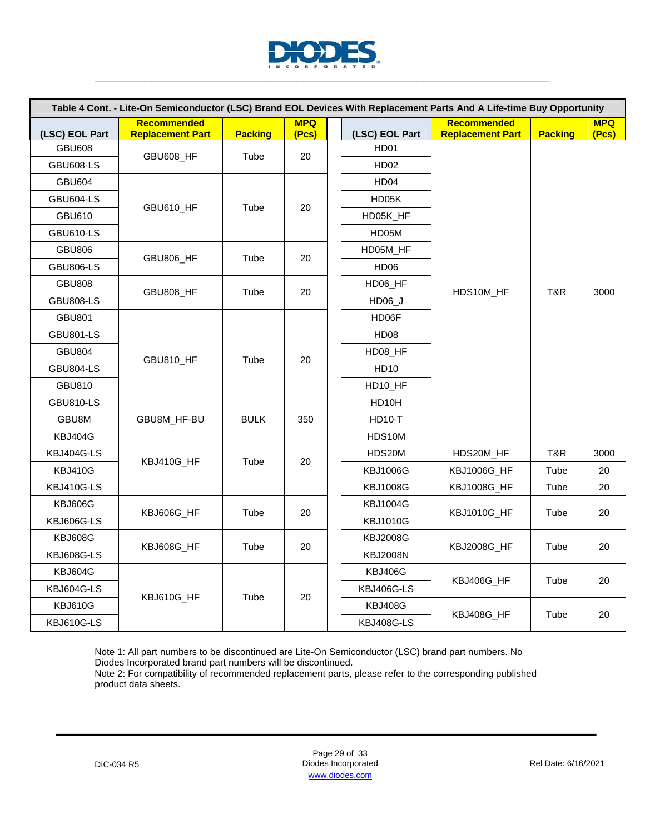

| Table 4 Cont. - Lite-On Semiconductor (LSC) Brand EOL Devices With Replacement Parts And A Life-time Buy Opportunity |                                               |                |                     |  |                     |                                               |                |                     |    |  |            |  |  |    |
|----------------------------------------------------------------------------------------------------------------------|-----------------------------------------------|----------------|---------------------|--|---------------------|-----------------------------------------------|----------------|---------------------|----|--|------------|--|--|----|
| (LSC) EOL Part                                                                                                       | <b>Recommended</b><br><b>Replacement Part</b> | <b>Packing</b> | <b>MPQ</b><br>(Pcs) |  | (LSC) EOL Part      | <b>Recommended</b><br><b>Replacement Part</b> | <b>Packing</b> | <b>MPQ</b><br>(Pcs) |    |  |            |  |  |    |
| <b>GBU608</b>                                                                                                        |                                               |                |                     |  | HD01                |                                               |                |                     |    |  |            |  |  |    |
| <b>GBU608-LS</b>                                                                                                     | <b>GBU608_HF</b>                              | Tube           | 20                  |  | <b>HD02</b>         |                                               |                |                     |    |  |            |  |  |    |
| <b>GBU604</b>                                                                                                        |                                               |                |                     |  | HD <sub>04</sub>    |                                               |                |                     |    |  |            |  |  |    |
| <b>GBU604-LS</b>                                                                                                     |                                               |                |                     |  | HD05K               |                                               |                |                     |    |  |            |  |  |    |
| GBU610                                                                                                               | GBU610_HF                                     | Tube           | 20                  |  | HD05K_HF            |                                               |                |                     |    |  |            |  |  |    |
| <b>GBU610-LS</b>                                                                                                     |                                               |                |                     |  | HD05M               |                                               |                |                     |    |  |            |  |  |    |
| <b>GBU806</b>                                                                                                        |                                               |                |                     |  | HD05M_HF            |                                               |                |                     |    |  |            |  |  |    |
| <b>GBU806-LS</b>                                                                                                     | GBU806 HF                                     | Tube           | 20                  |  | HD06                |                                               |                |                     |    |  |            |  |  |    |
| <b>GBU808</b>                                                                                                        |                                               |                |                     |  | HD06_HF             |                                               | T&R            | 3000                |    |  |            |  |  |    |
| <b>GBU808-LS</b>                                                                                                     | GBU808 HF                                     | Tube           | 20                  |  | HD06 J              | HDS10M HF                                     |                |                     |    |  |            |  |  |    |
| <b>GBU801</b>                                                                                                        |                                               |                |                     |  | HD06F               |                                               |                |                     |    |  |            |  |  |    |
| <b>GBU801-LS</b>                                                                                                     |                                               |                |                     |  | <b>HD08</b>         |                                               |                |                     |    |  |            |  |  |    |
| <b>GBU804</b>                                                                                                        |                                               |                |                     |  | HD08_HF             |                                               |                |                     |    |  |            |  |  |    |
| <b>GBU804-LS</b>                                                                                                     | GBU810_HF                                     | Tube           | 20                  |  | <b>HD10</b>         |                                               |                |                     |    |  |            |  |  |    |
| <b>GBU810</b>                                                                                                        |                                               |                |                     |  | HD <sub>10</sub> HF |                                               |                |                     |    |  |            |  |  |    |
| <b>GBU810-LS</b>                                                                                                     |                                               |                |                     |  | HD10H               |                                               |                |                     |    |  |            |  |  |    |
| GBU8M                                                                                                                | GBU8M_HF-BU                                   | <b>BULK</b>    | 350                 |  | <b>HD10-T</b>       |                                               |                |                     |    |  |            |  |  |    |
| KBJ404G                                                                                                              |                                               |                |                     |  | HDS10M              |                                               |                |                     |    |  |            |  |  |    |
| KBJ404G-LS                                                                                                           | KBJ410G_HF                                    | Tube           | 20                  |  | HDS20M              | HDS20M_HF                                     | T&R            | 3000                |    |  |            |  |  |    |
| <b>KBJ410G</b>                                                                                                       |                                               |                |                     |  | <b>KBJ1006G</b>     | KBJ1006G_HF                                   | Tube           | 20                  |    |  |            |  |  |    |
| KBJ410G-LS                                                                                                           |                                               |                |                     |  | <b>KBJ1008G</b>     | KBJ1008G_HF                                   | Tube           | 20                  |    |  |            |  |  |    |
| <b>KBJ606G</b>                                                                                                       | KBJ606G HF                                    | Tube           | 20                  |  | <b>KBJ1004G</b>     | KBJ1010G_HF                                   | Tube           | 20                  |    |  |            |  |  |    |
| <b>KBJ606G-LS</b>                                                                                                    |                                               |                |                     |  | <b>KBJ1010G</b>     |                                               |                |                     |    |  |            |  |  |    |
| <b>KBJ608G</b>                                                                                                       | KBJ608G_HF                                    | Tube           | 20                  |  | <b>KBJ2008G</b>     | <b>KBJ2008G_HF</b>                            | Tube           |                     |    |  |            |  |  |    |
| <b>KBJ608G-LS</b>                                                                                                    |                                               |                |                     |  | <b>KBJ2008N</b>     |                                               |                | 20                  |    |  |            |  |  |    |
| KBJ604G                                                                                                              |                                               |                |                     |  | <b>KBJ406G</b>      | KBJ406G_HF                                    | Tube           |                     |    |  |            |  |  |    |
| KBJ604G-LS                                                                                                           | KBJ610G_HF                                    | Tube           | 20                  |  |                     |                                               |                |                     |    |  | KBJ406G-LS |  |  | 20 |
| <b>KBJ610G</b>                                                                                                       |                                               |                |                     |  |                     | <b>KBJ408G</b>                                | KBJ408G_HF     | Tube                | 20 |  |            |  |  |    |
| KBJ610G-LS                                                                                                           |                                               |                |                     |  | <b>KBJ408G-LS</b>   |                                               |                |                     |    |  |            |  |  |    |

Note 2: For compatibility of recommended replacement parts, please refer to the corresponding published product data sheets.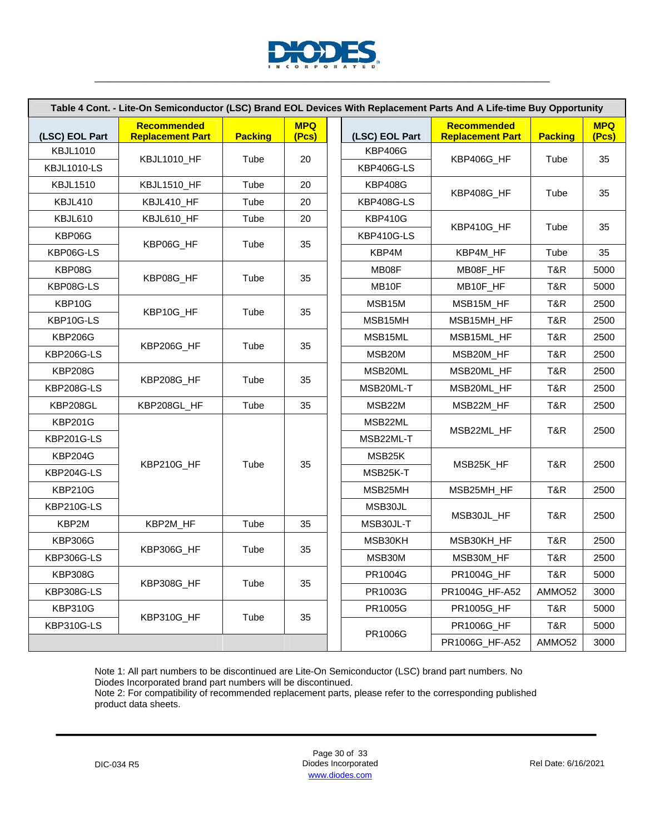

|                    |                                               |                | Table 4 Cont. - Lite-On Semiconductor (LSC) Brand EOL Devices With Replacement Parts And A Life-time Buy Opportunity |                     |                                               |                |                     |
|--------------------|-----------------------------------------------|----------------|----------------------------------------------------------------------------------------------------------------------|---------------------|-----------------------------------------------|----------------|---------------------|
| (LSC) EOL Part     | <b>Recommended</b><br><b>Replacement Part</b> | <b>Packing</b> | <b>MPQ</b><br>(Pcs)                                                                                                  | (LSC) EOL Part      | <b>Recommended</b><br><b>Replacement Part</b> | <b>Packing</b> | <b>MPQ</b><br>(Pcs) |
| <b>KBJL1010</b>    | <b>KBJL1010_HF</b>                            | Tube           | 20                                                                                                                   | <b>KBP406G</b>      | KBP406G_HF                                    | Tube           | 35                  |
| <b>KBJL1010-LS</b> |                                               |                |                                                                                                                      | KBP406G-LS          |                                               |                |                     |
| <b>KBJL1510</b>    | KBJL1510_HF                                   | Tube           | 20                                                                                                                   | <b>KBP408G</b>      | KBP408G HF                                    | Tube           | 35                  |
| KBJL410            | KBJL410_HF                                    | Tube           | 20                                                                                                                   | KBP408G-LS          |                                               |                |                     |
| KBJL610            | KBJL610_HF                                    | Tube           | 20                                                                                                                   | <b>KBP410G</b>      | KBP410G_HF                                    | Tube           | 35                  |
| KBP06G             |                                               |                |                                                                                                                      | KBP410G-LS          |                                               |                |                     |
| KBP06G-LS          | KBP06G_HF                                     | Tube           | 35                                                                                                                   | KBP4M               | KBP4M_HF                                      | Tube           | 35                  |
| KBP08G             |                                               |                |                                                                                                                      | MB08F               | MB08F_HF                                      | T&R            | 5000                |
| KBP08G-LS          | KBP08G HF                                     | Tube           | 35                                                                                                                   | MB10F               | MB10F_HF                                      | T&R            | 5000                |
| KBP10G             |                                               |                |                                                                                                                      | MSB15M              | MSB15M_HF                                     | T&R            | 2500                |
| KBP10G-LS          | KBP10G_HF                                     | Tube           | 35                                                                                                                   | MSB15MH             | MSB15MH_HF                                    | T&R            | 2500                |
| <b>KBP206G</b>     |                                               |                |                                                                                                                      | MSB15ML             | MSB15ML_HF                                    | T&R            | 2500                |
| KBP206G-LS         | KBP206G HF                                    | Tube           | 35                                                                                                                   | MSB <sub>20</sub> M | MSB20M_HF                                     | T&R            | 2500                |
| <b>KBP208G</b>     |                                               |                |                                                                                                                      | MSB20ML             | MSB20ML_HF                                    | T&R            | 2500                |
| <b>KBP208G-LS</b>  | KBP208G_HF                                    | Tube           | 35                                                                                                                   | MSB20ML-T           | MSB20ML HF                                    | T&R            | 2500                |
| KBP208GL           | KBP208GL_HF                                   | Tube           | 35                                                                                                                   | MSB22M              | MSB22M_HF                                     | T&R            | 2500                |
| <b>KBP201G</b>     |                                               |                |                                                                                                                      | MSB22ML             |                                               |                |                     |
| <b>KBP201G-LS</b>  |                                               |                |                                                                                                                      | MSB22ML-T           | MSB22ML_HF                                    | T&R            | 2500                |
| <b>KBP204G</b>     |                                               |                |                                                                                                                      | MSB25K              | MSB25K_HF                                     | T&R            | 2500                |
| KBP204G-LS         | KBP210G_HF                                    | Tube           | 35                                                                                                                   | MSB25K-T            |                                               |                |                     |
| <b>KBP210G</b>     |                                               |                |                                                                                                                      | MSB25MH             | MSB25MH_HF                                    | T&R            | 2500                |
| <b>KBP210G-LS</b>  |                                               |                |                                                                                                                      | MSB30JL             |                                               |                |                     |
| KBP2M              | KBP2M_HF                                      | Tube           | 35                                                                                                                   | MSB30JL-T           | MSB30JL_HF                                    | T&R            | 2500                |
| <b>KBP306G</b>     |                                               |                |                                                                                                                      | MSB30KH             | MSB30KH HF                                    | T&R            | 2500                |
| KBP306G-LS         | KBP306G_HF                                    | Tube           | 35                                                                                                                   | MSB30M              | MSB30M_HF                                     | T&R            | 2500                |
| <b>KBP308G</b>     |                                               |                |                                                                                                                      | PR1004G             | PR1004G_HF                                    | T&R            | 5000                |
| KBP308G-LS         | KBP308G_HF                                    | Tube           | 35                                                                                                                   | PR1003G             | PR1004G_HF-A52                                | AMMO52         | 3000                |
| <b>KBP310G</b>     |                                               |                |                                                                                                                      | PR1005G             | PR1005G_HF                                    | T&R            | 5000                |
| KBP310G-LS         | KBP310G_HF                                    | Tube           | 35                                                                                                                   |                     | PR1006G_HF                                    | T&R            | 5000                |
|                    |                                               |                |                                                                                                                      | PR1006G             | PR1006G_HF-A52                                | AMMO52         | 3000                |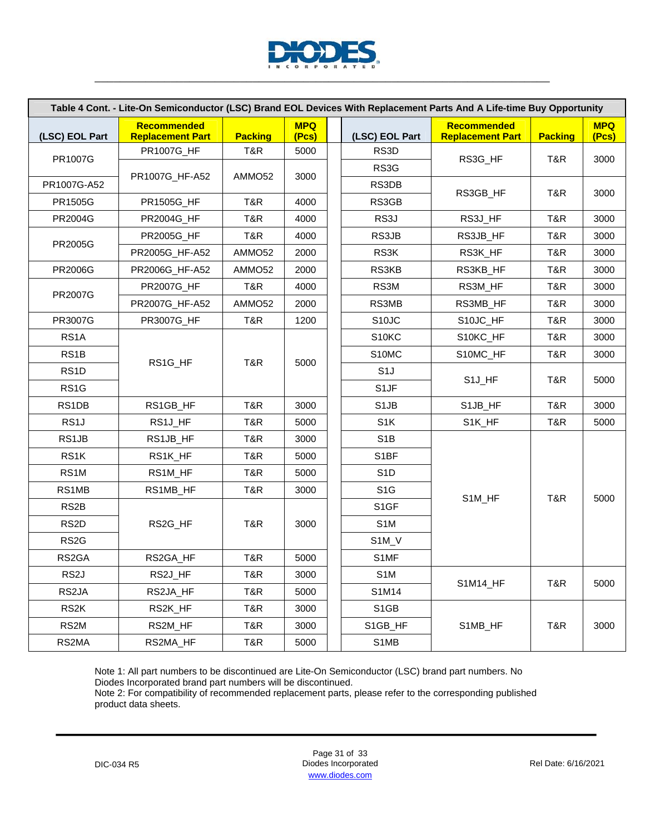

| Table 4 Cont. - Lite-On Semiconductor (LSC) Brand EOL Devices With Replacement Parts And A Life-time Buy Opportunity |                                        |                |                     |  |                    |                                        |                |                     |
|----------------------------------------------------------------------------------------------------------------------|----------------------------------------|----------------|---------------------|--|--------------------|----------------------------------------|----------------|---------------------|
| (LSC) EOL Part                                                                                                       | Recommended<br><b>Replacement Part</b> | <b>Packing</b> | <b>MPQ</b><br>(Pcs) |  | (LSC) EOL Part     | Recommended<br><b>Replacement Part</b> | <b>Packing</b> | <b>MPQ</b><br>(Pcs) |
| PR1007G                                                                                                              | PR1007G_HF                             | T&R            | 5000                |  | RS3D               |                                        |                |                     |
|                                                                                                                      |                                        |                |                     |  | RS3G               | RS3G_HF                                | T&R            | 3000                |
| PR1007G-A52                                                                                                          | PR1007G_HF-A52                         | AMMO52         | 3000                |  | RS3DB              |                                        |                |                     |
| PR1505G                                                                                                              | PR1505G_HF                             | T&R            | 4000                |  | RS3GB              | RS3GB HF                               | T&R            | 3000                |
| PR2004G                                                                                                              | PR2004G_HF                             | T&R            | 4000                |  | RS3J               | RS3J_HF                                | T&R            | 3000                |
|                                                                                                                      | PR2005G_HF                             | T&R            | 4000                |  | RS3JB              | RS3JB_HF                               | T&R            | 3000                |
| <b>PR2005G</b>                                                                                                       | PR2005G_HF-A52                         | AMMO52         | 2000                |  | RS3K               | RS3K_HF                                | T&R            | 3000                |
| PR2006G                                                                                                              | PR2006G_HF-A52                         | AMMO52         | 2000                |  | RS3KB              | RS3KB_HF                               | T&R            | 3000                |
|                                                                                                                      | <b>PR2007G_HF</b>                      | T&R            | 4000                |  | RS3M               | RS3M_HF                                | T&R            | 3000                |
| <b>PR2007G</b>                                                                                                       | PR2007G_HF-A52                         | AMMO52         | 2000                |  | RS3MB              | RS3MB_HF                               | T&R            | 3000                |
| PR3007G                                                                                                              | <b>PR3007G HF</b>                      | T&R            | 1200                |  | S <sub>10</sub> JC | S10JC_HF                               | T&R            | 3000                |
| RS <sub>1</sub> A                                                                                                    |                                        |                |                     |  | S10KC              | S10KC_HF                               | T&R            | 3000                |
| RS <sub>1</sub> B                                                                                                    |                                        |                |                     |  | S10MC              | S10MC_HF                               | T&R            | 3000                |
| RS <sub>1</sub> D                                                                                                    | RS1G_HF                                | T&R            | 5000                |  | S <sub>1</sub> J   | S1J_HF                                 | T&R            |                     |
| RS <sub>1</sub> G                                                                                                    |                                        |                |                     |  | S1JF               |                                        |                | 5000                |
| RS1DB                                                                                                                | RS1GB_HF                               | T&R            | 3000                |  | S <sub>1</sub> JB  | S1JB_HF                                | T&R            | 3000                |
| RS <sub>1</sub> J                                                                                                    | RS1J_HF                                | T&R            | 5000                |  | S <sub>1</sub> K   | S1K_HF                                 | T&R            | 5000                |
| RS1JB                                                                                                                | RS1JB_HF                               | T&R            | 3000                |  | S <sub>1</sub> B   |                                        |                |                     |
| RS1K                                                                                                                 | RS1K_HF                                | T&R            | 5000                |  | S1BF               |                                        |                |                     |
| RS1M                                                                                                                 | RS1M_HF                                | T&R            | 5000                |  | S <sub>1</sub> D   |                                        |                |                     |
| RS1MB                                                                                                                | RS1MB_HF                               | T&R            | 3000                |  | S <sub>1</sub> G   |                                        |                |                     |
| RS <sub>2</sub> B                                                                                                    |                                        |                |                     |  | S1GF               | S1M_HF                                 | T&R            | 5000                |
| RS <sub>2</sub> D                                                                                                    | RS2G_HF                                | T&R            | 3000                |  | S <sub>1</sub> M   |                                        |                |                     |
| RS <sub>2</sub> G                                                                                                    |                                        |                |                     |  | S <sub>1</sub> M_V |                                        |                |                     |
| RS2GA                                                                                                                | RS2GA_HF                               | T&R            | 5000                |  | S1MF               |                                        |                |                     |
| RS <sub>2</sub> J                                                                                                    | RS2J_HF                                | T&R            | 3000                |  | S <sub>1</sub> M   |                                        |                |                     |
| RS2JA                                                                                                                | RS2JA_HF                               | T&R            | 5000                |  | S1M14              | S1M14_HF                               | T&R            | 5000                |
| RS <sub>2</sub> K                                                                                                    | RS2K_HF                                | T&R            | 3000                |  | S <sub>1</sub> GB  |                                        |                |                     |
| RS2M                                                                                                                 | RS2M_HF                                | T&R            | 3000                |  | S1GB_HF            | S1MB_HF                                | T&R            | 3000                |
| RS2MA                                                                                                                | RS2MA_HF                               | T&R            | 5000                |  | S1MB               |                                        |                |                     |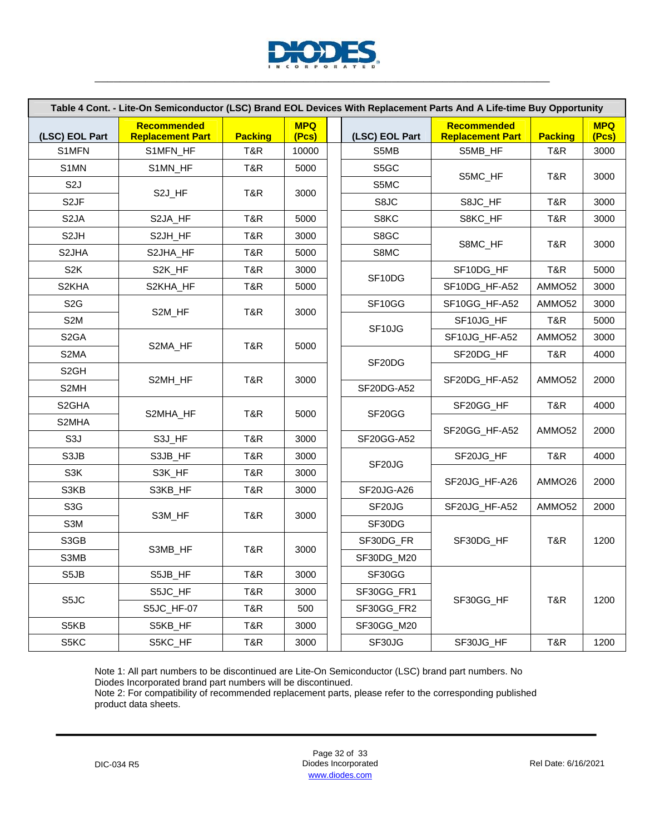

| Table 4 Cont. - Lite-On Semiconductor (LSC) Brand EOL Devices With Replacement Parts And A Life-time Buy Opportunity |                                               |                |                     |  |                                 |                                               |                    |                     |  |
|----------------------------------------------------------------------------------------------------------------------|-----------------------------------------------|----------------|---------------------|--|---------------------------------|-----------------------------------------------|--------------------|---------------------|--|
| (LSC) EOL Part                                                                                                       | <b>Recommended</b><br><b>Replacement Part</b> | <b>Packing</b> | <b>MPQ</b><br>(Pcs) |  | (LSC) EOL Part                  | <b>Recommended</b><br><b>Replacement Part</b> | <b>Packing</b>     | <b>MPQ</b><br>(Pcs) |  |
| S1MFN                                                                                                                | S1MFN_HF                                      | T&R            | 10000               |  | S5MB                            | S5MB_HF                                       | T&R                | 3000                |  |
| S1MN                                                                                                                 | S1MN_HF                                       | T&R            | 5000                |  | S5GC                            |                                               |                    | 3000                |  |
| S <sub>2</sub> J                                                                                                     |                                               |                | 3000                |  | S5MC                            | S5MC_HF                                       | T&R                |                     |  |
| S <sub>2</sub> JF                                                                                                    | S2J_HF                                        | T&R            |                     |  | S8JC                            | S8JC_HF                                       | T&R                | 3000                |  |
| S <sub>2</sub> JA                                                                                                    | S2JA_HF                                       | T&R            | 5000                |  | S8KC                            | S8KC_HF                                       | T&R                | 3000                |  |
| S <sub>2</sub> JH                                                                                                    | S2JH_HF                                       | T&R            | 3000                |  | S8GC                            |                                               |                    |                     |  |
| S <sub>2</sub> JHA                                                                                                   | S2JHA_HF                                      | T&R            | 5000                |  | S8MC                            | S8MC_HF                                       | T&R                | 3000                |  |
| S <sub>2</sub> K                                                                                                     | S2K_HF                                        | T&R            | 3000                |  |                                 | SF10DG_HF                                     | T&R                | 5000                |  |
| S <sub>2</sub> KHA                                                                                                   | S2KHA_HF                                      | T&R            | 5000                |  | SF10DG                          | SF10DG_HF-A52                                 | AMMO <sub>52</sub> | 3000                |  |
| S <sub>2</sub> G                                                                                                     |                                               |                |                     |  | SF10GG                          | SF10GG_HF-A52                                 | AMMO <sub>52</sub> | 3000                |  |
| S <sub>2</sub> M                                                                                                     | S2M_HF                                        | T&R            | 3000                |  |                                 | SF10JG_HF                                     | T&R                | 5000                |  |
| S <sub>2</sub> GA                                                                                                    |                                               |                |                     |  | SF10JG                          | SF10JG_HF-A52                                 | AMMO <sub>52</sub> | 3000                |  |
| S2MA                                                                                                                 | S2MA_HF                                       | T&R            | 5000                |  |                                 | SF20DG_HF                                     | T&R                | 4000                |  |
| S <sub>2</sub> GH                                                                                                    |                                               |                | 3000                |  | SF20DG                          |                                               |                    |                     |  |
| S2MH                                                                                                                 | S2MH_HF                                       | T&R            |                     |  | SF20DG-A52                      | SF20DG_HF-A52                                 | AMMO <sub>52</sub> | 2000                |  |
| S <sub>2</sub> GHA                                                                                                   |                                               |                |                     |  |                                 | SF20GG_HF                                     | T&R                | 4000                |  |
| S2MHA                                                                                                                | S2MHA_HF                                      | T&R            | 5000                |  | SF20GG                          |                                               |                    |                     |  |
| S <sub>3</sub> J                                                                                                     | S3J_HF                                        | T&R            | 3000                |  | SF20GG-A52                      | SF20GG_HF-A52                                 | AMMO <sub>52</sub> | 2000                |  |
| S3JB                                                                                                                 | S3JB_HF                                       | T&R            | 3000                |  |                                 | SF20JG_HF                                     | T&R                | 4000                |  |
| S3K                                                                                                                  | S3K_HF                                        | T&R            | 3000                |  | SF <sub>20</sub> J <sub>G</sub> |                                               |                    |                     |  |
| S3KB                                                                                                                 | S3KB_HF                                       | T&R            | 3000                |  | <b>SF20JG-A26</b>               | SF20JG_HF-A26                                 | AMMO <sub>26</sub> | 2000                |  |
| S <sub>3</sub> G                                                                                                     |                                               |                |                     |  | SF <sub>20</sub> J <sub>G</sub> | SF20JG_HF-A52                                 | AMMO52             | 2000                |  |
| S3M                                                                                                                  | S3M HF                                        | T&R            | 3000                |  | SF30DG                          |                                               |                    |                     |  |
| S3GB                                                                                                                 |                                               |                |                     |  | SF30DG_FR                       | SF30DG_HF                                     | T&R                | 1200                |  |
| S3MB                                                                                                                 | S3MB_HF                                       | T&R            | 3000                |  | SF30DG_M20                      |                                               |                    |                     |  |
| S5JB                                                                                                                 | S5JB_HF                                       | T&R            | 3000                |  | SF30GG                          |                                               |                    |                     |  |
|                                                                                                                      | S5JC_HF                                       | T&R            | 3000                |  | SF30GG_FR1                      |                                               |                    |                     |  |
| S5JC                                                                                                                 | S5JC_HF-07                                    | T&R            | 500                 |  | SF30GG_FR2                      | SF30GG_HF                                     | T&R                | 1200                |  |
| S5KB                                                                                                                 | S5KB_HF                                       | T&R            | 3000                |  | SF30GG_M20                      |                                               |                    |                     |  |
| S5KC                                                                                                                 | S5KC_HF                                       | T&R            | 3000                |  | SF30JG                          | SF30JG_HF                                     | T&R                | 1200                |  |